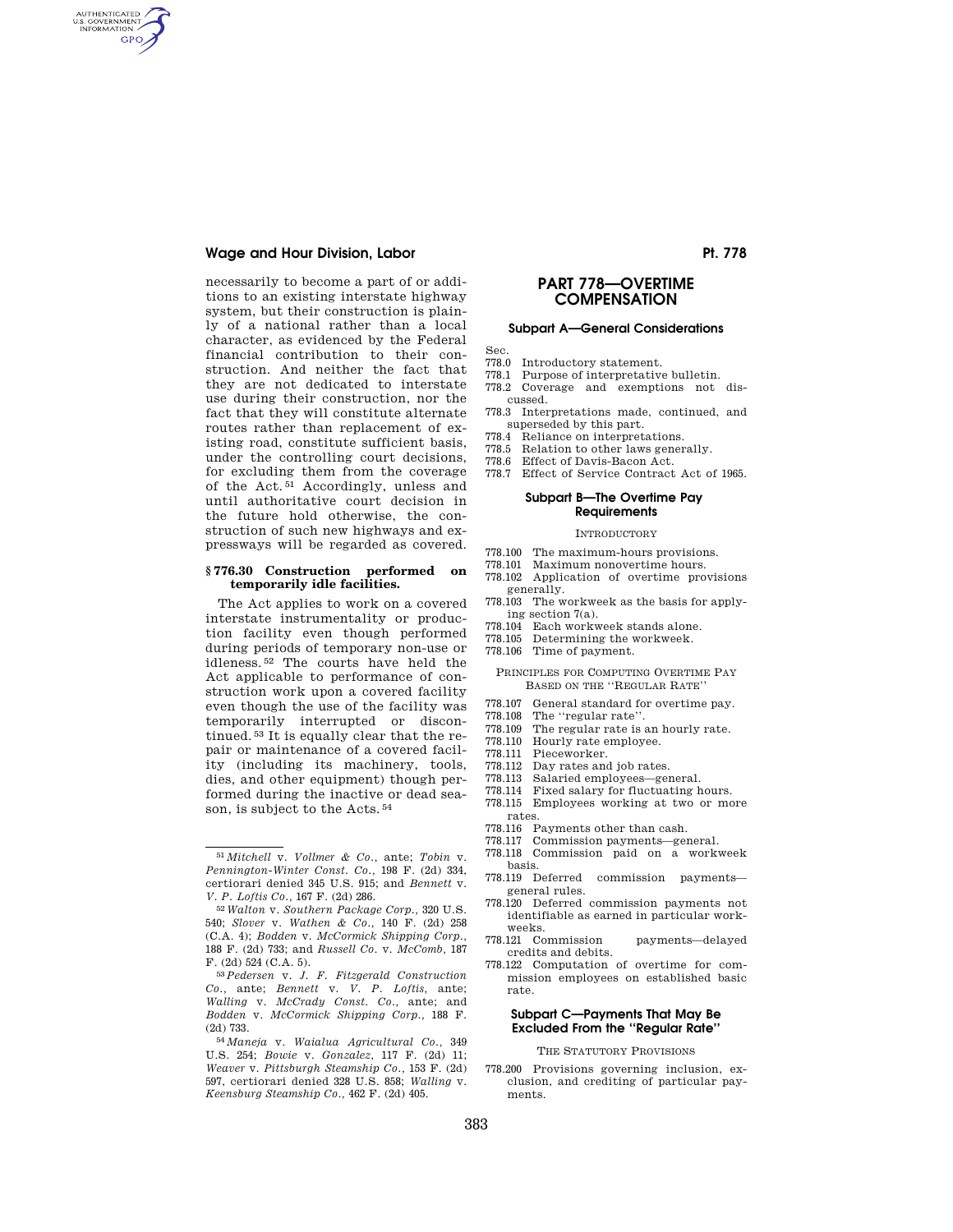# **Wage and Hour Division, Labor Pt. 778**

AUTHENTICATED<br>U.S. GOVERNMENT<br>INFORMATION **GPO** 

> necessarily to become a part of or additions to an existing interstate highway system, but their construction is plainly of a national rather than a local character, as evidenced by the Federal financial contribution to their construction. And neither the fact that they are not dedicated to interstate use during their construction, nor the fact that they will constitute alternate routes rather than replacement of existing road, constitute sufficient basis, under the controlling court decisions, for excluding them from the coverage of the Act. 51 Accordingly, unless and until authoritative court decision in the future hold otherwise, the construction of such new highways and expressways will be regarded as covered.

#### **§ 776.30 Construction performed on temporarily idle facilities.**

The Act applies to work on a covered interstate instrumentality or production facility even though performed during periods of temporary non-use or idleness. 52 The courts have held the Act applicable to performance of construction work upon a covered facility even though the use of the facility was temporarily interrupted or discontinued. 53 It is equally clear that the repair or maintenance of a covered facility (including its machinery, tools, dies, and other equipment) though performed during the inactive or dead season, is subject to the Acts. 54

# **PART 778—OVERTIME COMPENSATION**

# **Subpart A—General Considerations**

Sec.

- 778.0 Introductory statement.
- 778.1 Purpose of interpretative bulletin.
- 778.2 Coverage and exemptions not discussed.
- 778.3 Interpretations made, continued, and superseded by this part.
- 778.4 Reliance on interpretations.
- 778.5 Relation to other laws generally.
- 778.6 Effect of Davis-Bacon Act.
- 778.7 Effect of Service Contract Act of 1965.

### **Subpart B—The Overtime Pay Requirements**

# INTRODUCTORY

- 778.100 The maximum-hours provisions.
- 778.101 Maximum nonovertime hours.
- 778.102 Application of overtime provisions
- generally. 778.103 The workweek as the basis for apply-
- ing section 7(a).
- 778.104 Each workweek stands alone.
- Determining the workweek.
- 778.106 Time of payment.

#### PRINCIPLES FOR COMPUTING OVERTIME PAY BASED ON THE ''REGULAR RATE''

- 778.107 General standard for overtime pay.<br>778.108 The "regular rate"
- The "regular rate".
- 778.109 The regular rate is an hourly rate.
- 778.110 Hourly rate employee.
- 778.111 Pieceworker.
- 778.112 Day rates and job rates.
- 778.113 Salaried employees—general.
- 778.114 Fixed salary for fluctuating hours.
- 778.115 Employees working at two or more rates
- 778.116 Payments other than cash.
- 778.117 Commission payments—general.
- 778.118 Commission paid on a workweek basis.
- 778.119 Deferred commission payments general rules.
- 778.120 Deferred commission payments not identifiable as earned in particular workweeks.<br>778.121 Commission
- payments-delayed credits and debits.
- 778.122 Computation of overtime for commission employees on established basic rate.

# **Subpart C—Payments That May Be Excluded From the ''Regular Rate''**

THE STATUTORY PROVISIONS

778.200 Provisions governing inclusion, exclusion, and crediting of particular payments.

<sup>51</sup>*Mitchell* v. *Vollmer & Co.,* ante; *Tobin* v. *Pennington-Winter Const. Co.,* 198 F. (2d) 334, certiorari denied 345 U.S. 915; and *Bennett* v.

*V. P. Loftis Co.,* 167 F. (2d) 286. 52*Walton* v. *Southern Package Corp.,* 320 U.S. 540; *Slover* v. *Wathen & Co.,* 140 F. (2d) 258 (C.A. 4); *Bodden* v. *McCormick Shipping Corp.,*  188 F. (2d) 733; and *Russell Co.* v. *McComb,* 187 F. (2d) 524 (C.A. 5). 53 *Pedersen* v. *J. F. Fitzgerald Construction* 

*Co.,* ante; *Bennett* v. *V. P. Loftis,* ante; *Walling* v. *McCrady Const. Co.,* ante; and *Bodden* v. *McCormick Shipping Corp.,* 188 F.

<sup>(2</sup>d) 733. 54*Maneja* v. *Waialua Agricultural Co.,* <sup>349</sup> U.S. 254; *Bowie* v. *Gonzalez,* 117 F. (2d) 11; *Weaver* v. *Pittsburgh Steamship Co.,* 153 F. (2d) 597, certiorari denied 328 U.S. 858; *Walling* v. *Keensburg Steamship Co.,* 462 F. (2d) 405.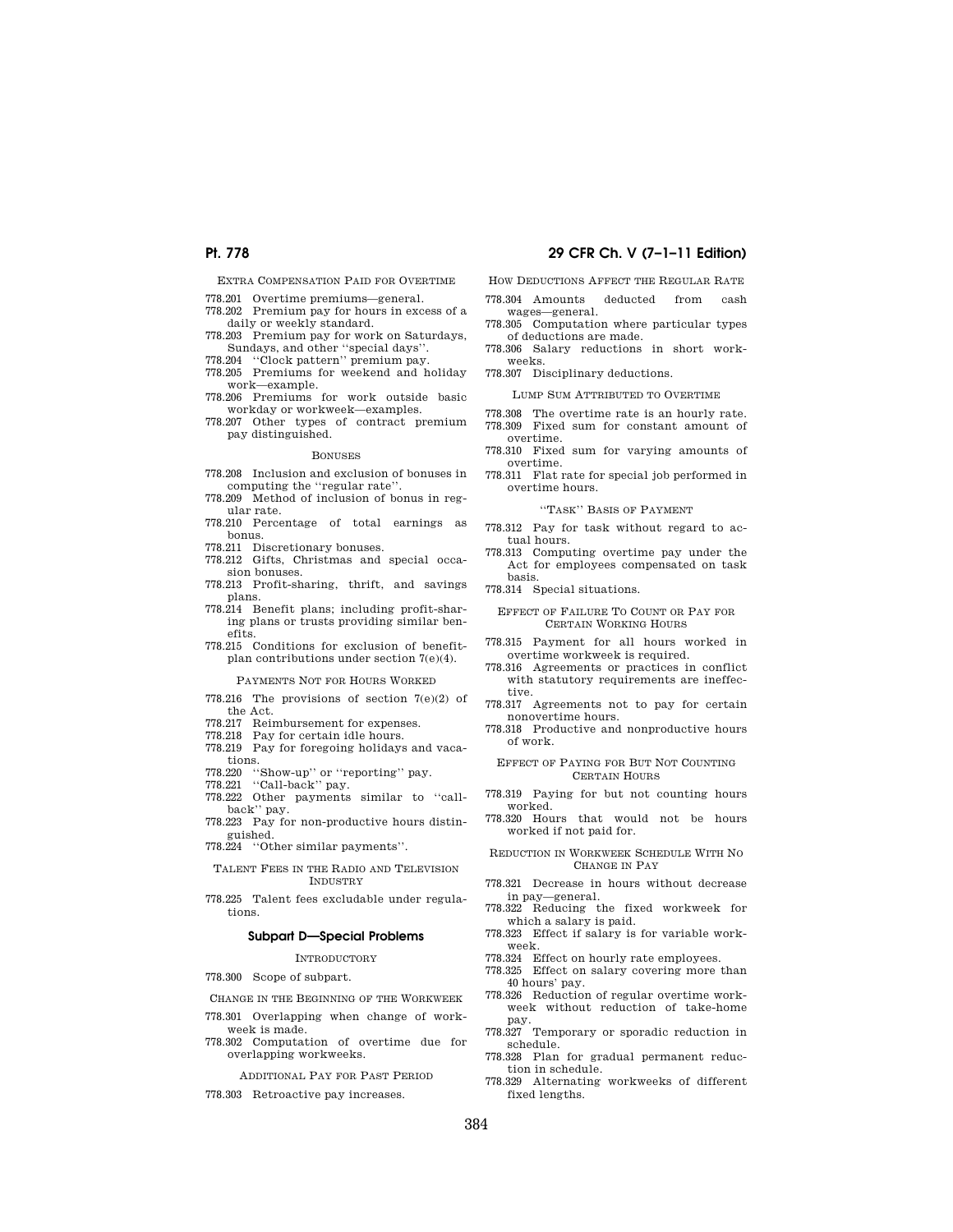EXTRA COMPENSATION PAID FOR OVERTIME

- 778.201 Overtime premiums—general.
- 778.202 Premium pay for hours in excess of a daily or weekly standard.
- 778.203 Premium pay for work on Saturdays,
- Sundays, and other ''special days''. 778.204 ''Clock pattern'' premium pay.
- 778.205 Premiums for weekend and holiday work—example.
- 778.206 Premiums for work outside basic workday or workweek—examples.
- 778.207 Other types of contract premium pay distinguished.

#### BONUSES

- 778.208 Inclusion and exclusion of bonuses in computing the ''regular rate''.
- 778.209 Method of inclusion of bonus in regular rate.
- 778.210 Percentage of total earnings as bonus.
- 778.211 Discretionary bonuses.
- 778.212 Gifts, Christmas and special occasion bonuses.
- 778.213 Profit-sharing, thrift, and savings plans.
- 778.214 Benefit plans; including profit-sharing plans or trusts providing similar benefits.
- 778.215 Conditions for exclusion of benefitplan contributions under section 7(e)(4).

PAYMENTS NOT FOR HOURS WORKED

- 778.216 The provisions of section 7(e)(2) of the Act.
- 778.217 Reimbursement for expenses.
- 778.218 Pay for certain idle hours.
- 778.219 Pay for foregoing holidays and vacations.
- 778.220 ''Show-up'' or ''reporting'' pay.
- $778.221$  "Call-back" pay.
- 778.222 Other payments similar to ''callback'' pay.
- 778.223 Pay for non-productive hours distinguished.
- 778.224 ''Other similar payments''.

#### TALENT FEES IN THE RADIO AND TELEVISION INDUSTRY

778.225 Talent fees excludable under regulations.

#### **Subpart D—Special Problems**

#### **INTRODUCTORY**

778.300 Scope of subpart.

- CHANGE IN THE BEGINNING OF THE WORKWEEK
- 778.301 Overlapping when change of workweek is made.
- 778.302 Computation of overtime due for overlapping workweeks.

ADDITIONAL PAY FOR PAST PERIOD

778.303 Retroactive pay increases.

# **Pt. 778 29 CFR Ch. V (7–1–11 Edition)**

HOW DEDUCTIONS AFFECT THE REGULAR RATE

- 778.304 Amounts deducted from cash wages—general. 778.305 Computation where particular types
- of deductions are made. 778.306 Salary reductions in short work-
- weeks.
- 778.307 Disciplinary deductions.

#### LUMP SUM ATTRIBUTED TO OVERTIME

- 778.308 The overtime rate is an hourly rate.
- 778.309 Fixed sum for constant amount of
- overtime. 778.310 Fixed sum for varying amounts of
- overtime. 778.311 Flat rate for special job performed in overtime hours.

#### ''TASK'' BASIS OF PAYMENT

- 778.312 Pay for task without regard to actual hours.
- 778.313 Computing overtime pay under the Act for employees compensated on task basis.
- 778.314 Special situations.

#### EFFECT OF FAILURE TO COUNT OR PAY FOR CERTAIN WORKING HOURS

778.315 Payment for all hours worked in overtime workweek is required.

- 778.316 Agreements or practices in conflict with statutory requirements are ineffective.
- 778.317 Agreements not to pay for certain nonovertime hours.
- 778.318 Productive and nonproductive hours of work.

#### EFFECT OF PAYING FOR BUT NOT COUNTING CERTAIN HOURS

- 778.319 Paying for but not counting hours worked.
- 778.320 Hours that would not be hours worked if not paid for.
- REDUCTION IN WORKWEEK SCHEDULE WITH NO CHANGE IN PAY
- 778.321 Decrease in hours without decrease in pay—general. 778.322 Reducing the fixed workweek for
- which a salary is paid.
- 778.323 Effect if salary is for variable workweek.
- 778.324 Effect on hourly rate employees.
- 778.325 Effect on salary covering more than 40 hours' pay.
- 778.326 Reduction of regular overtime workweek without reduction of take-home pay. 778.327 Temporary or sporadic reduction in
- schedule.
- 778.328 Plan for gradual permanent reduction in schedule.
- 778.329 Alternating workweeks of different fixed lengths.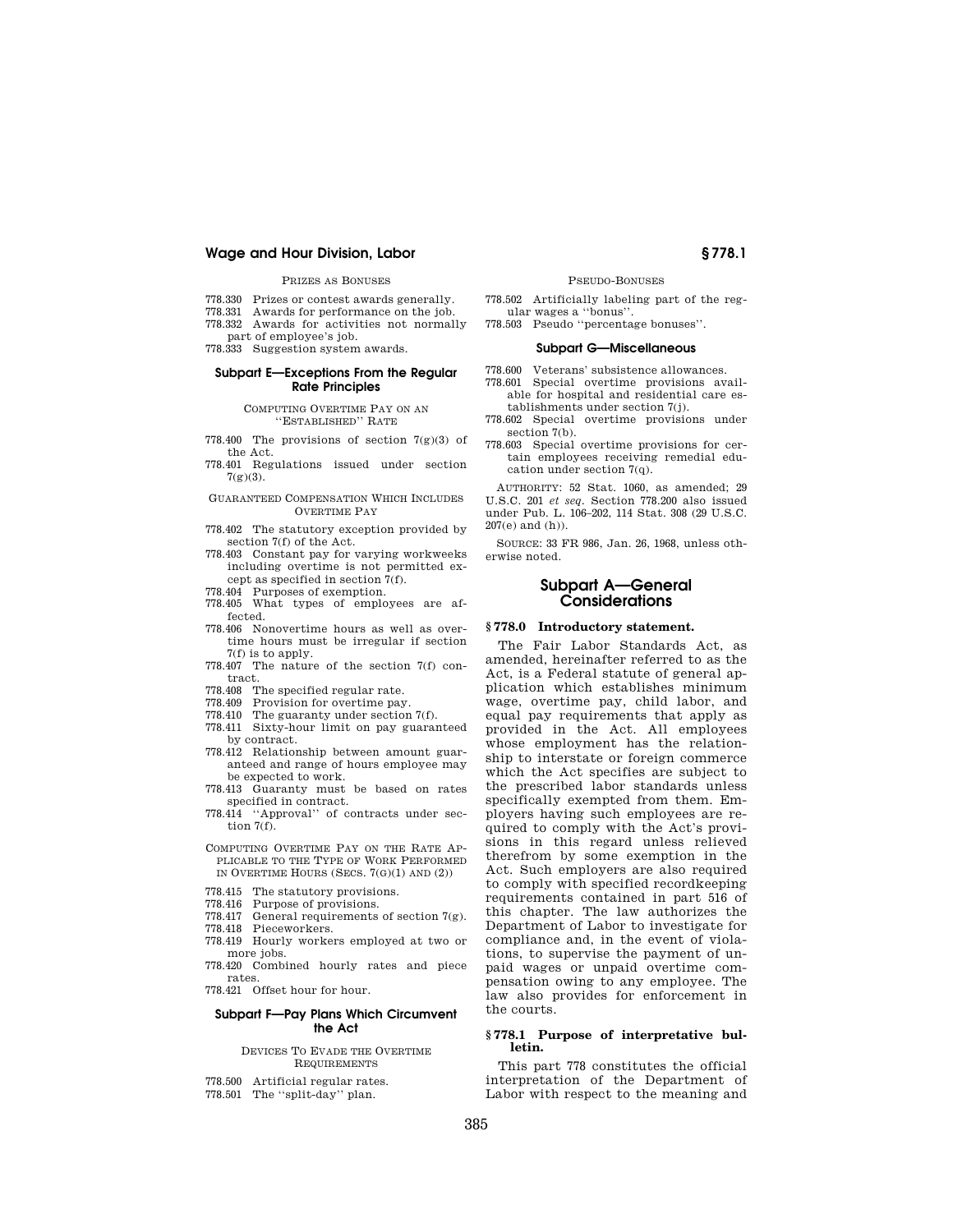#### PRIZES AS BONUSES

- 778.330 Prizes or contest awards generally.
- 778.331 Awards for performance on the job.
- 778.332 Awards for activities not normally part of employee's job.

778.333 Suggestion system awards.

#### **Subpart E—Exceptions From the Regular Rate Principles**

#### COMPUTING OVERTIME PAY ON AN ''ESTABLISHED'' RATE

- 778.400 The provisions of section  $7(g)(3)$  of the Act.
- 778.401 Regulations issued under section  $7(g)(3)$ .

GUARANTEED COMPENSATION WHICH INCLUDES OVERTIME PAY

- 778.402 The statutory exception provided by section 7(f) of the Act.
- 778.403 Constant pay for varying workweeks including overtime is not permitted except as specified in section 7(f).
- 778.404 Purposes of exemption.
- 778.405 What types of employees are affected.
- 778.406 Nonovertime hours as well as overtime hours must be irregular if section 7(f) is to apply.
- 778.407 The nature of the section 7(f) contract.
- 778.408 The specified regular rate.
- 778.409 Provision for overtime pay.
- 778.410 The guaranty under section 7(f).
- 778.411 Sixty-hour limit on pay guaranteed by contract.
- 778.412 Relationship between amount guaranteed and range of hours employee may be expected to work.
- 778.413 Guaranty must be based on rates specified in contract.
- 778.414 ''Approval'' of contracts under section 7(f).
- COMPUTING OVERTIME PAY ON THE RATE AP-PLICABLE TO THE TYPE OF WORK PERFORMED IN OVERTIME HOURS (SECS.  $7(G)(1)$  AND  $(2)$ )
- 778.415 The statutory provisions.
- 778.416 Purpose of provisions.
- 778.417 General requirements of section 7(g). 778.418 Pieceworkers.
- 778.419 Hourly workers employed at two or more jobs.
- 778.420 Combined hourly rates and piece rates.
- 778.421 Offset hour for hour.

#### **Subpart F—Pay Plans Which Circumvent the Act**

#### DEVICES TO EVADE THE OVERTIME REQUIREMENTS

- 778.500 Artificial regular rates.
- 778.501 The ''split-day'' plan.

#### PSEUDO-BONUSES

- 778.502 Artificially labeling part of the regular wages a ''bonus''.
- 778.503 Pseudo ''percentage bonuses''.

### **Subpart G—Miscellaneous**

- 778.600 Veterans' subsistence allowances. 778.601 Special overtime provisions available for hospital and residential care establishments under section 7(j).
- 778.602 Special overtime provisions under section 7(b).
- 778.603 Special overtime provisions for certain employees receiving remedial education under section 7(q).

AUTHORITY: 52 Stat. 1060, as amended; 29 U.S.C. 201 *et seq.* Section 778.200 also issued under Pub. L. 106–202, 114 Stat. 308 (29 U.S.C. 207(e) and (h)).

SOURCE: 33 FR 986, Jan. 26, 1968, unless otherwise noted.

# **Subpart A—General Considerations**

#### **§ 778.0 Introductory statement.**

The Fair Labor Standards Act, as amended, hereinafter referred to as the Act, is a Federal statute of general application which establishes minimum wage, overtime pay, child labor, and equal pay requirements that apply as provided in the Act. All employees whose employment has the relationship to interstate or foreign commerce which the Act specifies are subject to the prescribed labor standards unless specifically exempted from them. Employers having such employees are required to comply with the Act's provisions in this regard unless relieved therefrom by some exemption in the Act. Such employers are also required to comply with specified recordkeeping requirements contained in part 516 of this chapter. The law authorizes the Department of Labor to investigate for compliance and, in the event of violations, to supervise the payment of unpaid wages or unpaid overtime compensation owing to any employee. The law also provides for enforcement in the courts.

#### **§ 778.1 Purpose of interpretative bulletin.**

This part 778 constitutes the official interpretation of the Department of Labor with respect to the meaning and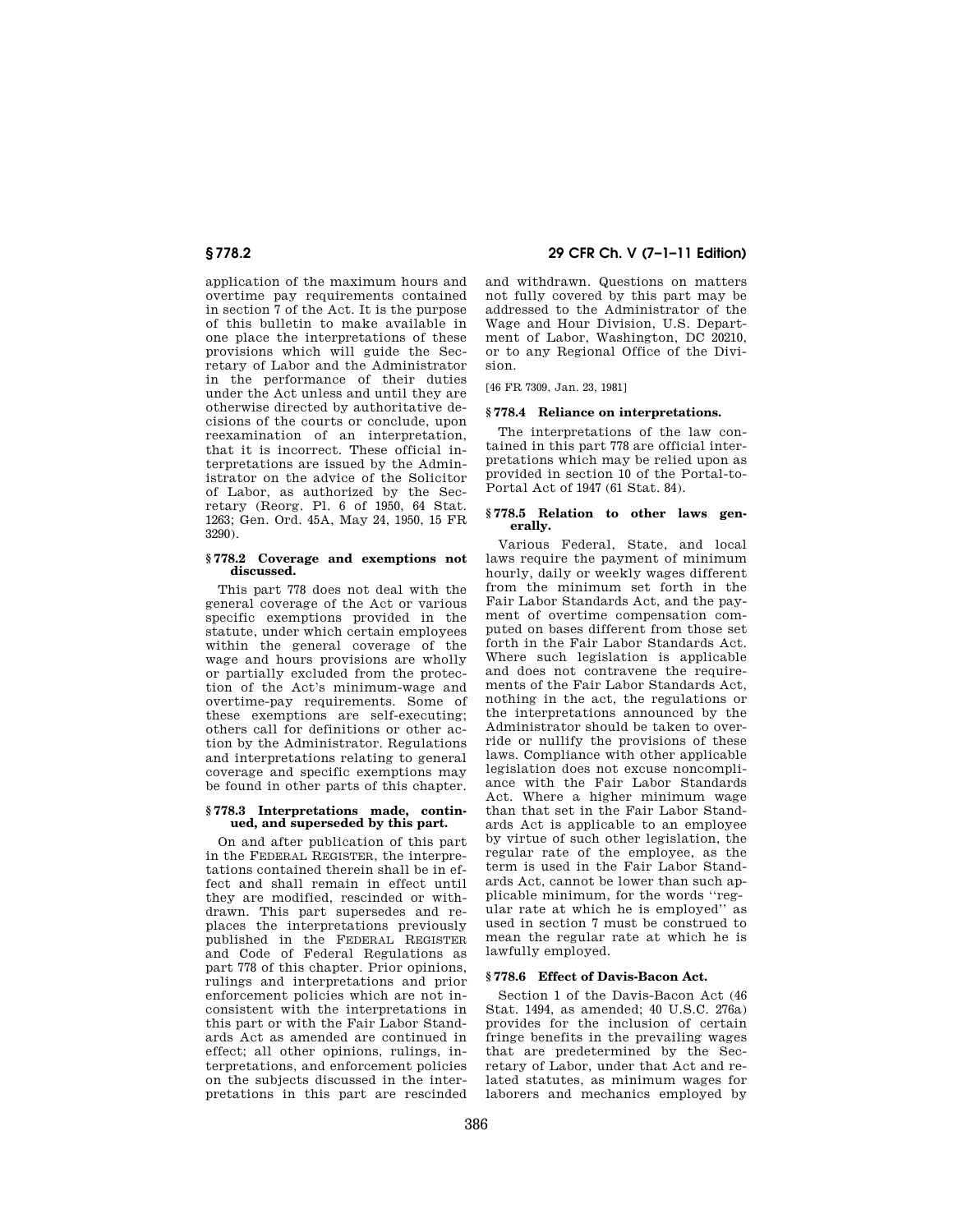# **§ 778.2 29 CFR Ch. V (7–1–11 Edition)**

application of the maximum hours and overtime pay requirements contained in section 7 of the Act. It is the purpose of this bulletin to make available in one place the interpretations of these provisions which will guide the Secretary of Labor and the Administrator in the performance of their duties under the Act unless and until they are otherwise directed by authoritative decisions of the courts or conclude, upon reexamination of an interpretation, that it is incorrect. These official interpretations are issued by the Administrator on the advice of the Solicitor of Labor, as authorized by the Secretary (Reorg. Pl. 6 of 1950, 64 Stat. 1263; Gen. Ord. 45A, May 24, 1950, 15 FR 3290).

#### **§ 778.2 Coverage and exemptions not discussed.**

This part 778 does not deal with the general coverage of the Act or various specific exemptions provided in the statute, under which certain employees within the general coverage of the wage and hours provisions are wholly or partially excluded from the protection of the Act's minimum-wage and overtime-pay requirements. Some of these exemptions are self-executing; others call for definitions or other action by the Administrator. Regulations and interpretations relating to general coverage and specific exemptions may be found in other parts of this chapter.

#### **§ 778.3 Interpretations made, continued, and superseded by this part.**

On and after publication of this part in the FEDERAL REGISTER, the interpretations contained therein shall be in effect and shall remain in effect until they are modified, rescinded or withdrawn. This part supersedes and replaces the interpretations previously published in the FEDERAL REGISTER and Code of Federal Regulations as part 778 of this chapter. Prior opinions, rulings and interpretations and prior enforcement policies which are not inconsistent with the interpretations in this part or with the Fair Labor Standards Act as amended are continued in effect; all other opinions, rulings, interpretations, and enforcement policies on the subjects discussed in the interpretations in this part are rescinded and withdrawn. Questions on matters not fully covered by this part may be addressed to the Administrator of the Wage and Hour Division, U.S. Department of Labor, Washington, DC 20210, or to any Regional Office of the Division.

[46 FR 7309, Jan. 23, 1981]

## **§ 778.4 Reliance on interpretations.**

The interpretations of the law contained in this part 778 are official interpretations which may be relied upon as provided in section 10 of the Portal-to-Portal Act of 1947 (61 Stat. 84).

#### **§ 778.5 Relation to other laws generally.**

Various Federal, State, and local laws require the payment of minimum hourly, daily or weekly wages different from the minimum set forth in the Fair Labor Standards Act, and the payment of overtime compensation computed on bases different from those set forth in the Fair Labor Standards Act. Where such legislation is applicable and does not contravene the requirements of the Fair Labor Standards Act, nothing in the act, the regulations or the interpretations announced by the Administrator should be taken to override or nullify the provisions of these laws. Compliance with other applicable legislation does not excuse noncompliance with the Fair Labor Standards Act. Where a higher minimum wage than that set in the Fair Labor Standards Act is applicable to an employee by virtue of such other legislation, the regular rate of the employee, as the term is used in the Fair Labor Standards Act, cannot be lower than such applicable minimum, for the words ''regular rate at which he is employed'' as used in section 7 must be construed to mean the regular rate at which he is lawfully employed.

# **§ 778.6 Effect of Davis-Bacon Act.**

Section 1 of the Davis-Bacon Act (46 Stat. 1494, as amended; 40 U.S.C. 276a) provides for the inclusion of certain fringe benefits in the prevailing wages that are predetermined by the Secretary of Labor, under that Act and related statutes, as minimum wages for laborers and mechanics employed by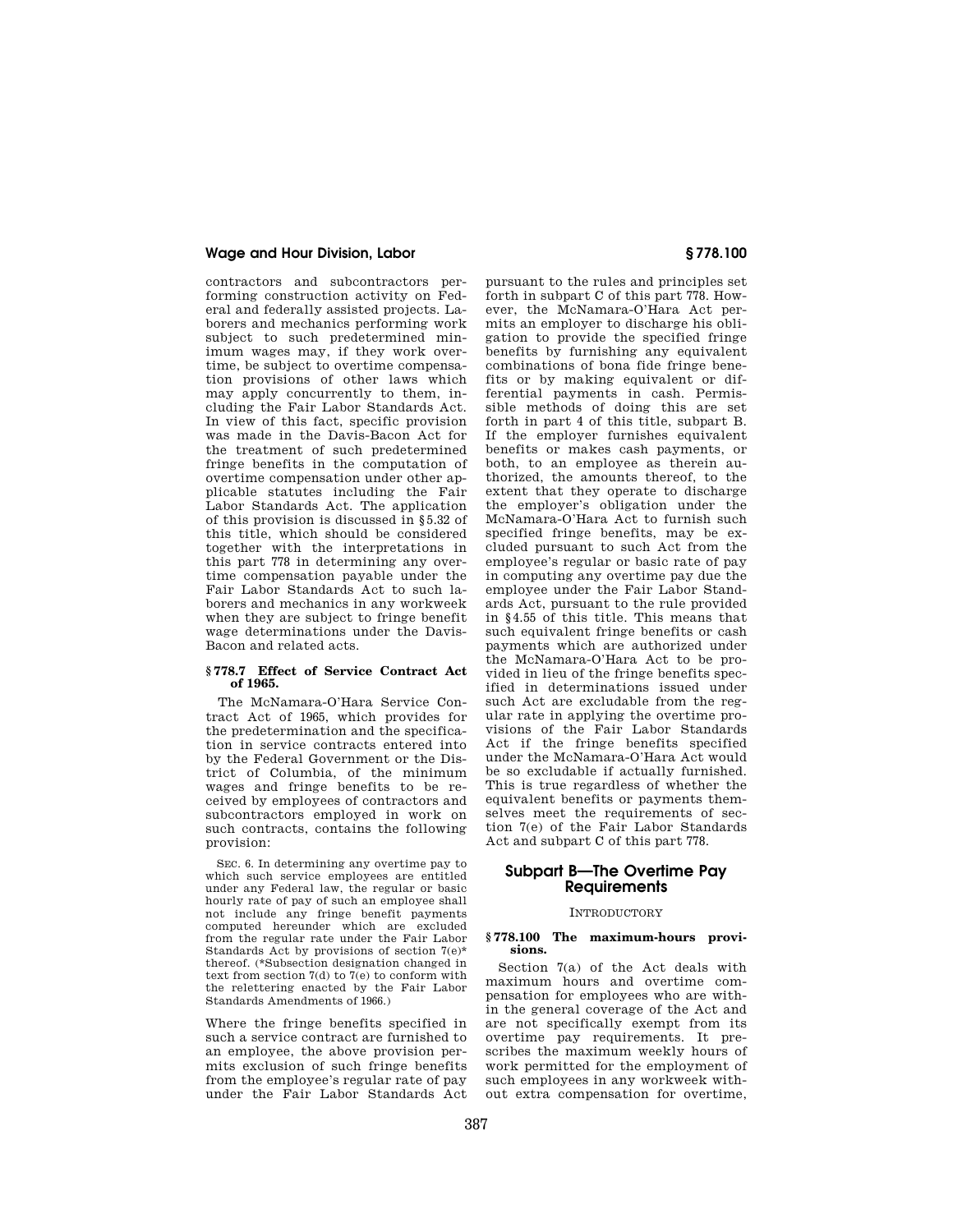contractors and subcontractors performing construction activity on Federal and federally assisted projects. Laborers and mechanics performing work subject to such predetermined minimum wages may, if they work overtime, be subject to overtime compensation provisions of other laws which may apply concurrently to them, including the Fair Labor Standards Act. In view of this fact, specific provision was made in the Davis-Bacon Act for the treatment of such predetermined fringe benefits in the computation of overtime compensation under other applicable statutes including the Fair Labor Standards Act. The application of this provision is discussed in §5.32 of this title, which should be considered together with the interpretations in this part 778 in determining any overtime compensation payable under the Fair Labor Standards Act to such laborers and mechanics in any workweek when they are subject to fringe benefit wage determinations under the Davis-Bacon and related acts.

#### **§ 778.7 Effect of Service Contract Act of 1965.**

The McNamara-O'Hara Service Contract Act of 1965, which provides for the predetermination and the specification in service contracts entered into by the Federal Government or the District of Columbia, of the minimum wages and fringe benefits to be received by employees of contractors and subcontractors employed in work on such contracts, contains the following provision:

SEC. 6. In determining any overtime pay to which such service employees are entitled under any Federal law, the regular or basic hourly rate of pay of such an employee shall not include any fringe benefit payments computed hereunder which are excluded from the regular rate under the Fair Labor Standards Act by provisions of section 7(e)\* thereof. (\*Subsection designation changed in text from section 7(d) to 7(e) to conform with the relettering enacted by the Fair Labor Standards Amendments of 1966.)

Where the fringe benefits specified in such a service contract are furnished to an employee, the above provision permits exclusion of such fringe benefits from the employee's regular rate of pay under the Fair Labor Standards Act

pursuant to the rules and principles set forth in subpart C of this part 778. However, the McNamara-O'Hara Act permits an employer to discharge his obligation to provide the specified fringe benefits by furnishing any equivalent combinations of bona fide fringe benefits or by making equivalent or differential payments in cash. Permissible methods of doing this are set forth in part 4 of this title, subpart B. If the employer furnishes equivalent benefits or makes cash payments, or both, to an employee as therein authorized, the amounts thereof, to the extent that they operate to discharge the employer's obligation under the McNamara-O'Hara Act to furnish such specified fringe benefits, may be excluded pursuant to such Act from the employee's regular or basic rate of pay in computing any overtime pay due the employee under the Fair Labor Standards Act, pursuant to the rule provided in §4.55 of this title. This means that such equivalent fringe benefits or cash payments which are authorized under the McNamara-O'Hara Act to be provided in lieu of the fringe benefits specified in determinations issued under such Act are excludable from the regular rate in applying the overtime provisions of the Fair Labor Standards Act if the fringe benefits specified under the McNamara-O'Hara Act would be so excludable if actually furnished. This is true regardless of whether the equivalent benefits or payments themselves meet the requirements of section 7(e) of the Fair Labor Standards Act and subpart C of this part 778.

# **Subpart B—The Overtime Pay Requirements**

#### INTRODUCTORY

#### **§ 778.100 The maximum-hours provisions.**

Section 7(a) of the Act deals with maximum hours and overtime compensation for employees who are within the general coverage of the Act and are not specifically exempt from its overtime pay requirements. It prescribes the maximum weekly hours of work permitted for the employment of such employees in any workweek without extra compensation for overtime,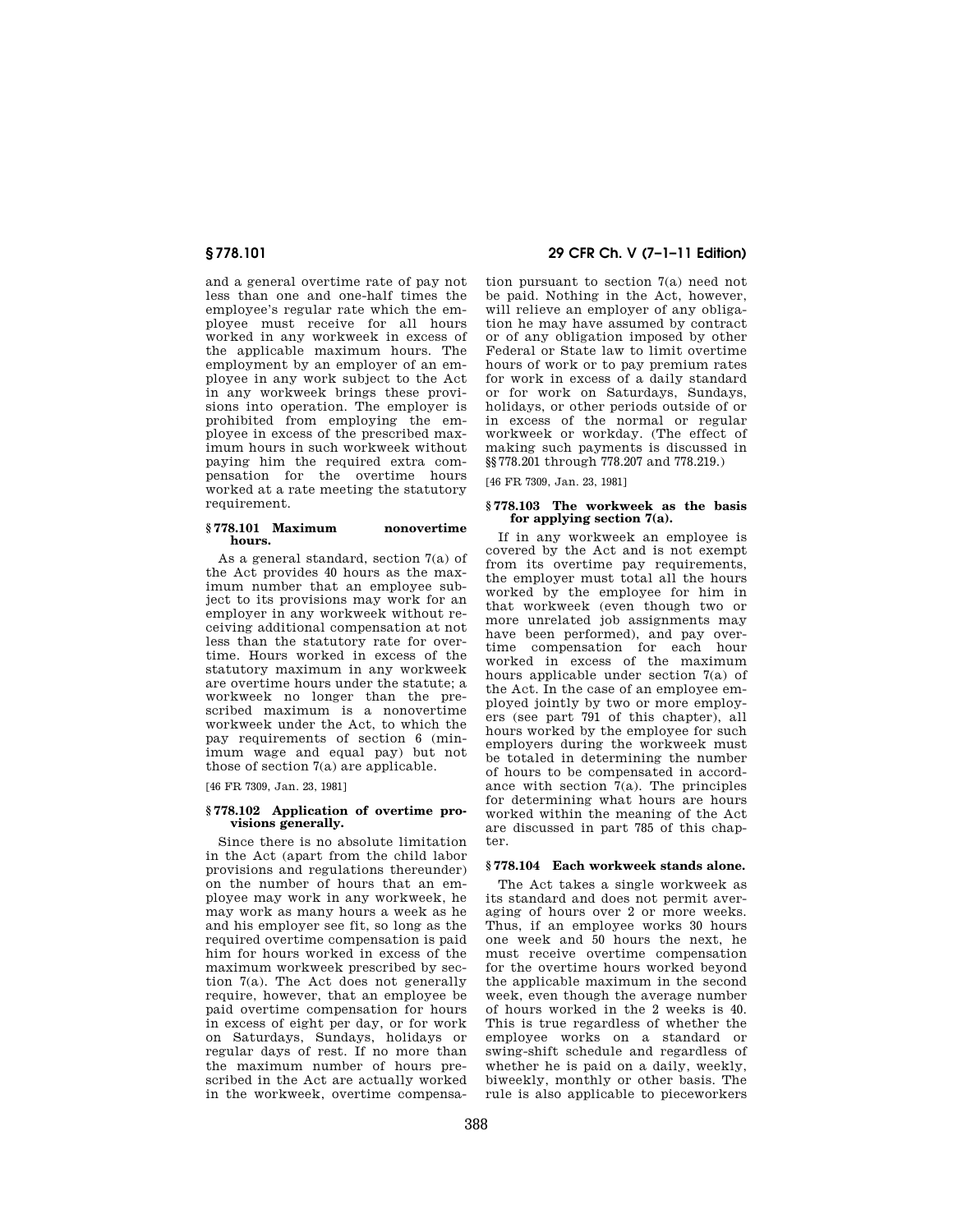and a general overtime rate of pay not less than one and one-half times the employee's regular rate which the employee must receive for all hours worked in any workweek in excess of the applicable maximum hours. The employment by an employer of an employee in any work subject to the Act in any workweek brings these provisions into operation. The employer is prohibited from employing the employee in excess of the prescribed maximum hours in such workweek without paying him the required extra compensation for the overtime hours worked at a rate meeting the statutory requirement.

#### **§ 778.101 Maximum nonovertime hours.**

As a general standard, section 7(a) of the Act provides 40 hours as the maximum number that an employee subject to its provisions may work for an employer in any workweek without receiving additional compensation at not less than the statutory rate for overtime. Hours worked in excess of the statutory maximum in any workweek are overtime hours under the statute; a workweek no longer than the prescribed maximum is a nonovertime workweek under the Act, to which the pay requirements of section 6 (minimum wage and equal pay) but not those of section 7(a) are applicable.

[46 FR 7309, Jan. 23, 1981]

#### **§ 778.102 Application of overtime provisions generally.**

Since there is no absolute limitation in the Act (apart from the child labor provisions and regulations thereunder) on the number of hours that an employee may work in any workweek, he may work as many hours a week as he and his employer see fit, so long as the required overtime compensation is paid him for hours worked in excess of the maximum workweek prescribed by section 7(a). The Act does not generally require, however, that an employee be paid overtime compensation for hours in excess of eight per day, or for work on Saturdays, Sundays, holidays or regular days of rest. If no more than the maximum number of hours prescribed in the Act are actually worked in the workweek, overtime compensa-

# **§ 778.101 29 CFR Ch. V (7–1–11 Edition)**

tion pursuant to section 7(a) need not be paid. Nothing in the Act, however, will relieve an employer of any obligation he may have assumed by contract or of any obligation imposed by other Federal or State law to limit overtime hours of work or to pay premium rates for work in excess of a daily standard or for work on Saturdays, Sundays, holidays, or other periods outside of or in excess of the normal or regular workweek or workday. (The effect of making such payments is discussed in §§778.201 through 778.207 and 778.219.)

[46 FR 7309, Jan. 23, 1981]

#### **§ 778.103 The workweek as the basis for applying section 7(a).**

If in any workweek an employee is covered by the Act and is not exempt from its overtime pay requirements, the employer must total all the hours worked by the employee for him in that workweek (even though two or more unrelated job assignments may have been performed), and pay overtime compensation for each hour worked in excess of the maximum hours applicable under section 7(a) of the Act. In the case of an employee employed jointly by two or more employers (see part 791 of this chapter), all hours worked by the employee for such employers during the workweek must be totaled in determining the number of hours to be compensated in accordance with section 7(a). The principles for determining what hours are hours worked within the meaning of the Act are discussed in part 785 of this chapter.

# **§ 778.104 Each workweek stands alone.**

The Act takes a single workweek as its standard and does not permit averaging of hours over 2 or more weeks. Thus, if an employee works 30 hours one week and 50 hours the next, he must receive overtime compensation for the overtime hours worked beyond the applicable maximum in the second week, even though the average number of hours worked in the 2 weeks is 40. This is true regardless of whether the employee works on a standard or swing-shift schedule and regardless of whether he is paid on a daily, weekly, biweekly, monthly or other basis. The rule is also applicable to pieceworkers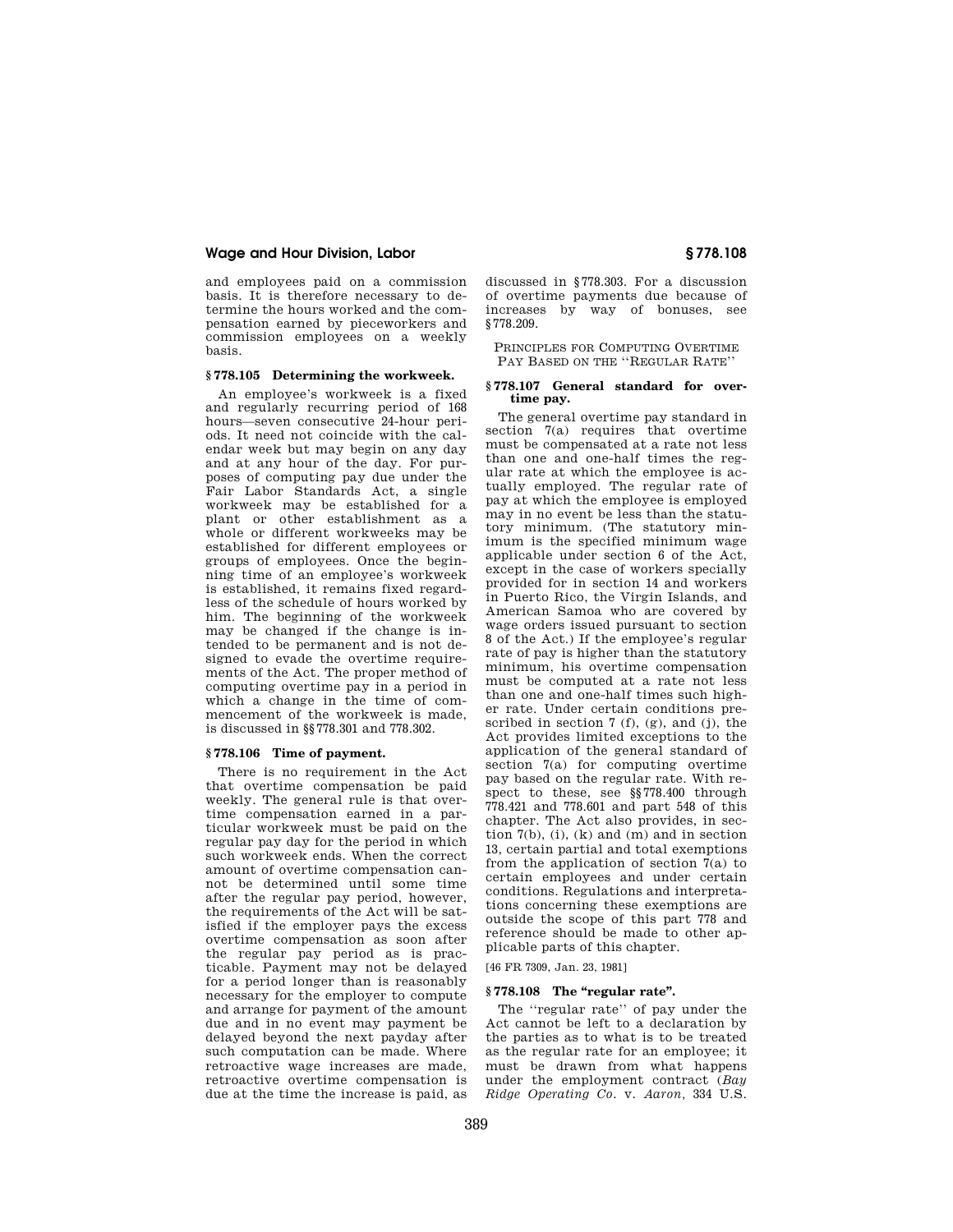and employees paid on a commission basis. It is therefore necessary to determine the hours worked and the compensation earned by pieceworkers and commission employees on a weekly basis.

# **§ 778.105 Determining the workweek.**

An employee's workweek is a fixed and regularly recurring period of 168 hours—seven consecutive 24-hour periods. It need not coincide with the calendar week but may begin on any day and at any hour of the day. For purposes of computing pay due under the Fair Labor Standards Act, a single workweek may be established for a plant or other establishment as a whole or different workweeks may be established for different employees or groups of employees. Once the beginning time of an employee's workweek is established, it remains fixed regardless of the schedule of hours worked by him. The beginning of the workweek may be changed if the change is intended to be permanent and is not designed to evade the overtime requirements of the Act. The proper method of computing overtime pay in a period in which a change in the time of commencement of the workweek is made, is discussed in §§778.301 and 778.302.

#### **§ 778.106 Time of payment.**

There is no requirement in the Act that overtime compensation be paid weekly. The general rule is that overtime compensation earned in a particular workweek must be paid on the regular pay day for the period in which such workweek ends. When the correct amount of overtime compensation cannot be determined until some time after the regular pay period, however, the requirements of the Act will be satisfied if the employer pays the excess overtime compensation as soon after the regular pay period as is practicable. Payment may not be delayed for a period longer than is reasonably necessary for the employer to compute and arrange for payment of the amount due and in no event may payment be delayed beyond the next payday after such computation can be made. Where retroactive wage increases are made, retroactive overtime compensation is due at the time the increase is paid, as

discussed in §778.303. For a discussion of overtime payments due because of increases by way of bonuses, see §778.209.

PRINCIPLES FOR COMPUTING OVERTIME PAY BASED ON THE ''REGULAR RATE''

#### **§ 778.107 General standard for overtime pay.**

The general overtime pay standard in section 7(a) requires that overtime must be compensated at a rate not less than one and one-half times the regular rate at which the employee is actually employed. The regular rate of pay at which the employee is employed may in no event be less than the statutory minimum. (The statutory minimum is the specified minimum wage applicable under section 6 of the Act, except in the case of workers specially provided for in section 14 and workers in Puerto Rico, the Virgin Islands, and American Samoa who are covered by wage orders issued pursuant to section 8 of the Act.) If the employee's regular rate of pay is higher than the statutory minimum, his overtime compensation must be computed at a rate not less than one and one-half times such higher rate. Under certain conditions prescribed in section  $7(f)$ ,  $(g)$ , and  $(j)$ , the Act provides limited exceptions to the application of the general standard of section 7(a) for computing overtime pay based on the regular rate. With respect to these, see §§778.400 through 778.421 and 778.601 and part 548 of this chapter. The Act also provides, in section  $7(b)$ , (i), (k) and (m) and in section 13, certain partial and total exemptions from the application of section 7(a) to certain employees and under certain conditions. Regulations and interpretations concerning these exemptions are outside the scope of this part 778 and reference should be made to other applicable parts of this chapter.

[46 FR 7309, Jan. 23, 1981]

#### § 778.108 The "regular rate".

The ''regular rate'' of pay under the Act cannot be left to a declaration by the parties as to what is to be treated as the regular rate for an employee; it must be drawn from what happens under the employment contract (*Bay Ridge Operating Co.* v. *Aaron,* 334 U.S.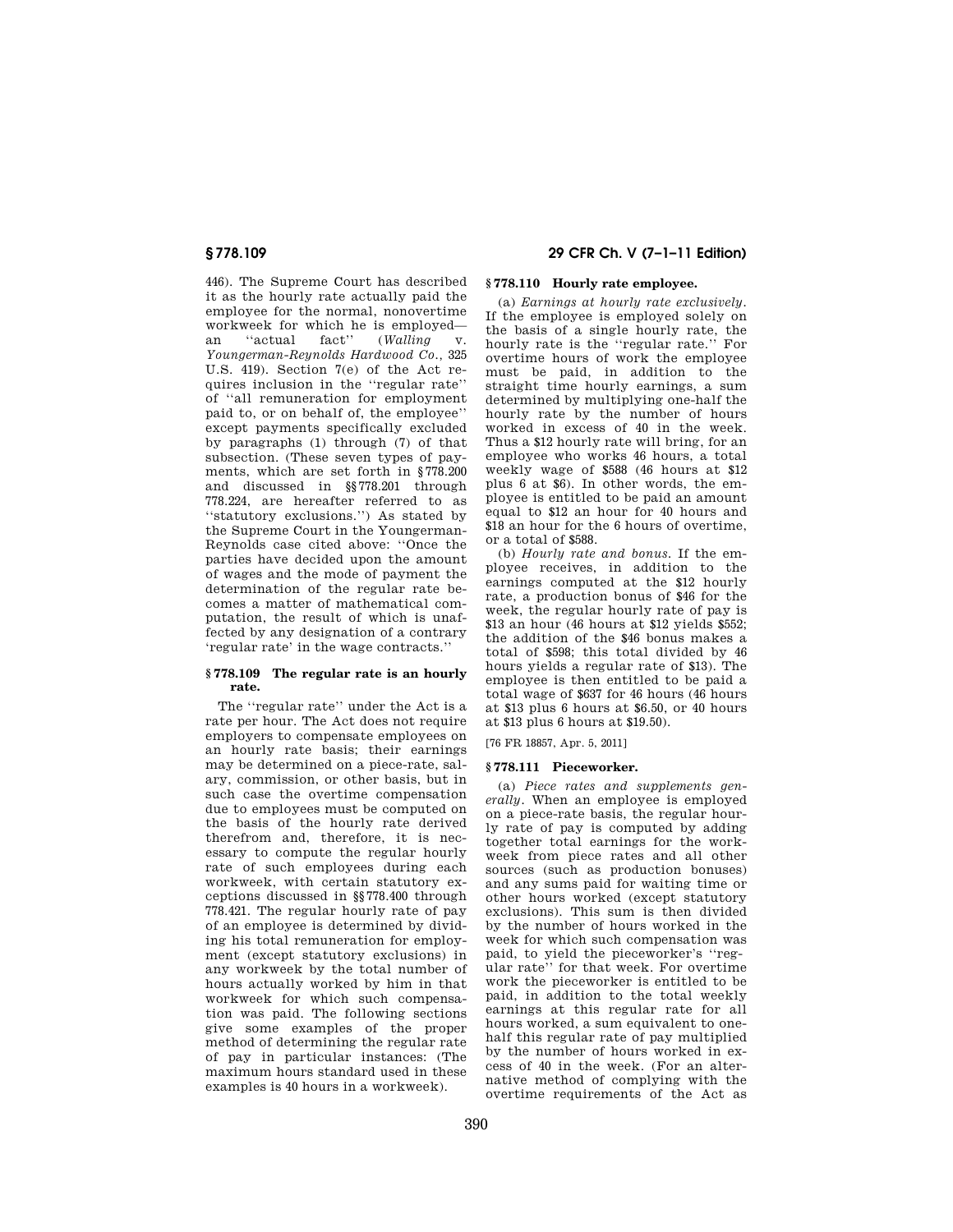446). The Supreme Court has described it as the hourly rate actually paid the employee for the normal, nonovertime workweek for which he is employed an ''actual fact'' (*Walling* v. *Youngerman-Reynolds Hardwood Co.,* 325 U.S. 419). Section 7(e) of the Act requires inclusion in the ''regular rate'' of ''all remuneration for employment paid to, or on behalf of, the employee'' except payments specifically excluded by paragraphs (1) through (7) of that subsection. (These seven types of payments, which are set forth in §778.200 and discussed in §§778.201 through 778.224, are hereafter referred to as ''statutory exclusions.'') As stated by the Supreme Court in the Youngerman-Reynolds case cited above: ''Once the parties have decided upon the amount of wages and the mode of payment the determination of the regular rate becomes a matter of mathematical computation, the result of which is unaffected by any designation of a contrary 'regular rate' in the wage contracts.''

#### **§ 778.109 The regular rate is an hourly rate.**

The ''regular rate'' under the Act is a rate per hour. The Act does not require employers to compensate employees on an hourly rate basis; their earnings may be determined on a piece-rate, salary, commission, or other basis, but in such case the overtime compensation due to employees must be computed on the basis of the hourly rate derived therefrom and, therefore, it is necessary to compute the regular hourly rate of such employees during each workweek, with certain statutory exceptions discussed in §§778.400 through 778.421. The regular hourly rate of pay of an employee is determined by dividing his total remuneration for employment (except statutory exclusions) in any workweek by the total number of hours actually worked by him in that workweek for which such compensation was paid. The following sections give some examples of the proper method of determining the regular rate of pay in particular instances: (The maximum hours standard used in these examples is 40 hours in a workweek).

# **§ 778.109 29 CFR Ch. V (7–1–11 Edition)**

### **§ 778.110 Hourly rate employee.**

(a) *Earnings at hourly rate exclusively.*  If the employee is employed solely on the basis of a single hourly rate, the hourly rate is the ''regular rate.'' For overtime hours of work the employee must be paid, in addition to the straight time hourly earnings, a sum determined by multiplying one-half the hourly rate by the number of hours worked in excess of 40 in the week. Thus a \$12 hourly rate will bring, for an employee who works 46 hours, a total weekly wage of \$588 (46 hours at \$12 plus 6 at \$6). In other words, the employee is entitled to be paid an amount equal to \$12 an hour for 40 hours and \$18 an hour for the 6 hours of overtime, or a total of \$588.

(b) *Hourly rate and bonus.* If the employee receives, in addition to the earnings computed at the \$12 hourly rate, a production bonus of \$46 for the week, the regular hourly rate of pay is \$13 an hour (46 hours at \$12 yields \$552; the addition of the \$46 bonus makes a total of \$598; this total divided by 46 hours yields a regular rate of \$13). The employee is then entitled to be paid a total wage of \$637 for 46 hours (46 hours at \$13 plus 6 hours at \$6.50, or 40 hours at \$13 plus 6 hours at \$19.50).

[76 FR 18857, Apr. 5, 2011]

## **§ 778.111 Pieceworker.**

(a) *Piece rates and supplements generally.* When an employee is employed on a piece-rate basis, the regular hourly rate of pay is computed by adding together total earnings for the workweek from piece rates and all other sources (such as production bonuses) and any sums paid for waiting time or other hours worked (except statutory exclusions). This sum is then divided by the number of hours worked in the week for which such compensation was paid, to yield the pieceworker's ''regular rate'' for that week. For overtime work the pieceworker is entitled to be paid, in addition to the total weekly earnings at this regular rate for all hours worked, a sum equivalent to onehalf this regular rate of pay multiplied by the number of hours worked in excess of 40 in the week. (For an alternative method of complying with the overtime requirements of the Act as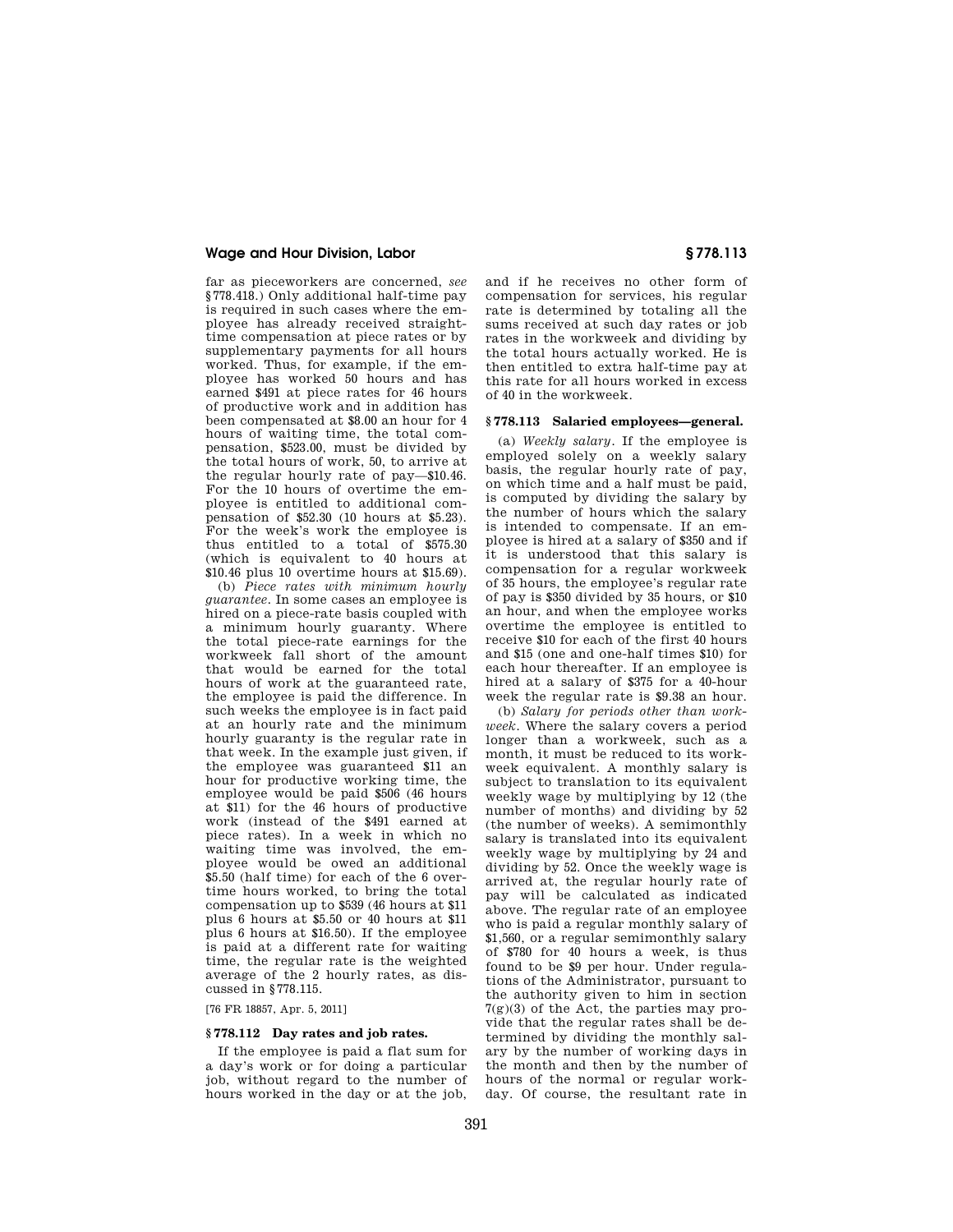far as pieceworkers are concerned, *see*  §778.418.) Only additional half-time pay is required in such cases where the employee has already received straighttime compensation at piece rates or by supplementary payments for all hours worked. Thus, for example, if the employee has worked 50 hours and has earned \$491 at piece rates for 46 hours of productive work and in addition has been compensated at \$8.00 an hour for 4 hours of waiting time, the total compensation, \$523.00, must be divided by the total hours of work, 50, to arrive at the regular hourly rate of pay—\$10.46. For the 10 hours of overtime the employee is entitled to additional compensation of \$52.30 (10 hours at \$5.23). For the week's work the employee is thus entitled to a total of \$575.30 (which is equivalent to 40 hours at \$10.46 plus 10 overtime hours at \$15.69).

(b) *Piece rates with minimum hourly guarantee.* In some cases an employee is hired on a piece-rate basis coupled with a minimum hourly guaranty. Where the total piece-rate earnings for the workweek fall short of the amount that would be earned for the total hours of work at the guaranteed rate, the employee is paid the difference. In such weeks the employee is in fact paid at an hourly rate and the minimum hourly guaranty is the regular rate in that week. In the example just given, if the employee was guaranteed \$11 an hour for productive working time, the employee would be paid \$506 (46 hours at \$11) for the 46 hours of productive work (instead of the \$491 earned at piece rates). In a week in which no waiting time was involved, the employee would be owed an additional \$5.50 (half time) for each of the 6 overtime hours worked, to bring the total compensation up to \$539 (46 hours at \$11 plus 6 hours at \$5.50 or 40 hours at \$11 plus 6 hours at \$16.50). If the employee is paid at a different rate for waiting time, the regular rate is the weighted average of the 2 hourly rates, as discussed in §778.115.

[76 FR 18857, Apr. 5, 2011]

#### **§ 778.112 Day rates and job rates.**

If the employee is paid a flat sum for a day's work or for doing a particular job, without regard to the number of hours worked in the day or at the job,

and if he receives no other form of compensation for services, his regular rate is determined by totaling all the sums received at such day rates or job rates in the workweek and dividing by the total hours actually worked. He is then entitled to extra half-time pay at this rate for all hours worked in excess of 40 in the workweek.

#### **§ 778.113 Salaried employees—general.**

(a) *Weekly salary.* If the employee is employed solely on a weekly salary basis, the regular hourly rate of pay, on which time and a half must be paid, is computed by dividing the salary by the number of hours which the salary is intended to compensate. If an employee is hired at a salary of \$350 and if it is understood that this salary is compensation for a regular workweek of 35 hours, the employee's regular rate of pay is \$350 divided by 35 hours, or \$10 an hour, and when the employee works overtime the employee is entitled to receive \$10 for each of the first 40 hours and \$15 (one and one-half times \$10) for each hour thereafter. If an employee is hired at a salary of \$375 for a 40-hour week the regular rate is \$9.38 an hour.

(b) *Salary for periods other than workweek.* Where the salary covers a period longer than a workweek, such as a month, it must be reduced to its workweek equivalent. A monthly salary is subject to translation to its equivalent weekly wage by multiplying by 12 (the number of months) and dividing by 52 (the number of weeks). A semimonthly salary is translated into its equivalent weekly wage by multiplying by 24 and dividing by 52. Once the weekly wage is arrived at, the regular hourly rate of pay will be calculated as indicated above. The regular rate of an employee who is paid a regular monthly salary of \$1,560, or a regular semimonthly salary of \$780 for 40 hours a week, is thus found to be \$9 per hour. Under regulations of the Administrator, pursuant to the authority given to him in section 7(g)(3) of the Act, the parties may provide that the regular rates shall be determined by dividing the monthly salary by the number of working days in the month and then by the number of hours of the normal or regular workday. Of course, the resultant rate in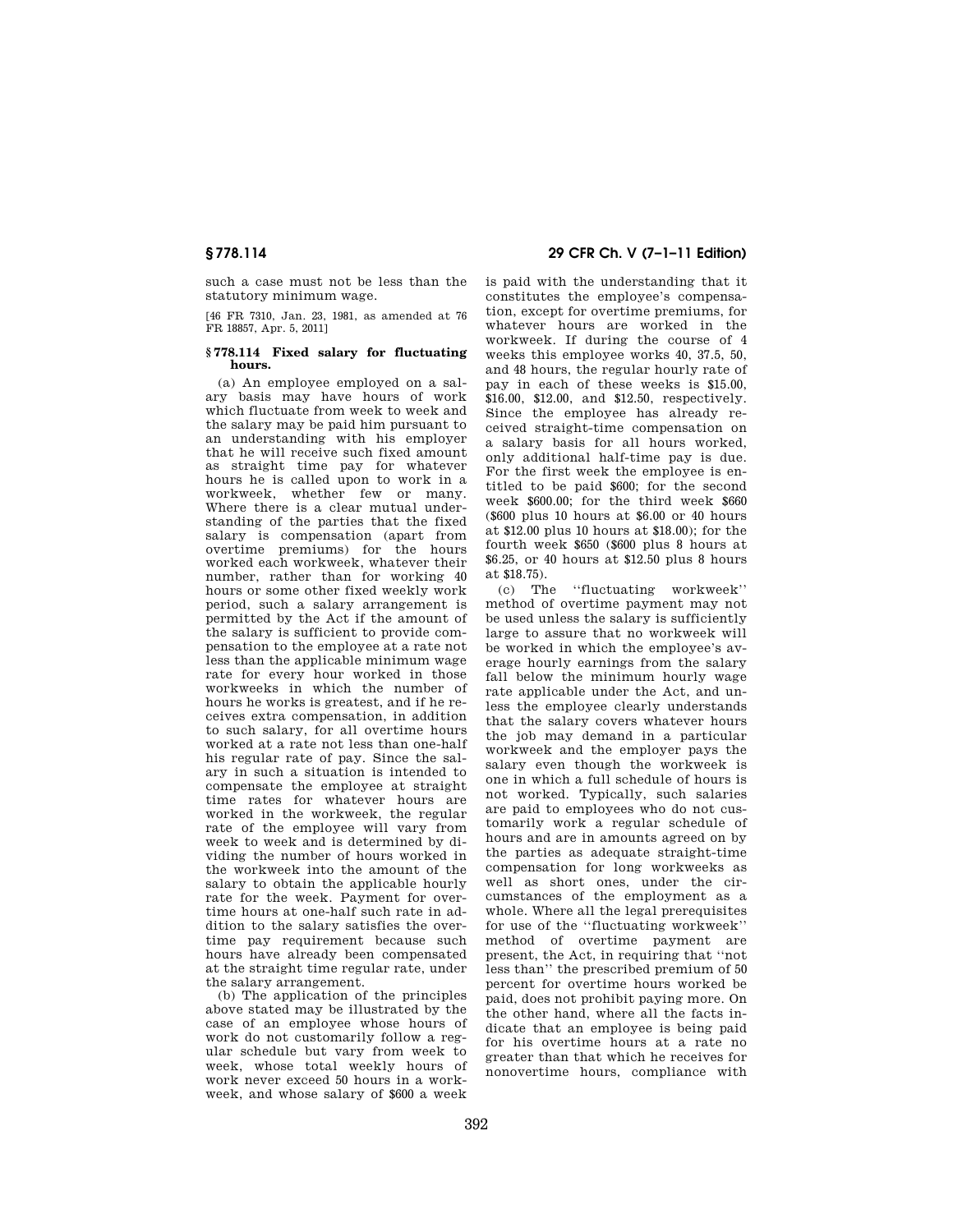such a case must not be less than the statutory minimum wage.

[46 FR 7310, Jan. 23, 1981, as amended at 76 FR 18857, Apr. 5, 2011]

#### **§ 778.114 Fixed salary for fluctuating hours.**

(a) An employee employed on a salary basis may have hours of work which fluctuate from week to week and the salary may be paid him pursuant to an understanding with his employer that he will receive such fixed amount as straight time pay for whatever hours he is called upon to work in a workweek, whether few or many. Where there is a clear mutual understanding of the parties that the fixed salary is compensation (apart from overtime premiums) for the hours worked each workweek, whatever their number, rather than for working 40 hours or some other fixed weekly work period, such a salary arrangement is permitted by the Act if the amount of the salary is sufficient to provide compensation to the employee at a rate not less than the applicable minimum wage rate for every hour worked in those workweeks in which the number of hours he works is greatest, and if he receives extra compensation, in addition to such salary, for all overtime hours worked at a rate not less than one-half his regular rate of pay. Since the salary in such a situation is intended to compensate the employee at straight time rates for whatever hours are worked in the workweek, the regular rate of the employee will vary from week to week and is determined by dividing the number of hours worked in the workweek into the amount of the salary to obtain the applicable hourly rate for the week. Payment for overtime hours at one-half such rate in addition to the salary satisfies the overtime pay requirement because such hours have already been compensated at the straight time regular rate, under the salary arrangement.

(b) The application of the principles above stated may be illustrated by the case of an employee whose hours of work do not customarily follow a regular schedule but vary from week to week, whose total weekly hours of work never exceed 50 hours in a workweek, and whose salary of \$600 a week

# **§ 778.114 29 CFR Ch. V (7–1–11 Edition)**

is paid with the understanding that it constitutes the employee's compensation, except for overtime premiums, for whatever hours are worked in the workweek. If during the course of 4 weeks this employee works 40, 37.5, 50, and 48 hours, the regular hourly rate of pay in each of these weeks is \$15.00, \$16.00, \$12.00, and \$12.50, respectively. Since the employee has already received straight-time compensation on a salary basis for all hours worked, only additional half-time pay is due. For the first week the employee is entitled to be paid \$600; for the second week \$600.00; for the third week \$660 (\$600 plus 10 hours at \$6.00 or 40 hours at \$12.00 plus 10 hours at \$18.00); for the fourth week \$650 (\$600 plus 8 hours at \$6.25, or 40 hours at \$12.50 plus 8 hours at \$18.75).

(c) The ''fluctuating workweek'' method of overtime payment may not be used unless the salary is sufficiently large to assure that no workweek will be worked in which the employee's average hourly earnings from the salary fall below the minimum hourly wage rate applicable under the Act, and unless the employee clearly understands that the salary covers whatever hours the job may demand in a particular workweek and the employer pays the salary even though the workweek is one in which a full schedule of hours is not worked. Typically, such salaries are paid to employees who do not customarily work a regular schedule of hours and are in amounts agreed on by the parties as adequate straight-time compensation for long workweeks as well as short ones, under the circumstances of the employment as a whole. Where all the legal prerequisites for use of the ''fluctuating workweek'' method of overtime payment are present, the Act, in requiring that ''not less than'' the prescribed premium of 50 percent for overtime hours worked be paid, does not prohibit paying more. On the other hand, where all the facts indicate that an employee is being paid for his overtime hours at a rate no greater than that which he receives for nonovertime hours, compliance with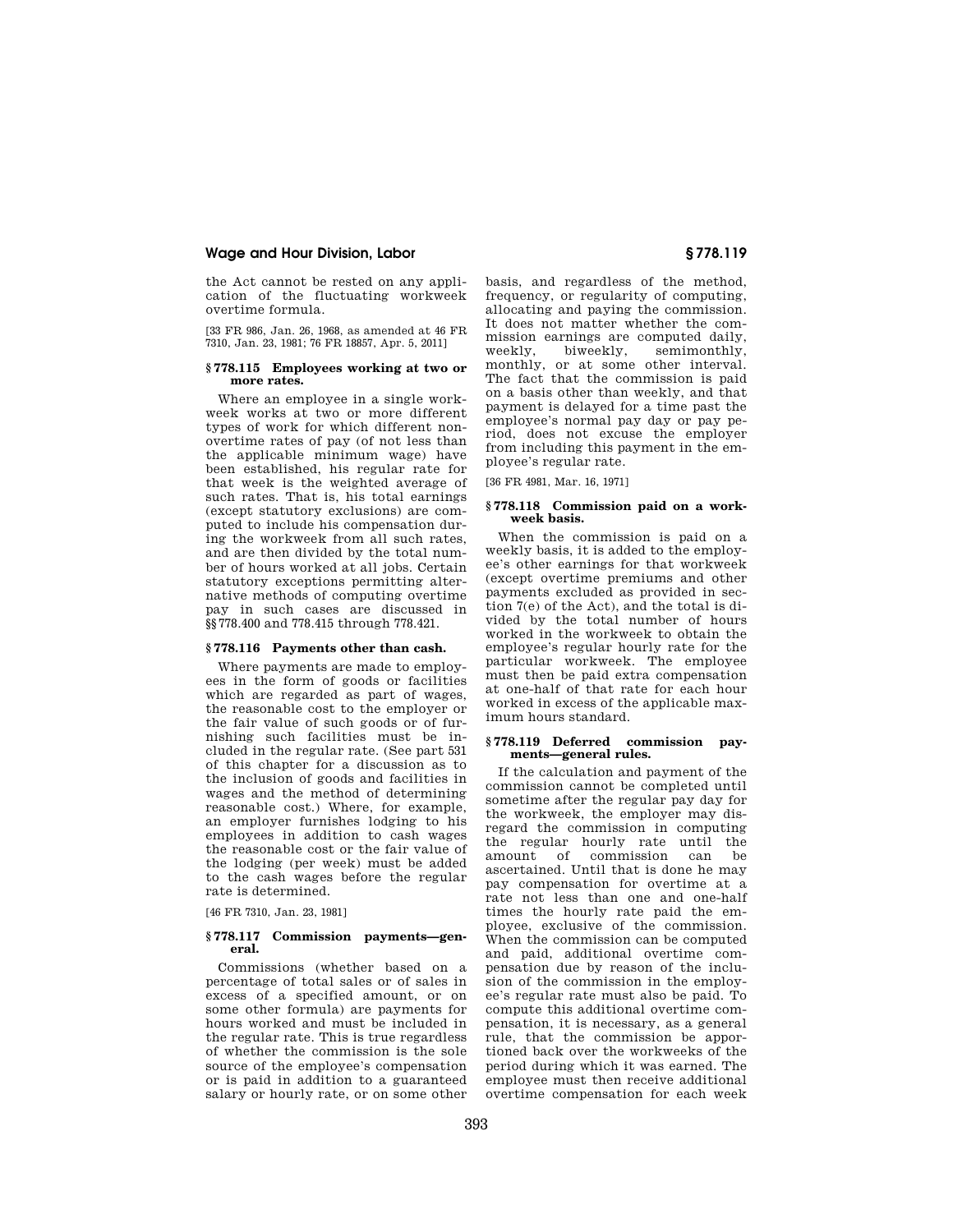the Act cannot be rested on any application of the fluctuating workweek overtime formula.

[33 FR 986, Jan. 26, 1968, as amended at 46 FR 7310, Jan. 23, 1981; 76 FR 18857, Apr. 5, 2011]

#### **§ 778.115 Employees working at two or more rates.**

Where an employee in a single workweek works at two or more different types of work for which different nonovertime rates of pay (of not less than the applicable minimum wage) have been established, his regular rate for that week is the weighted average of such rates. That is, his total earnings (except statutory exclusions) are computed to include his compensation during the workweek from all such rates, and are then divided by the total number of hours worked at all jobs. Certain statutory exceptions permitting alternative methods of computing overtime pay in such cases are discussed in §§778.400 and 778.415 through 778.421.

#### **§ 778.116 Payments other than cash.**

Where payments are made to employees in the form of goods or facilities which are regarded as part of wages, the reasonable cost to the employer or the fair value of such goods or of furnishing such facilities must be included in the regular rate. (See part 531 of this chapter for a discussion as to the inclusion of goods and facilities in wages and the method of determining reasonable cost.) Where, for example, an employer furnishes lodging to his employees in addition to cash wages the reasonable cost or the fair value of the lodging (per week) must be added to the cash wages before the regular rate is determined.

[46 FR 7310, Jan. 23, 1981]

#### **§ 778.117 Commission payments—general.**

Commissions (whether based on a percentage of total sales or of sales in excess of a specified amount, or on some other formula) are payments for hours worked and must be included in the regular rate. This is true regardless of whether the commission is the sole source of the employee's compensation or is paid in addition to a guaranteed salary or hourly rate, or on some other

basis, and regardless of the method, frequency, or regularity of computing, allocating and paying the commission. It does not matter whether the commission earnings are computed daily, weekly, biweekly, semimonthly, monthly, or at some other interval. The fact that the commission is paid on a basis other than weekly, and that payment is delayed for a time past the employee's normal pay day or pay period, does not excuse the employer from including this payment in the employee's regular rate.

[36 FR 4981, Mar. 16, 1971]

#### **§ 778.118 Commission paid on a workweek basis.**

When the commission is paid on a weekly basis, it is added to the employee's other earnings for that workweek (except overtime premiums and other payments excluded as provided in section 7(e) of the Act), and the total is divided by the total number of hours worked in the workweek to obtain the employee's regular hourly rate for the particular workweek. The employee must then be paid extra compensation at one-half of that rate for each hour worked in excess of the applicable maximum hours standard.

#### **§ 778.119 Deferred commission payments—general rules.**

If the calculation and payment of the commission cannot be completed until sometime after the regular pay day for the workweek, the employer may disregard the commission in computing the regular hourly rate until the<br>amount of commission can be commission can ascertained. Until that is done he may pay compensation for overtime at a rate not less than one and one-half times the hourly rate paid the employee, exclusive of the commission. When the commission can be computed and paid, additional overtime compensation due by reason of the inclusion of the commission in the employee's regular rate must also be paid. To compute this additional overtime compensation, it is necessary, as a general rule, that the commission be apportioned back over the workweeks of the period during which it was earned. The employee must then receive additional overtime compensation for each week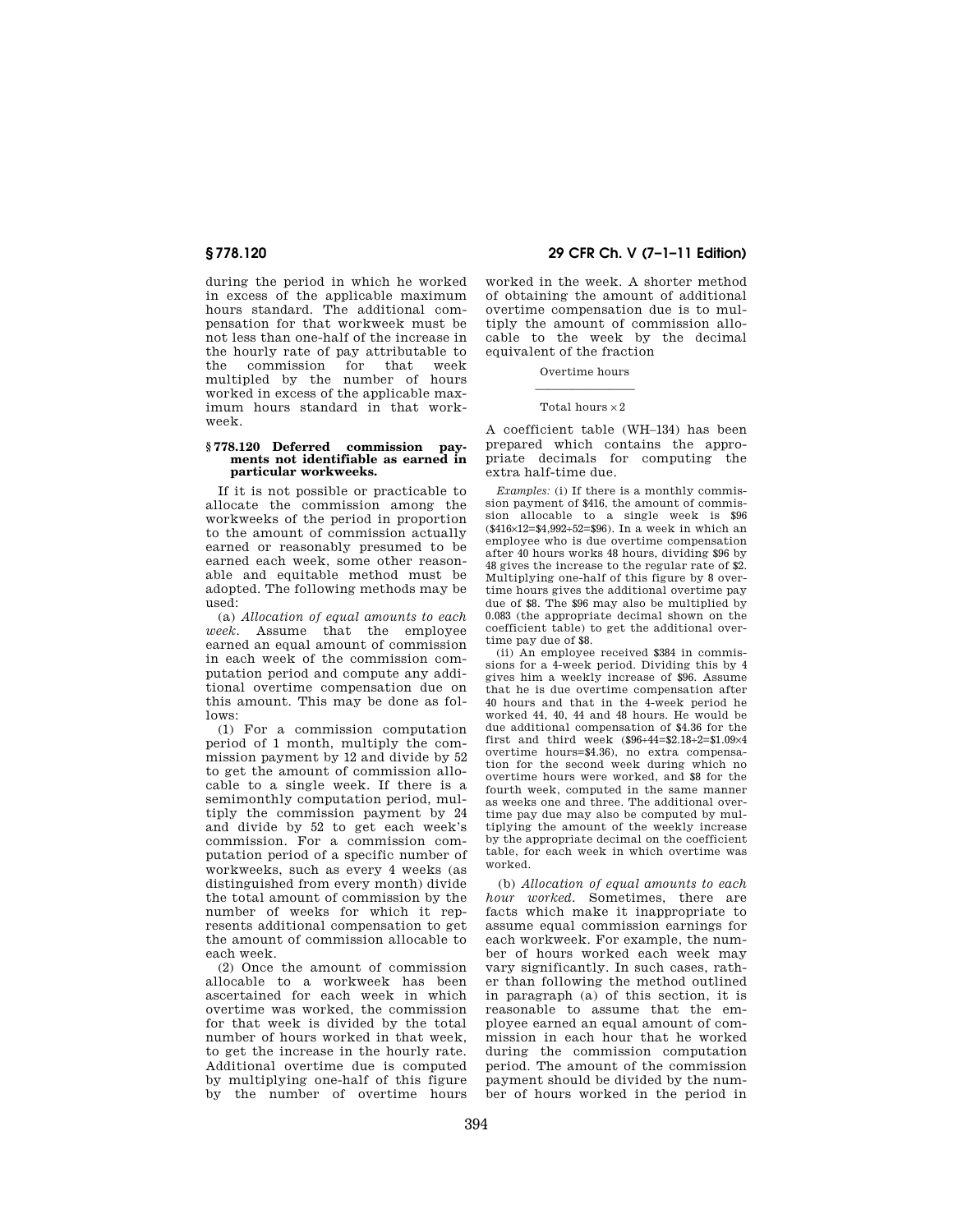during the period in which he worked in excess of the applicable maximum hours standard. The additional compensation for that workweek must be not less than one-half of the increase in the hourly rate of pay attributable to<br>the commission for that week the commission for that multipled by the number of hours worked in excess of the applicable maximum hours standard in that workweek.

#### **§ 778.120 Deferred commission payments not identifiable as earned in particular workweeks.**

If it is not possible or practicable to allocate the commission among the workweeks of the period in proportion to the amount of commission actually earned or reasonably presumed to be earned each week, some other reasonable and equitable method must be adopted. The following methods may be used:

(a) *Allocation of equal amounts to each week.* Assume that the employee earned an equal amount of commission in each week of the commission computation period and compute any additional overtime compensation due on this amount. This may be done as follows:

(1) For a commission computation period of 1 month, multiply the commission payment by 12 and divide by 52 to get the amount of commission allocable to a single week. If there is a semimonthly computation period, multiply the commission payment by 24 and divide by 52 to get each week's commission. For a commission computation period of a specific number of workweeks, such as every 4 weeks (as distinguished from every month) divide the total amount of commission by the number of weeks for which it represents additional compensation to get the amount of commission allocable to each week.

(2) Once the amount of commission allocable to a workweek has been ascertained for each week in which overtime was worked, the commission for that week is divided by the total number of hours worked in that week, to get the increase in the hourly rate. Additional overtime due is computed by multiplying one-half of this figure by the number of overtime hours

# **§ 778.120 29 CFR Ch. V (7–1–11 Edition)**

worked in the week. A shorter method of obtaining the amount of additional overtime compensation due is to multiply the amount of commission allocable to the week by the decimal equivalent of the fraction

> Overtime hours ————————

#### Total hours  $\times 2$

A coefficient table (WH–134) has been prepared which contains the appropriate decimals for computing the extra half-time due.

*Examples:* (i) If there is a monthly commission payment of \$416, the amount of commission allocable to a single week is \$96 (\$416×12=\$4,992÷52=\$96). In a week in which an employee who is due overtime compensation after 40 hours works 48 hours, dividing \$96 by 48 gives the increase to the regular rate of \$2. Multiplying one-half of this figure by 8 overtime hours gives the additional overtime pay due of \$8. The \$96 may also be multiplied by 0.083 (the appropriate decimal shown on the coefficient table) to get the additional overtime pay due of \$8.

(ii) An employee received \$384 in commissions for a 4-week period. Dividing this by 4 gives him a weekly increase of \$96. Assume that he is due overtime compensation after 40 hours and that in the 4-week period he worked 44, 40, 44 and 48 hours. He would be due additional compensation of \$4.36 for the first and third week (\$96÷44=\$2.18÷2=\$1.09×4 overtime hours=\$4.36), no extra compensation for the second week during which no overtime hours were worked, and \$8 for the fourth week, computed in the same manner as weeks one and three. The additional overtime pay due may also be computed by multiplying the amount of the weekly increase by the appropriate decimal on the coefficient table, for each week in which overtime was worked.

(b) *Allocation of equal amounts to each hour worked.* Sometimes, there are facts which make it inappropriate to assume equal commission earnings for each workweek. For example, the number of hours worked each week may vary significantly. In such cases, rather than following the method outlined in paragraph (a) of this section, it is reasonable to assume that the employee earned an equal amount of commission in each hour that he worked during the commission computation period. The amount of the commission payment should be divided by the number of hours worked in the period in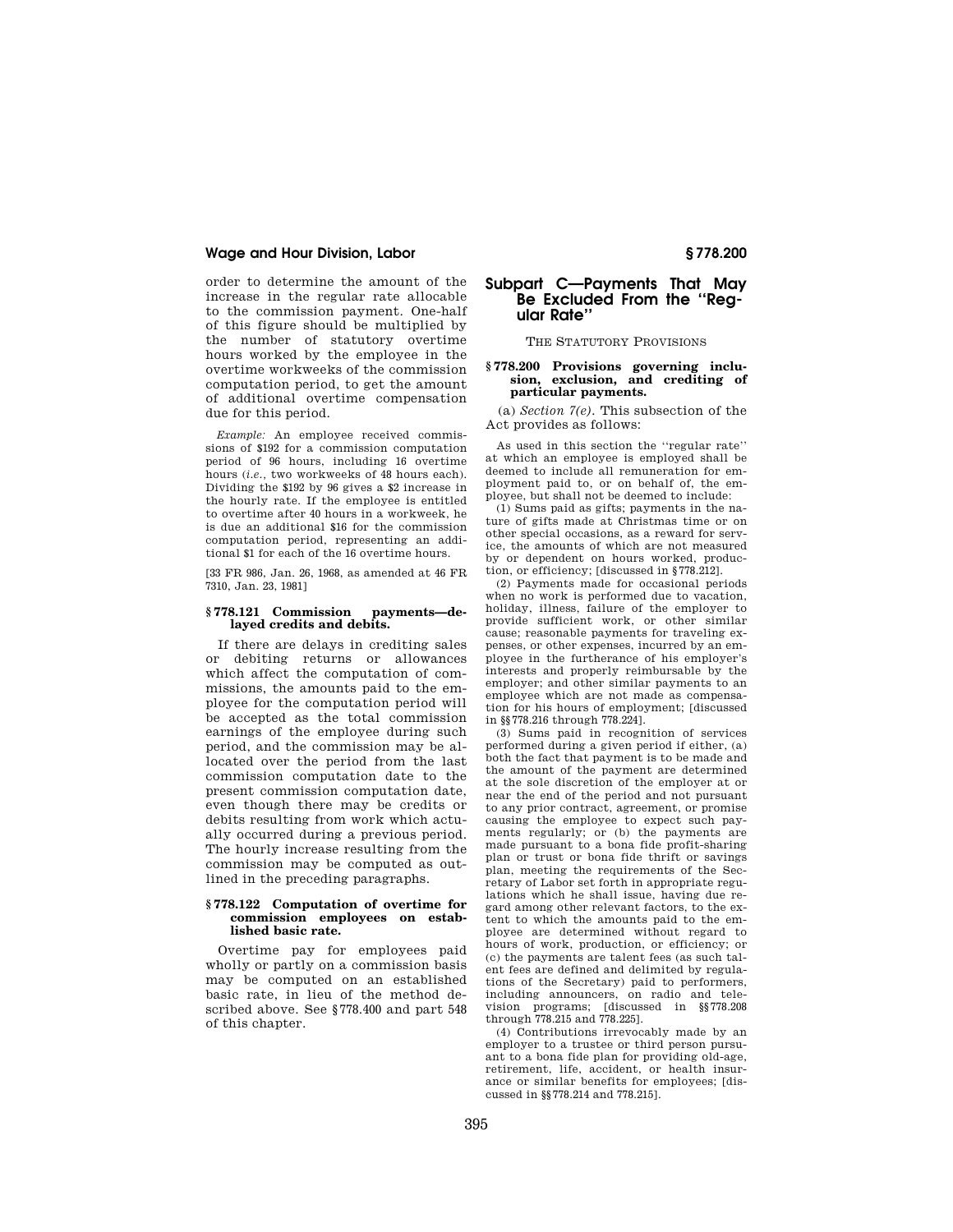order to determine the amount of the increase in the regular rate allocable to the commission payment. One-half of this figure should be multiplied by the number of statutory overtime hours worked by the employee in the overtime workweeks of the commission computation period, to get the amount of additional overtime compensation due for this period.

*Example:* An employee received commissions of \$192 for a commission computation period of 96 hours, including 16 overtime hours *(<i>i.e.*, two workweeks of 48 hours each). Dividing the \$192 by 96 gives a \$2 increase in the hourly rate. If the employee is entitled to overtime after 40 hours in a workweek, he is due an additional \$16 for the commission computation period, representing an additional \$1 for each of the 16 overtime hours.

[33 FR 986, Jan. 26, 1968, as amended at 46 FR 7310, Jan. 23, 1981]

#### **§ 778.121 Commission payments—delayed credits and debits.**

If there are delays in crediting sales or debiting returns or allowances which affect the computation of commissions, the amounts paid to the employee for the computation period will be accepted as the total commission earnings of the employee during such period, and the commission may be allocated over the period from the last commission computation date to the present commission computation date, even though there may be credits or debits resulting from work which actually occurred during a previous period. The hourly increase resulting from the commission may be computed as outlined in the preceding paragraphs.

#### **§ 778.122 Computation of overtime for commission employees on established basic rate.**

Overtime pay for employees paid wholly or partly on a commission basis may be computed on an established basic rate, in lieu of the method described above. See §778.400 and part 548 of this chapter.

# **Subpart C—Payments That May Be Excluded From the ''Regular Rate''**

# THE STATUTORY PROVISIONS

#### **§ 778.200 Provisions governing inclusion, exclusion, and crediting of particular payments.**

(a) *Section 7(e).* This subsection of the Act provides as follows:

As used in this section the ''regular rate'' at which an employee is employed shall be deemed to include all remuneration for employment paid to, or on behalf of, the employee, but shall not be deemed to include:

(1) Sums paid as gifts; payments in the nature of gifts made at Christmas time or on other special occasions, as a reward for service, the amounts of which are not measured by or dependent on hours worked, production, or efficiency; [discussed in §778.212].

(2) Payments made for occasional periods when no work is performed due to vacation, holiday, illness, failure of the employer to provide sufficient work, or other similar cause; reasonable payments for traveling expenses, or other expenses, incurred by an employee in the furtherance of his employer's interests and properly reimbursable by the employer; and other similar payments to an employee which are not made as compensation for his hours of employment; [discussed in §§778.216 through 778.224].

(3) Sums paid in recognition of services performed during a given period if either, (a) both the fact that payment is to be made and the amount of the payment are determined at the sole discretion of the employer at or near the end of the period and not pursuant to any prior contract, agreement, or promise causing the employee to expect such payments regularly; or (b) the payments are made pursuant to a bona fide profit-sharing plan or trust or bona fide thrift or savings plan, meeting the requirements of the Secretary of Labor set forth in appropriate regulations which he shall issue, having due regard among other relevant factors, to the extent to which the amounts paid to the employee are determined without regard to hours of work, production, or efficiency; or (c) the payments are talent fees (as such talent fees are defined and delimited by regulations of the Secretary) paid to performers, including announcers, on radio and television programs; [discussed in §§778.208 through 778.215 and 778.225].

(4) Contributions irrevocably made by an employer to a trustee or third person pursuant to a bona fide plan for providing old-age, retirement, life, accident, or health insurance or similar benefits for employees; [discussed in §§778.214 and 778.215].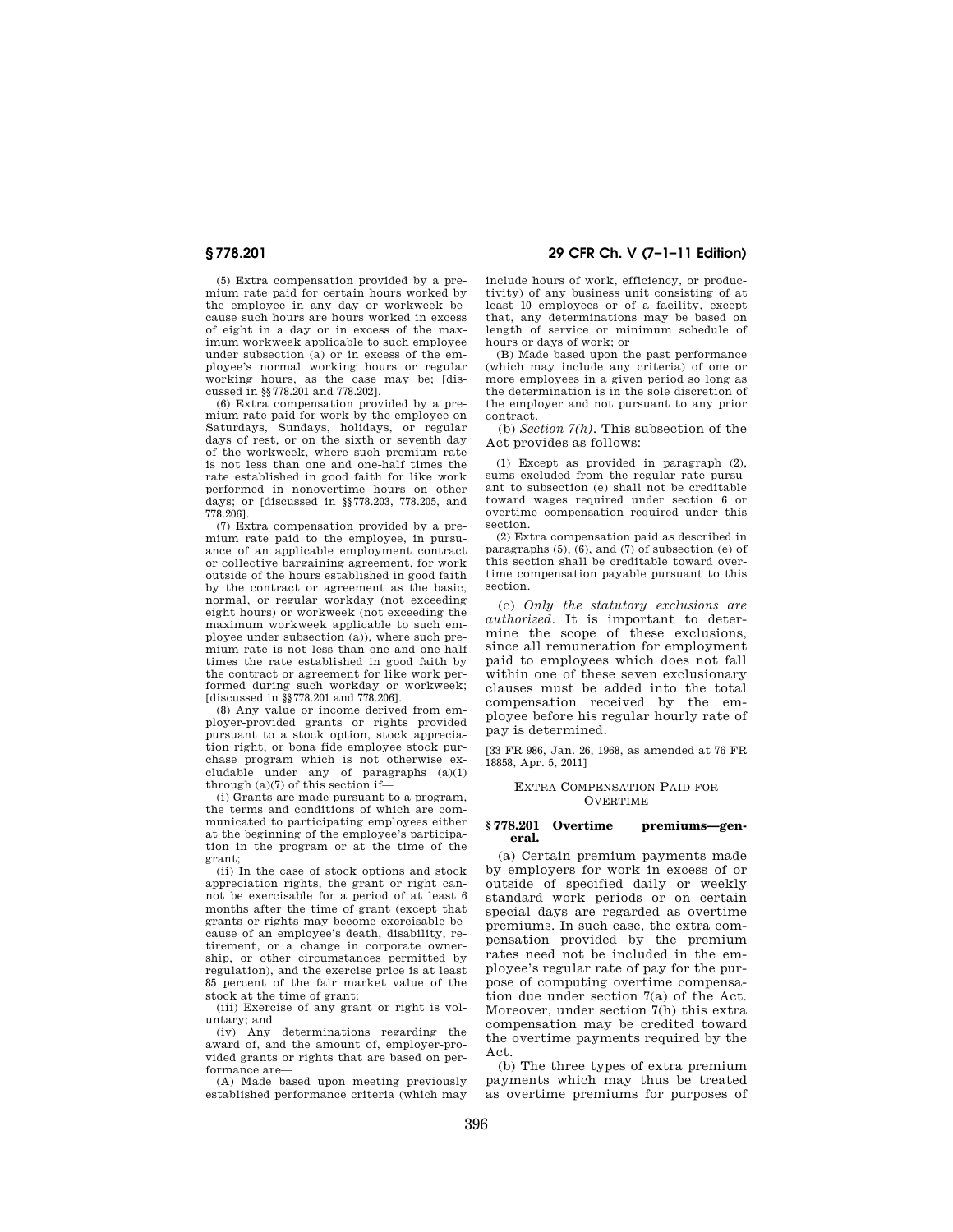(5) Extra compensation provided by a premium rate paid for certain hours worked by the employee in any day or workweek because such hours are hours worked in excess of eight in a day or in excess of the maximum workweek applicable to such employee under subsection (a) or in excess of the employee's normal working hours or regular working hours, as the case may be; [discussed in §§778.201 and 778.202].

(6) Extra compensation provided by a premium rate paid for work by the employee on Saturdays, Sundays, holidays, or regular days of rest, or on the sixth or seventh day of the workweek, where such premium rate is not less than one and one-half times the rate established in good faith for like work performed in nonovertime hours on other days; or [discussed in §§778.203, 778.205, and 778.206].

(7) Extra compensation provided by a premium rate paid to the employee, in pursuance of an applicable employment contract or collective bargaining agreement, for work outside of the hours established in good faith by the contract or agreement as the basic, normal, or regular workday (not exceeding eight hours) or workweek (not exceeding the maximum workweek applicable to such employee under subsection (a)), where such premium rate is not less than one and one-half times the rate established in good faith by the contract or agreement for like work performed during such workday or workweek; [discussed in §§778.201 and 778.206].

(8) Any value or income derived from employer-provided grants or rights provided pursuant to a stock option, stock appreciation right, or bona fide employee stock purchase program which is not otherwise excludable under any of paragraphs (a)(1) through  $(a)(7)$  of this section if—

(i) Grants are made pursuant to a program, the terms and conditions of which are communicated to participating employees either at the beginning of the employee's participation in the program or at the time of the grant;

(ii) In the case of stock options and stock appreciation rights, the grant or right cannot be exercisable for a period of at least 6 months after the time of grant (except that grants or rights may become exercisable because of an employee's death, disability, retirement, or a change in corporate ownership, or other circumstances permitted by regulation), and the exercise price is at least 85 percent of the fair market value of the stock at the time of grant;

(iii) Exercise of any grant or right is voluntary; and

(iv) Any determinations regarding the award of, and the amount of, employer-provided grants or rights that are based on performance are—

(A) Made based upon meeting previously established performance criteria (which may

**§ 778.201 29 CFR Ch. V (7–1–11 Edition)** 

include hours of work, efficiency, or productivity) of any business unit consisting of at least 10 employees or of a facility, except that, any determinations may be based on length of service or minimum schedule of hours or days of work; or

(B) Made based upon the past performance (which may include any criteria) of one or more employees in a given period so long as the determination is in the sole discretion of the employer and not pursuant to any prior contract.

(b) *Section 7(h).* This subsection of the Act provides as follows:

(1) Except as provided in paragraph (2), sums excluded from the regular rate pursuant to subsection (e) shall not be creditable toward wages required under section 6 or overtime compensation required under this section.

(2) Extra compensation paid as described in paragraphs (5), (6), and (7) of subsection (e) of this section shall be creditable toward overtime compensation payable pursuant to this section.

(c) *Only the statutory exclusions are authorized.* It is important to determine the scope of these exclusions, since all remuneration for employment paid to employees which does not fall within one of these seven exclusionary clauses must be added into the total compensation received by the employee before his regular hourly rate of pay is determined.

[33 FR 986, Jan. 26, 1968, as amended at 76 FR 18858, Apr. 5, 2011]

#### EXTRA COMPENSATION PAID FOR **OVERTIME**

#### **§ 778.201 Overtime premiums—general.**

(a) Certain premium payments made by employers for work in excess of or outside of specified daily or weekly standard work periods or on certain special days are regarded as overtime premiums. In such case, the extra compensation provided by the premium rates need not be included in the employee's regular rate of pay for the purpose of computing overtime compensation due under section 7(a) of the Act. Moreover, under section 7(h) this extra compensation may be credited toward the overtime payments required by the Act.

(b) The three types of extra premium payments which may thus be treated as overtime premiums for purposes of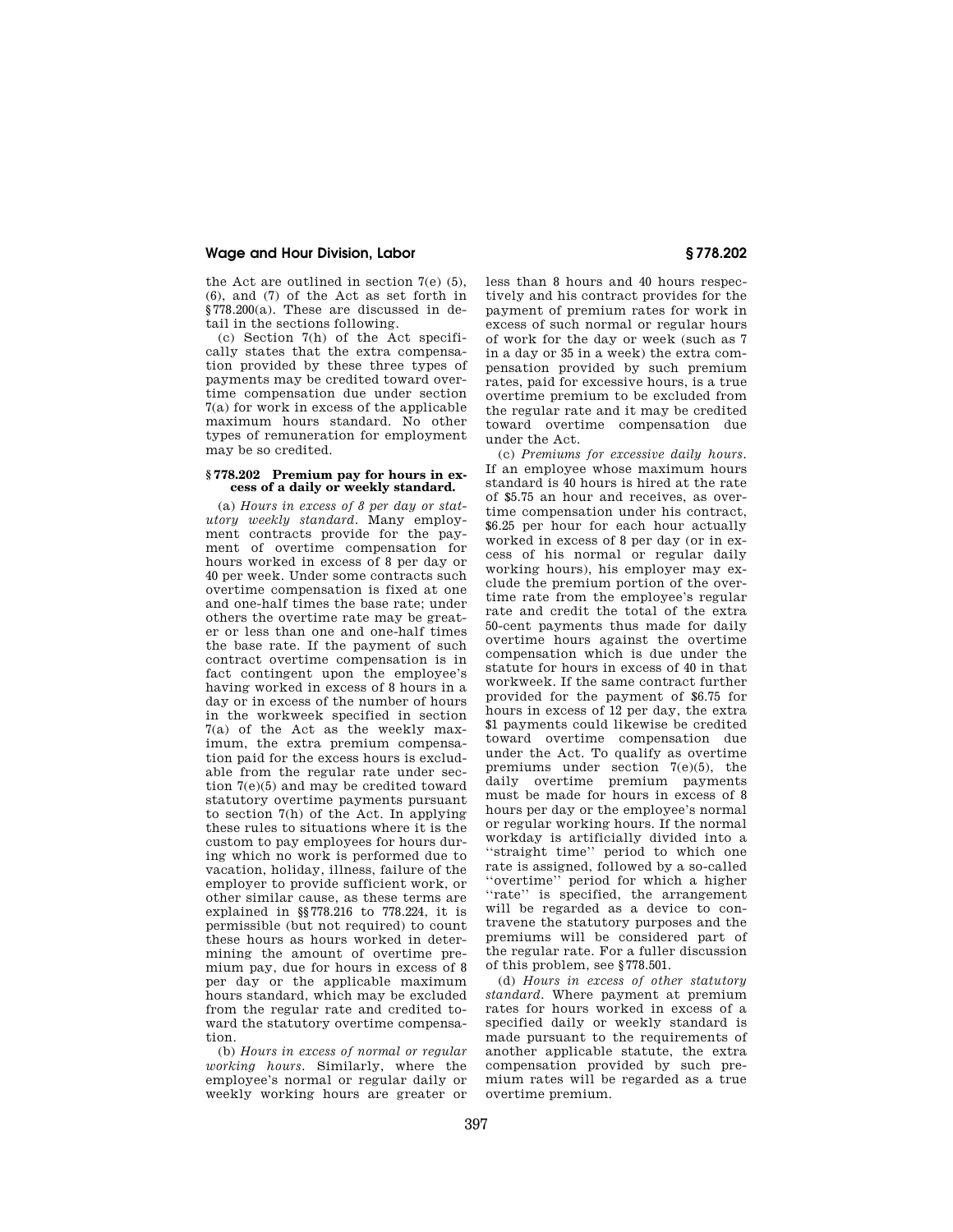the Act are outlined in section  $7(e)$  (5), (6), and (7) of the Act as set forth in §778.200(a). These are discussed in detail in the sections following.

(c) Section 7(h) of the Act specifically states that the extra compensation provided by these three types of payments may be credited toward overtime compensation due under section 7(a) for work in excess of the applicable maximum hours standard. No other types of remuneration for employment may be so credited.

#### **§ 778.202 Premium pay for hours in excess of a daily or weekly standard.**

(a) *Hours in excess of 8 per day or statutory weekly standard.* Many employment contracts provide for the payment of overtime compensation for hours worked in excess of 8 per day or 40 per week. Under some contracts such overtime compensation is fixed at one and one-half times the base rate; under others the overtime rate may be greater or less than one and one-half times the base rate. If the payment of such contract overtime compensation is in fact contingent upon the employee's having worked in excess of 8 hours in a day or in excess of the number of hours in the workweek specified in section 7(a) of the Act as the weekly maximum, the extra premium compensation paid for the excess hours is excludable from the regular rate under section 7(e)(5) and may be credited toward statutory overtime payments pursuant to section 7(h) of the Act. In applying these rules to situations where it is the custom to pay employees for hours during which no work is performed due to vacation, holiday, illness, failure of the employer to provide sufficient work, or other similar cause, as these terms are explained in §§778.216 to 778.224, it is permissible (but not required) to count these hours as hours worked in determining the amount of overtime premium pay, due for hours in excess of 8 per day or the applicable maximum hours standard, which may be excluded from the regular rate and credited toward the statutory overtime compensation.

(b) *Hours in excess of normal or regular working hours.* Similarly, where the employee's normal or regular daily or weekly working hours are greater or less than 8 hours and 40 hours respectively and his contract provides for the payment of premium rates for work in excess of such normal or regular hours of work for the day or week (such as 7 in a day or 35 in a week) the extra compensation provided by such premium rates, paid for excessive hours, is a true overtime premium to be excluded from the regular rate and it may be credited toward overtime compensation due under the Act.

(c) *Premiums for excessive daily hours.*  If an employee whose maximum hours standard is 40 hours is hired at the rate of \$5.75 an hour and receives, as overtime compensation under his contract, \$6.25 per hour for each hour actually worked in excess of 8 per day (or in excess of his normal or regular daily working hours), his employer may exclude the premium portion of the overtime rate from the employee's regular rate and credit the total of the extra 50-cent payments thus made for daily overtime hours against the overtime compensation which is due under the statute for hours in excess of 40 in that workweek. If the same contract further provided for the payment of \$6.75 for hours in excess of 12 per day, the extra \$1 payments could likewise be credited toward overtime compensation due under the Act. To qualify as overtime premiums under section 7(e)(5), the daily overtime premium payments must be made for hours in excess of 8 hours per day or the employee's normal or regular working hours. If the normal workday is artificially divided into a ''straight time'' period to which one rate is assigned, followed by a so-called ''overtime'' period for which a higher "rate" is specified, the arrangement will be regarded as a device to contravene the statutory purposes and the premiums will be considered part of the regular rate. For a fuller discussion of this problem, see §778.501.

(d) *Hours in excess of other statutory standard.* Where payment at premium rates for hours worked in excess of a specified daily or weekly standard is made pursuant to the requirements of another applicable statute, the extra compensation provided by such premium rates will be regarded as a true overtime premium.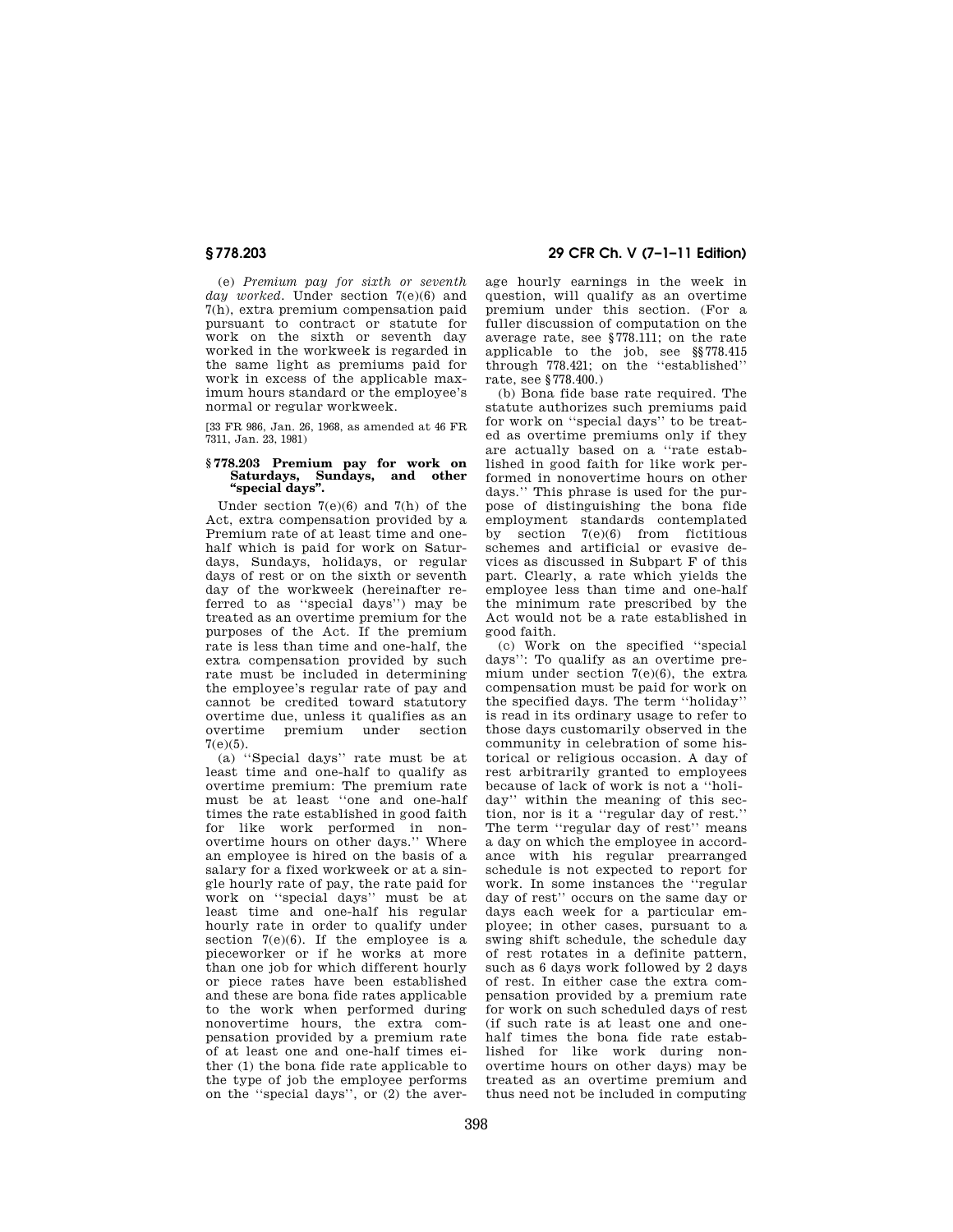(e) *Premium pay for sixth or seventh day worked.* Under section 7(e)(6) and 7(h), extra premium compensation paid pursuant to contract or statute for work on the sixth or seventh day worked in the workweek is regarded in the same light as premiums paid for work in excess of the applicable maximum hours standard or the employee's normal or regular workweek.

[33 FR 986, Jan. 26, 1968, as amended at 46 FR 7311, Jan. 23, 1981)

# **§ 778.203 Premium pay for work on Saturdays, Sundays, and other ''special days''.**

Under section 7(e)(6) and 7(h) of the Act, extra compensation provided by a Premium rate of at least time and onehalf which is paid for work on Saturdays, Sundays, holidays, or regular days of rest or on the sixth or seventh day of the workweek (hereinafter referred to as ''special days'') may be treated as an overtime premium for the purposes of the Act. If the premium rate is less than time and one-half, the extra compensation provided by such rate must be included in determining the employee's regular rate of pay and cannot be credited toward statutory overtime due, unless it qualifies as an overtime premium under section 7(e)(5).

(a) ''Special days'' rate must be at least time and one-half to qualify as overtime premium: The premium rate must be at least ''one and one-half times the rate established in good faith for like work performed in nonovertime hours on other days.'' Where an employee is hired on the basis of a salary for a fixed workweek or at a single hourly rate of pay, the rate paid for work on ''special days'' must be at least time and one-half his regular hourly rate in order to qualify under section  $7(e)(6)$ . If the employee is a pieceworker or if he works at more than one job for which different hourly or piece rates have been established and these are bona fide rates applicable to the work when performed during nonovertime hours, the extra compensation provided by a premium rate of at least one and one-half times either (1) the bona fide rate applicable to the type of job the employee performs on the ''special days'', or (2) the aver-

# **§ 778.203 29 CFR Ch. V (7–1–11 Edition)**

age hourly earnings in the week in question, will qualify as an overtime premium under this section. (For a fuller discussion of computation on the average rate, see §778.111; on the rate applicable to the job, see §§778.415 through 778.421; on the ''established'' rate, see §778.400.)

(b) Bona fide base rate required. The statute authorizes such premiums paid for work on ''special days'' to be treated as overtime premiums only if they are actually based on a ''rate established in good faith for like work performed in nonovertime hours on other days.'' This phrase is used for the purpose of distinguishing the bona fide employment standards contemplated<br>by section 7(e)(6) from fictitious by section  $7(e)(6)$  from fictitious schemes and artificial or evasive devices as discussed in Subpart F of this part. Clearly, a rate which yields the employee less than time and one-half the minimum rate prescribed by the Act would not be a rate established in good faith.

(c) Work on the specified ''special days'': To qualify as an overtime premium under section 7(e)(6), the extra compensation must be paid for work on the specified days. The term ''holiday'' is read in its ordinary usage to refer to those days customarily observed in the community in celebration of some historical or religious occasion. A day of rest arbitrarily granted to employees because of lack of work is not a ''holiday'' within the meaning of this section, nor is it a ''regular day of rest.'' The term ''regular day of rest'' means a day on which the employee in accordance with his regular prearranged schedule is not expected to report for work. In some instances the ''regular day of rest'' occurs on the same day or days each week for a particular employee; in other cases, pursuant to a swing shift schedule, the schedule day of rest rotates in a definite pattern, such as 6 days work followed by 2 days of rest. In either case the extra compensation provided by a premium rate for work on such scheduled days of rest (if such rate is at least one and onehalf times the bona fide rate established for like work during nonovertime hours on other days) may be treated as an overtime premium and thus need not be included in computing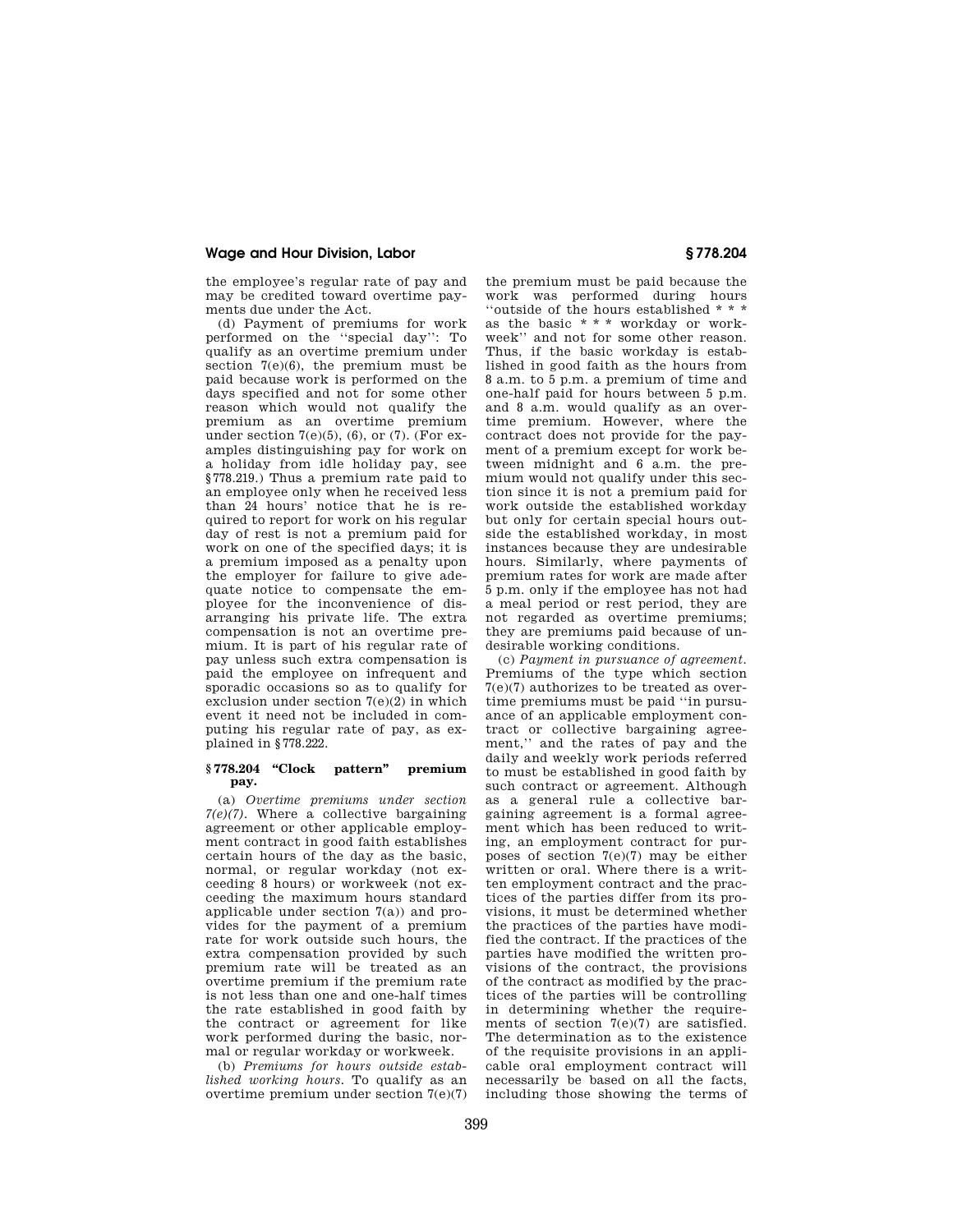the employee's regular rate of pay and may be credited toward overtime payments due under the Act.

(d) Payment of premiums for work performed on the ''special day'': To qualify as an overtime premium under section  $7(e)(6)$ , the premium must be paid because work is performed on the days specified and not for some other reason which would not qualify the premium as an overtime premium under section  $7(e)(5)$ ,  $(6)$ , or  $(7)$ . (For examples distinguishing pay for work on a holiday from idle holiday pay, see §778.219.) Thus a premium rate paid to an employee only when he received less than 24 hours' notice that he is required to report for work on his regular day of rest is not a premium paid for work on one of the specified days; it is a premium imposed as a penalty upon the employer for failure to give adequate notice to compensate the employee for the inconvenience of disarranging his private life. The extra compensation is not an overtime premium. It is part of his regular rate of pay unless such extra compensation is paid the employee on infrequent and sporadic occasions so as to qualify for exclusion under section 7(e)(2) in which event it need not be included in computing his regular rate of pay, as explained in §778.222.

#### **§ 778.204 ''Clock pattern'' premium pay.**

(a) *Overtime premiums under section 7(e)(7).* Where a collective bargaining agreement or other applicable employment contract in good faith establishes certain hours of the day as the basic, normal, or regular workday (not exceeding 8 hours) or workweek (not exceeding the maximum hours standard applicable under section 7(a)) and provides for the payment of a premium rate for work outside such hours, the extra compensation provided by such premium rate will be treated as an overtime premium if the premium rate is not less than one and one-half times the rate established in good faith by the contract or agreement for like work performed during the basic, normal or regular workday or workweek.

(b) *Premiums for hours outside established working hours.* To qualify as an overtime premium under section 7(e)(7)

the premium must be paid because the work was performed during hours ''outside of the hours established \* \* \* as the basic \* \* \* workday or workweek'' and not for some other reason. Thus, if the basic workday is established in good faith as the hours from 8 a.m. to 5 p.m. a premium of time and one-half paid for hours between 5 p.m. and 8 a.m. would qualify as an overtime premium. However, where the contract does not provide for the payment of a premium except for work between midnight and 6 a.m. the premium would not qualify under this section since it is not a premium paid for work outside the established workday but only for certain special hours outside the established workday, in most instances because they are undesirable hours. Similarly, where payments of premium rates for work are made after 5 p.m. only if the employee has not had a meal period or rest period, they are not regarded as overtime premiums; they are premiums paid because of undesirable working conditions.

(c) *Payment in pursuance of agreement.*  Premiums of the type which section 7(e)(7) authorizes to be treated as overtime premiums must be paid ''in pursuance of an applicable employment contract or collective bargaining agreement,'' and the rates of pay and the daily and weekly work periods referred to must be established in good faith by such contract or agreement. Although as a general rule a collective bargaining agreement is a formal agreement which has been reduced to writing, an employment contract for purposes of section  $7(e)(7)$  may be either written or oral. Where there is a written employment contract and the practices of the parties differ from its provisions, it must be determined whether the practices of the parties have modified the contract. If the practices of the parties have modified the written provisions of the contract, the provisions of the contract as modified by the practices of the parties will be controlling in determining whether the requirements of section 7(e)(7) are satisfied. The determination as to the existence of the requisite provisions in an applicable oral employment contract will necessarily be based on all the facts, including those showing the terms of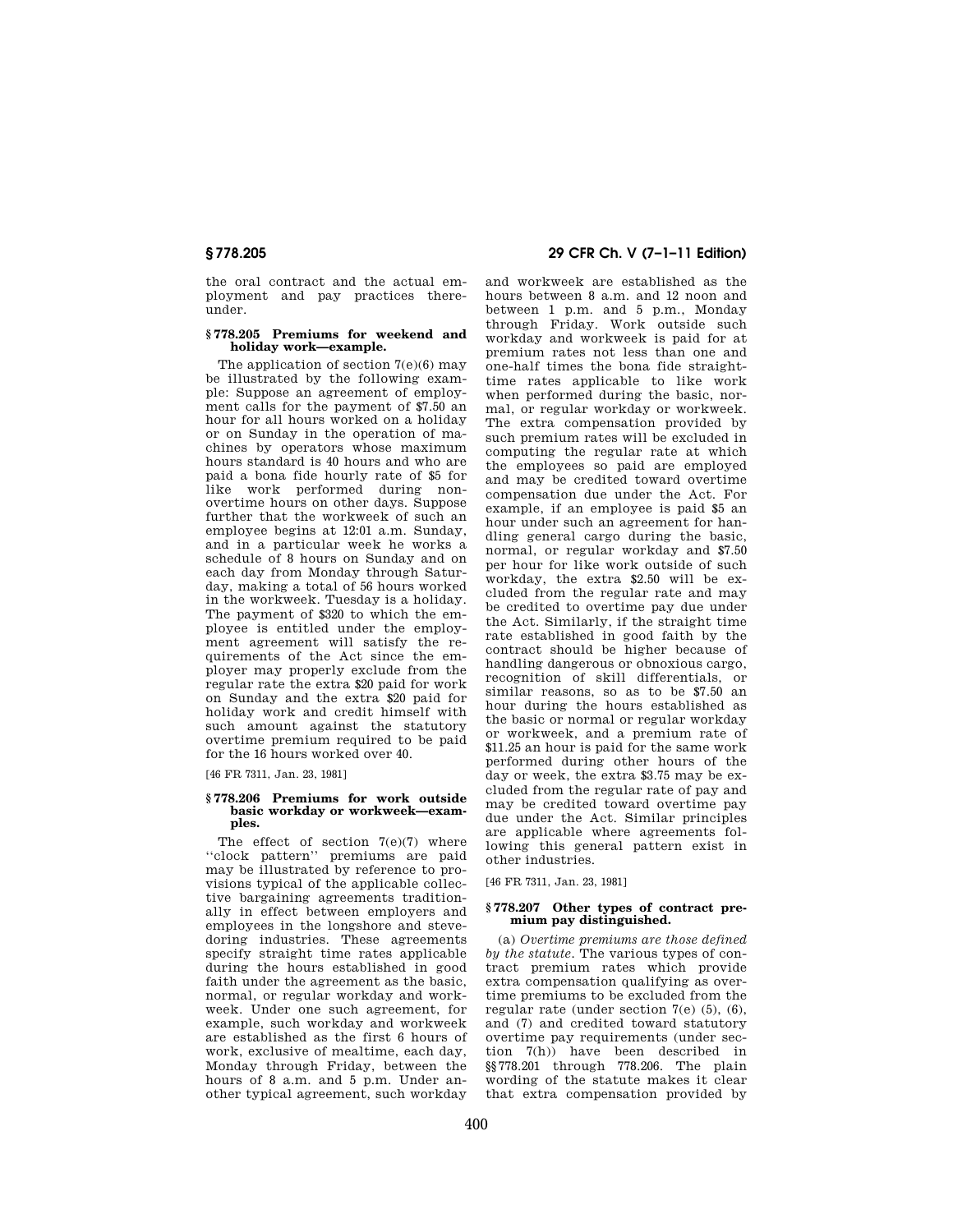the oral contract and the actual employment and pay practices thereunder.

#### **§ 778.205 Premiums for weekend and holiday work—example.**

The application of section  $7(e)(6)$  may be illustrated by the following example: Suppose an agreement of employment calls for the payment of \$7.50 an hour for all hours worked on a holiday or on Sunday in the operation of machines by operators whose maximum hours standard is 40 hours and who are paid a bona fide hourly rate of \$5 for like work performed during nonovertime hours on other days. Suppose further that the workweek of such an employee begins at 12:01 a.m. Sunday, and in a particular week he works a schedule of 8 hours on Sunday and on each day from Monday through Saturday, making a total of 56 hours worked in the workweek. Tuesday is a holiday. The payment of \$320 to which the employee is entitled under the employment agreement will satisfy the requirements of the Act since the employer may properly exclude from the regular rate the extra \$20 paid for work on Sunday and the extra \$20 paid for holiday work and credit himself with such amount against the statutory overtime premium required to be paid for the 16 hours worked over 40.

[46 FR 7311, Jan. 23, 1981]

#### **§ 778.206 Premiums for work outside basic workday or workweek—examples.**

The effect of section  $7(e)(7)$  where ''clock pattern'' premiums are paid may be illustrated by reference to provisions typical of the applicable collective bargaining agreements traditionally in effect between employers and employees in the longshore and stevedoring industries. These agreements specify straight time rates applicable during the hours established in good faith under the agreement as the basic, normal, or regular workday and workweek. Under one such agreement, for example, such workday and workweek are established as the first 6 hours of work, exclusive of mealtime, each day, Monday through Friday, between the hours of 8 a.m. and 5 p.m. Under another typical agreement, such workday

# **§ 778.205 29 CFR Ch. V (7–1–11 Edition)**

and workweek are established as the hours between 8 a.m. and 12 noon and between 1 p.m. and 5 p.m., Monday through Friday. Work outside such workday and workweek is paid for at premium rates not less than one and one-half times the bona fide straighttime rates applicable to like work when performed during the basic, normal, or regular workday or workweek. The extra compensation provided by such premium rates will be excluded in computing the regular rate at which the employees so paid are employed and may be credited toward overtime compensation due under the Act. For example, if an employee is paid \$5 an hour under such an agreement for handling general cargo during the basic, normal, or regular workday and \$7.50 per hour for like work outside of such workday, the extra \$2.50 will be excluded from the regular rate and may be credited to overtime pay due under the Act. Similarly, if the straight time rate established in good faith by the contract should be higher because of handling dangerous or obnoxious cargo, recognition of skill differentials, or similar reasons, so as to be \$7.50 an hour during the hours established as the basic or normal or regular workday or workweek, and a premium rate of \$11.25 an hour is paid for the same work performed during other hours of the day or week, the extra \$3.75 may be excluded from the regular rate of pay and may be credited toward overtime pay due under the Act. Similar principles are applicable where agreements following this general pattern exist in other industries.

[46 FR 7311, Jan. 23, 1981]

#### **§ 778.207 Other types of contract premium pay distinguished.**

(a) *Overtime premiums are those defined by the statute.* The various types of contract premium rates which provide extra compensation qualifying as overtime premiums to be excluded from the regular rate (under section  $7(e)$  (5), (6), and (7) and credited toward statutory overtime pay requirements (under section 7(h)) have been described in §§778.201 through 778.206. The plain wording of the statute makes it clear that extra compensation provided by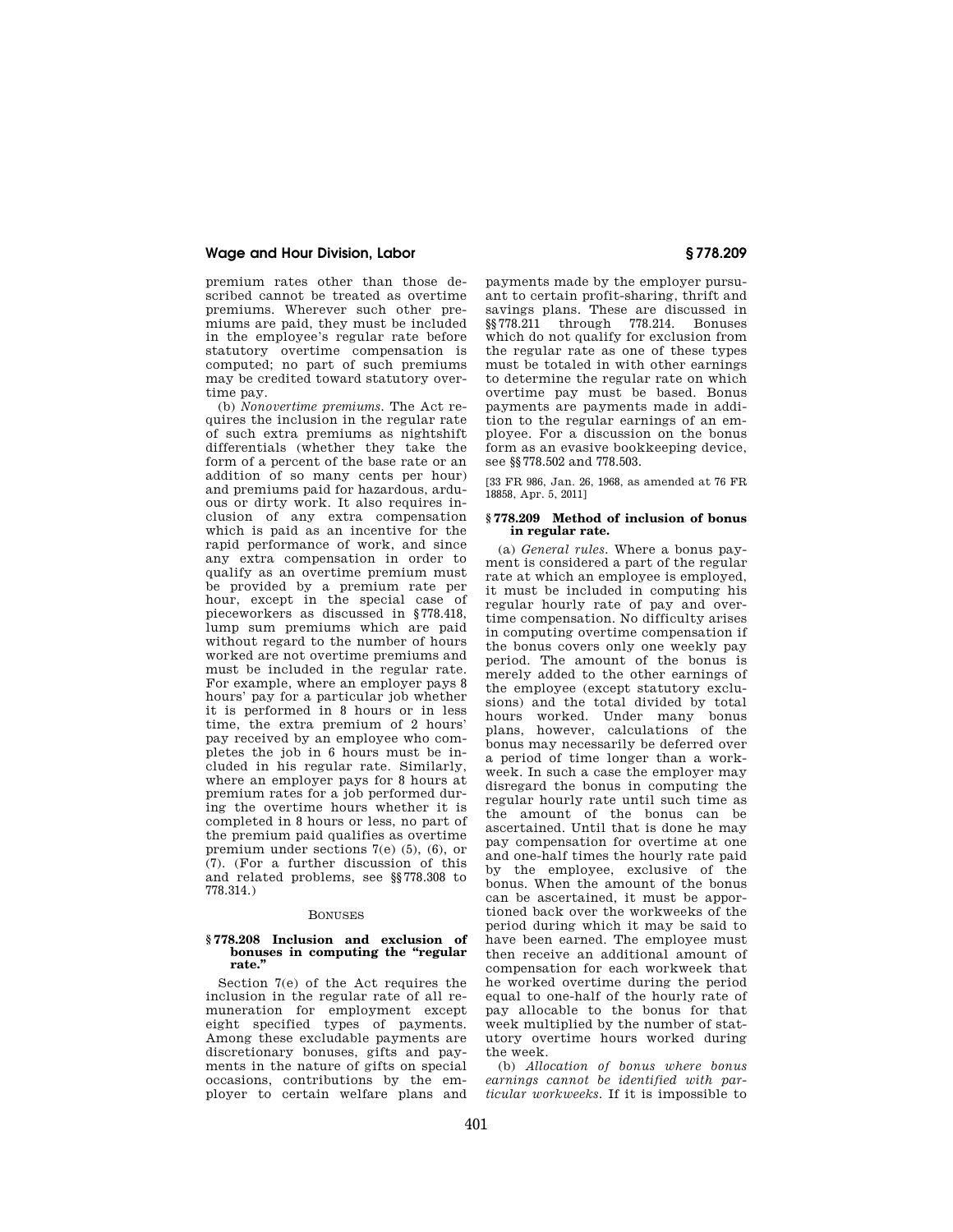premium rates other than those described cannot be treated as overtime premiums. Wherever such other premiums are paid, they must be included in the employee's regular rate before statutory overtime compensation is computed; no part of such premiums may be credited toward statutory overtime pay.

(b) *Nonovertime premiums.* The Act requires the inclusion in the regular rate of such extra premiums as nightshift differentials (whether they take the form of a percent of the base rate or an addition of so many cents per hour) and premiums paid for hazardous, arduous or dirty work. It also requires inclusion of any extra compensation which is paid as an incentive for the rapid performance of work, and since any extra compensation in order to qualify as an overtime premium must be provided by a premium rate per hour, except in the special case of pieceworkers as discussed in §778.418, lump sum premiums which are paid without regard to the number of hours worked are not overtime premiums and must be included in the regular rate. For example, where an employer pays 8 hours' pay for a particular job whether it is performed in 8 hours or in less time, the extra premium of 2 hours' pay received by an employee who completes the job in 6 hours must be included in his regular rate. Similarly, where an employer pays for 8 hours at premium rates for a job performed during the overtime hours whether it is completed in 8 hours or less, no part of the premium paid qualifies as overtime premium under sections 7(e) (5), (6), or (7). (For a further discussion of this and related problems, see §§778.308 to 778.314.)

#### **BONUSES**

#### **§ 778.208 Inclusion and exclusion of bonuses in computing the ''regular rate.''**

Section 7(e) of the Act requires the inclusion in the regular rate of all remuneration for employment except eight specified types of payments. Among these excludable payments are discretionary bonuses, gifts and payments in the nature of gifts on special occasions, contributions by the employer to certain welfare plans and

payments made by the employer pursuant to certain profit-sharing, thrift and savings plans. These are discussed in §§778.211 through 778.214. Bonuses which do not qualify for exclusion from the regular rate as one of these types must be totaled in with other earnings to determine the regular rate on which overtime pay must be based. Bonus payments are payments made in addition to the regular earnings of an employee. For a discussion on the bonus form as an evasive bookkeeping device, see §§778.502 and 778.503.

[33 FR 986, Jan. 26, 1968, as amended at 76 FR 18858, Apr. 5, 2011]

#### **§ 778.209 Method of inclusion of bonus in regular rate.**

(a) *General rules.* Where a bonus payment is considered a part of the regular rate at which an employee is employed, it must be included in computing his regular hourly rate of pay and overtime compensation. No difficulty arises in computing overtime compensation if the bonus covers only one weekly pay period. The amount of the bonus is merely added to the other earnings of the employee (except statutory exclusions) and the total divided by total hours worked. Under many bonus plans, however, calculations of the bonus may necessarily be deferred over a period of time longer than a workweek. In such a case the employer may disregard the bonus in computing the regular hourly rate until such time as the amount of the bonus can be ascertained. Until that is done he may pay compensation for overtime at one and one-half times the hourly rate paid by the employee, exclusive of the bonus. When the amount of the bonus can be ascertained, it must be apportioned back over the workweeks of the period during which it may be said to have been earned. The employee must then receive an additional amount of compensation for each workweek that he worked overtime during the period equal to one-half of the hourly rate of pay allocable to the bonus for that week multiplied by the number of statutory overtime hours worked during the week.

(b) *Allocation of bonus where bonus earnings cannot be identified with particular workweeks.* If it is impossible to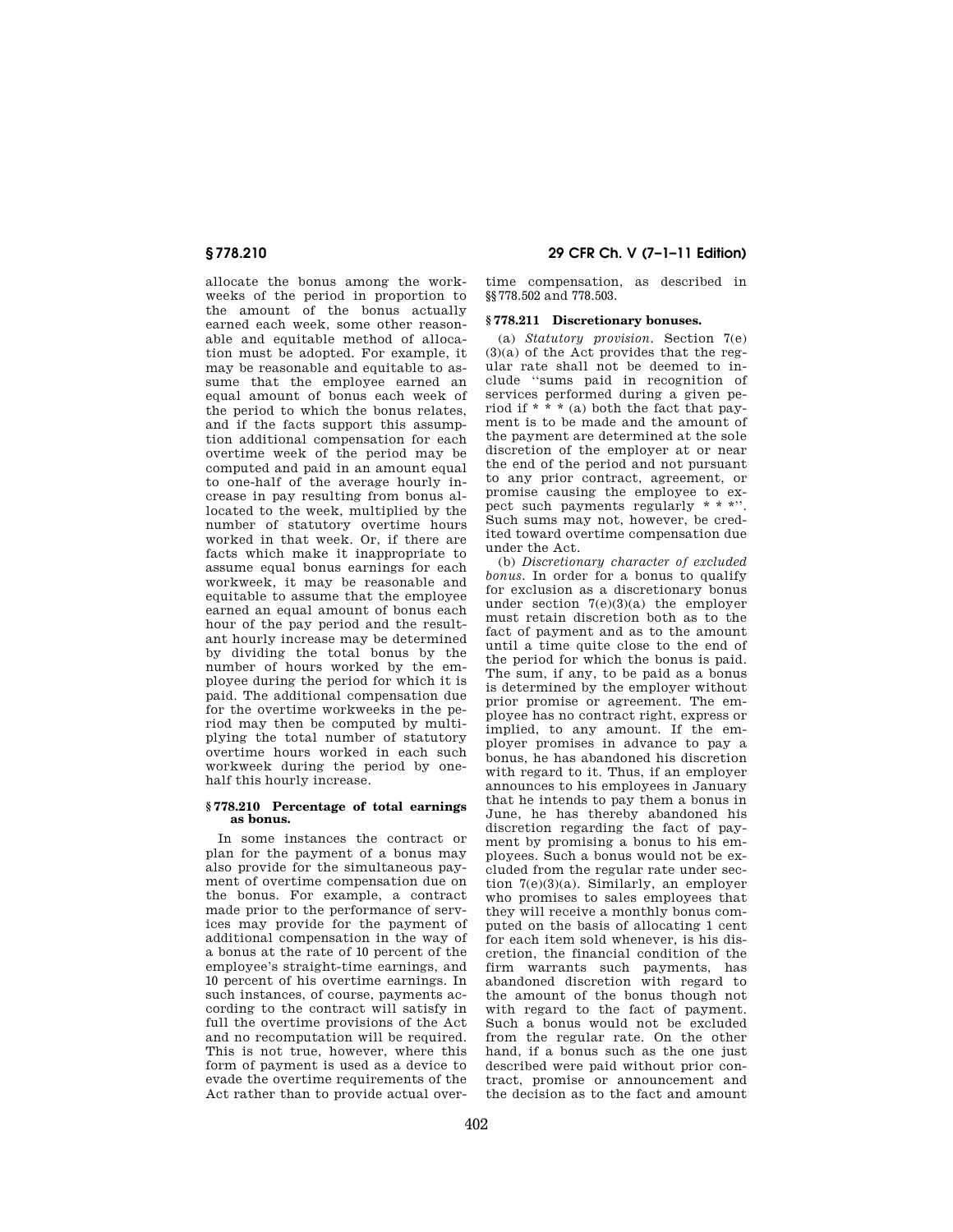allocate the bonus among the workweeks of the period in proportion to the amount of the bonus actually earned each week, some other reasonable and equitable method of allocation must be adopted. For example, it may be reasonable and equitable to assume that the employee earned an equal amount of bonus each week of the period to which the bonus relates, and if the facts support this assumption additional compensation for each overtime week of the period may be computed and paid in an amount equal to one-half of the average hourly increase in pay resulting from bonus allocated to the week, multiplied by the number of statutory overtime hours worked in that week. Or, if there are facts which make it inappropriate to assume equal bonus earnings for each workweek, it may be reasonable and equitable to assume that the employee earned an equal amount of bonus each hour of the pay period and the resultant hourly increase may be determined by dividing the total bonus by the number of hours worked by the employee during the period for which it is paid. The additional compensation due for the overtime workweeks in the period may then be computed by multiplying the total number of statutory overtime hours worked in each such workweek during the period by onehalf this hourly increase.

#### **§ 778.210 Percentage of total earnings as bonus.**

In some instances the contract or plan for the payment of a bonus may also provide for the simultaneous payment of overtime compensation due on the bonus. For example, a contract made prior to the performance of services may provide for the payment of additional compensation in the way of a bonus at the rate of 10 percent of the employee's straight-time earnings, and 10 percent of his overtime earnings. In such instances, of course, payments according to the contract will satisfy in full the overtime provisions of the Act and no recomputation will be required. This is not true, however, where this form of payment is used as a device to evade the overtime requirements of the Act rather than to provide actual over-

# **§ 778.210 29 CFR Ch. V (7–1–11 Edition)**

time compensation, as described in §§778.502 and 778.503.

## **§ 778.211 Discretionary bonuses.**

(a) *Statutory provision.* Section 7(e) (3)(a) of the Act provides that the regular rate shall not be deemed to include ''sums paid in recognition of services performed during a given period if  $*\times$  \* (a) both the fact that payment is to be made and the amount of the payment are determined at the sole discretion of the employer at or near the end of the period and not pursuant to any prior contract, agreement, or promise causing the employee to expect such payments regularly \* \* \*'' Such sums may not, however, be credited toward overtime compensation due under the Act.

(b) *Discretionary character of excluded bonus.* In order for a bonus to qualify for exclusion as a discretionary bonus under section  $7(e)(3)(a)$  the employer must retain discretion both as to the fact of payment and as to the amount until a time quite close to the end of the period for which the bonus is paid. The sum, if any, to be paid as a bonus is determined by the employer without prior promise or agreement. The employee has no contract right, express or implied, to any amount. If the employer promises in advance to pay a bonus, he has abandoned his discretion with regard to it. Thus, if an employer announces to his employees in January that he intends to pay them a bonus in June, he has thereby abandoned his discretion regarding the fact of payment by promising a bonus to his employees. Such a bonus would not be excluded from the regular rate under section 7(e)(3)(a). Similarly, an employer who promises to sales employees that they will receive a monthly bonus computed on the basis of allocating 1 cent for each item sold whenever, is his discretion, the financial condition of the firm warrants such payments, has abandoned discretion with regard to the amount of the bonus though not with regard to the fact of payment. Such a bonus would not be excluded from the regular rate. On the other hand, if a bonus such as the one just described were paid without prior contract, promise or announcement and the decision as to the fact and amount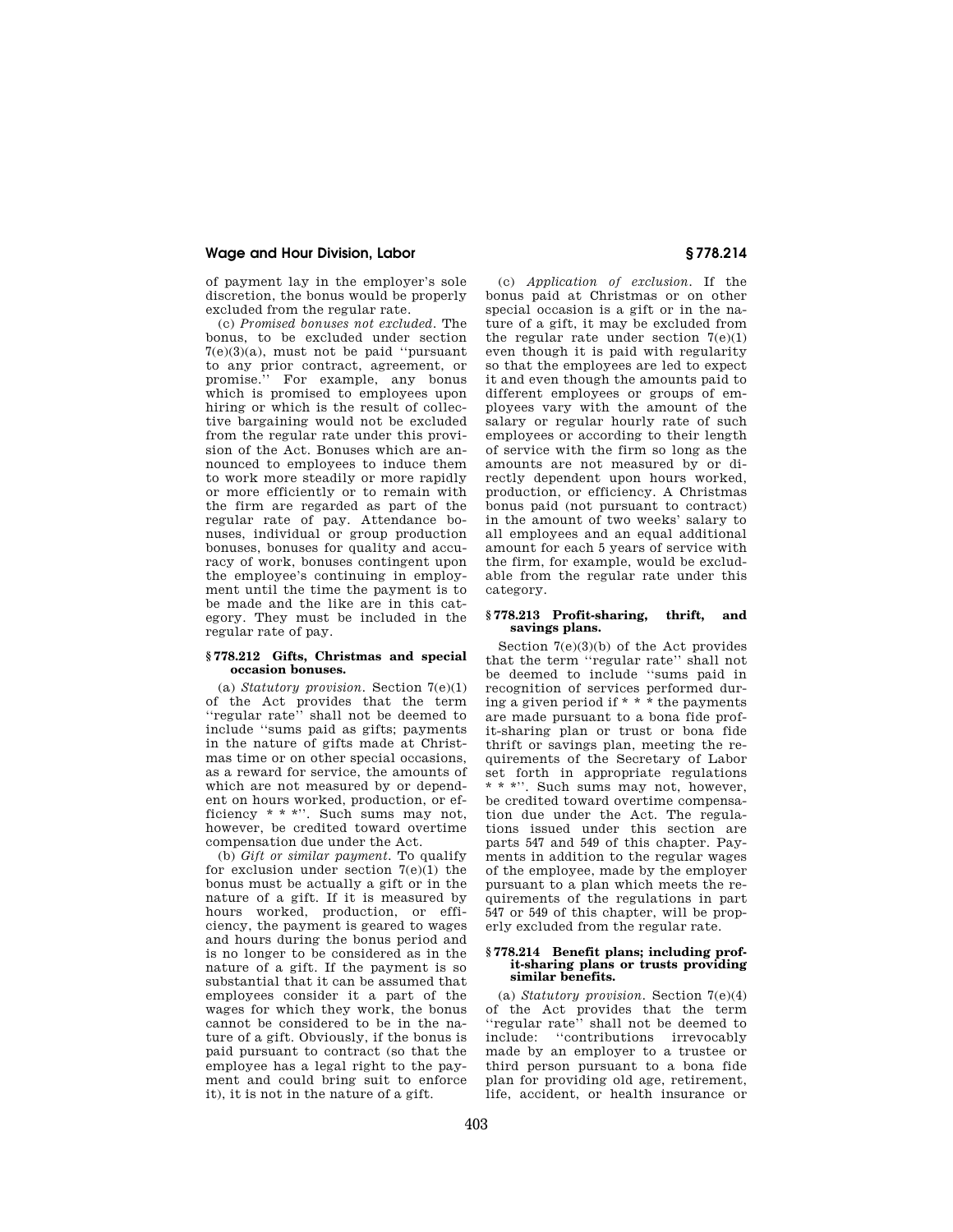of payment lay in the employer's sole discretion, the bonus would be properly excluded from the regular rate.

(c) *Promised bonuses not excluded.* The bonus, to be excluded under section  $7(e)(3)(a)$ , must not be paid "pursuant" to any prior contract, agreement, or promise.'' For example, any bonus which is promised to employees upon hiring or which is the result of collective bargaining would not be excluded from the regular rate under this provision of the Act. Bonuses which are announced to employees to induce them to work more steadily or more rapidly or more efficiently or to remain with the firm are regarded as part of the regular rate of pay. Attendance bonuses, individual or group production bonuses, bonuses for quality and accuracy of work, bonuses contingent upon the employee's continuing in employment until the time the payment is to be made and the like are in this category. They must be included in the regular rate of pay.

#### **§ 778.212 Gifts, Christmas and special occasion bonuses.**

(a) *Statutory provision.* Section 7(e)(1) of the Act provides that the term ''regular rate'' shall not be deemed to include ''sums paid as gifts; payments in the nature of gifts made at Christmas time or on other special occasions as a reward for service, the amounts of which are not measured by or dependent on hours worked, production, or efficiency \* \* \*". Such sums may not, however, be credited toward overtime compensation due under the Act.

(b) *Gift or similar payment.* To qualify for exclusion under section  $7(e)(1)$  the bonus must be actually a gift or in the nature of a gift. If it is measured by hours worked, production, or efficiency, the payment is geared to wages and hours during the bonus period and is no longer to be considered as in the nature of a gift. If the payment is so substantial that it can be assumed that employees consider it a part of the wages for which they work, the bonus cannot be considered to be in the nature of a gift. Obviously, if the bonus is paid pursuant to contract (so that the employee has a legal right to the payment and could bring suit to enforce it), it is not in the nature of a gift.

(c) *Application of exclusion.* If the bonus paid at Christmas or on other special occasion is a gift or in the nature of a gift, it may be excluded from the regular rate under section 7(e)(1) even though it is paid with regularity so that the employees are led to expect it and even though the amounts paid to different employees or groups of employees vary with the amount of the salary or regular hourly rate of such employees or according to their length of service with the firm so long as the amounts are not measured by or directly dependent upon hours worked, production, or efficiency. A Christmas bonus paid (not pursuant to contract) in the amount of two weeks' salary to all employees and an equal additional amount for each 5 years of service with the firm, for example, would be excludable from the regular rate under this category.

#### **§ 778.213 Profit-sharing, thrift, and savings plans.**

Section 7(e)(3)(b) of the Act provides that the term ''regular rate'' shall not be deemed to include ''sums paid in recognition of services performed during a given period if \* \* \* the payments are made pursuant to a bona fide profit-sharing plan or trust or bona fide thrift or savings plan, meeting the requirements of the Secretary of Labor set forth in appropriate regulations \* \* \*''. Such sums may not, however, be credited toward overtime compensation due under the Act. The regulations issued under this section are parts 547 and 549 of this chapter. Payments in addition to the regular wages of the employee, made by the employer pursuant to a plan which meets the requirements of the regulations in part 547 or 549 of this chapter, will be properly excluded from the regular rate.

#### **§ 778.214 Benefit plans; including profit-sharing plans or trusts providing similar benefits.**

(a) *Statutory provision.* Section 7(e)(4) of the Act provides that the term "regular rate" shall not be deemed to include: ''contributions irrevocably made by an employer to a trustee or third person pursuant to a bona fide plan for providing old age, retirement, life, accident, or health insurance or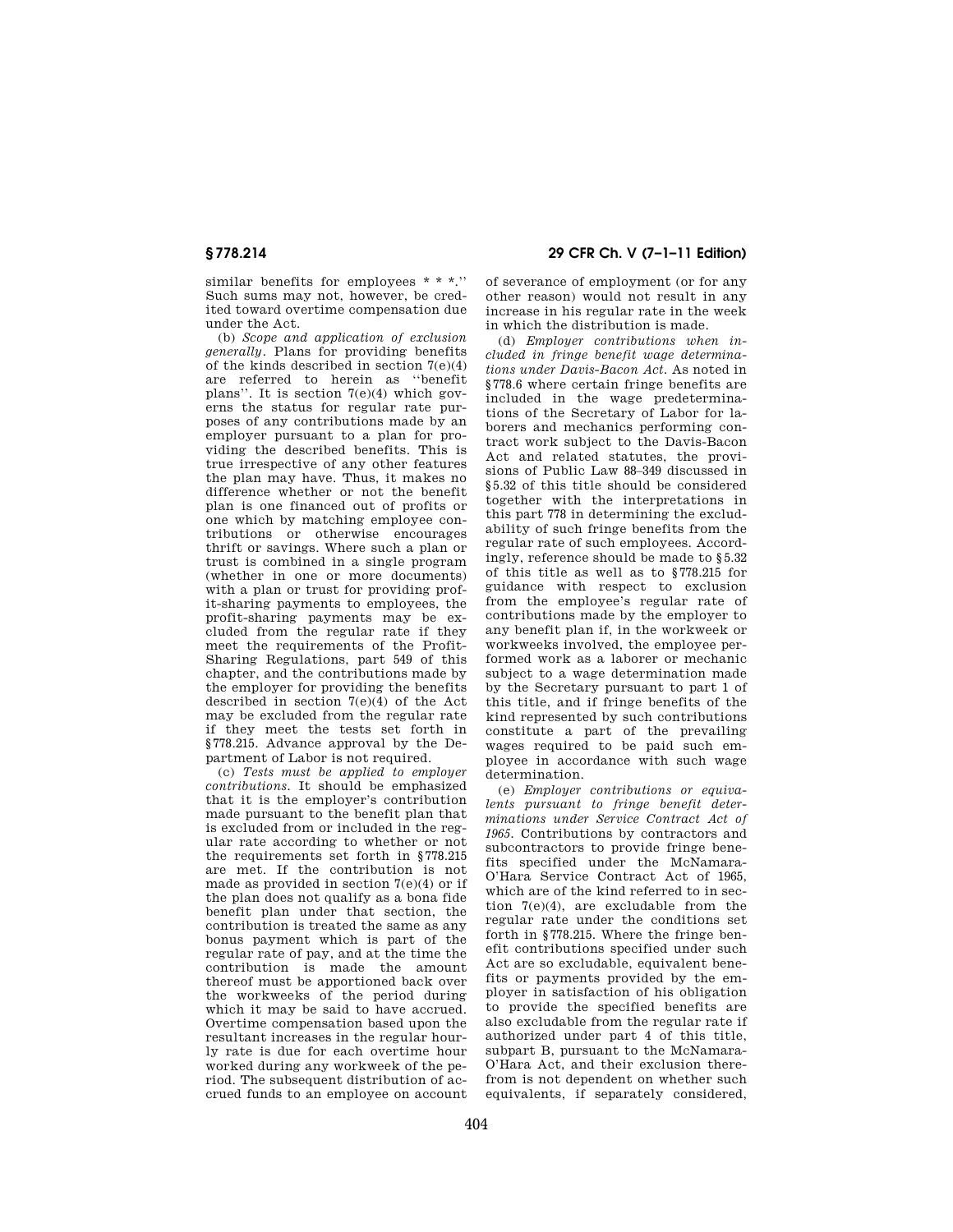similar benefits for employees \* \* \*.'' Such sums may not, however, be credited toward overtime compensation due under the Act.

(b) *Scope and application of exclusion generally.* Plans for providing benefits of the kinds described in section 7(e)(4) are referred to herein as ''benefit plans''. It is section 7(e)(4) which governs the status for regular rate purposes of any contributions made by an employer pursuant to a plan for providing the described benefits. This is true irrespective of any other features the plan may have. Thus, it makes no difference whether or not the benefit plan is one financed out of profits or one which by matching employee contributions or otherwise encourages thrift or savings. Where such a plan or trust is combined in a single program (whether in one or more documents) with a plan or trust for providing profit-sharing payments to employees, the profit-sharing payments may be excluded from the regular rate if they meet the requirements of the Profit-Sharing Regulations, part 549 of this chapter, and the contributions made by the employer for providing the benefits described in section 7(e)(4) of the Act may be excluded from the regular rate if they meet the tests set forth in §778.215. Advance approval by the Department of Labor is not required.

(c) *Tests must be applied to employer contributions.* It should be emphasized that it is the employer's contribution made pursuant to the benefit plan that is excluded from or included in the regular rate according to whether or not the requirements set forth in §778.215 are met. If the contribution is not made as provided in section  $7(e)(4)$  or if the plan does not qualify as a bona fide benefit plan under that section, the contribution is treated the same as any bonus payment which is part of the regular rate of pay, and at the time the contribution is made the amount thereof must be apportioned back over the workweeks of the period during which it may be said to have accrued. Overtime compensation based upon the resultant increases in the regular hourly rate is due for each overtime hour worked during any workweek of the period. The subsequent distribution of accrued funds to an employee on account

**§ 778.214 29 CFR Ch. V (7–1–11 Edition)** 

of severance of employment (or for any other reason) would not result in any increase in his regular rate in the week in which the distribution is made.

(d) *Employer contributions when included in fringe benefit wage determinations under Davis-Bacon Act.* As noted in §778.6 where certain fringe benefits are included in the wage predeterminations of the Secretary of Labor for laborers and mechanics performing contract work subject to the Davis-Bacon Act and related statutes, the provisions of Public Law 88–349 discussed in §5.32 of this title should be considered together with the interpretations in this part 778 in determining the excludability of such fringe benefits from the regular rate of such employees. Accordingly, reference should be made to §5.32 of this title as well as to §778.215 for guidance with respect to exclusion from the employee's regular rate of contributions made by the employer to any benefit plan if, in the workweek or workweeks involved, the employee performed work as a laborer or mechanic subject to a wage determination made by the Secretary pursuant to part 1 of this title, and if fringe benefits of the kind represented by such contributions constitute a part of the prevailing wages required to be paid such employee in accordance with such wage determination.

(e) *Employer contributions or equivalents pursuant to fringe benefit determinations under Service Contract Act of 1965.* Contributions by contractors and subcontractors to provide fringe benefits specified under the McNamara-O'Hara Service Contract Act of 1965, which are of the kind referred to in section 7(e)(4), are excludable from the regular rate under the conditions set forth in §778.215. Where the fringe benefit contributions specified under such Act are so excludable, equivalent benefits or payments provided by the employer in satisfaction of his obligation to provide the specified benefits are also excludable from the regular rate if authorized under part 4 of this title, subpart B, pursuant to the McNamara-O'Hara Act, and their exclusion therefrom is not dependent on whether such equivalents, if separately considered,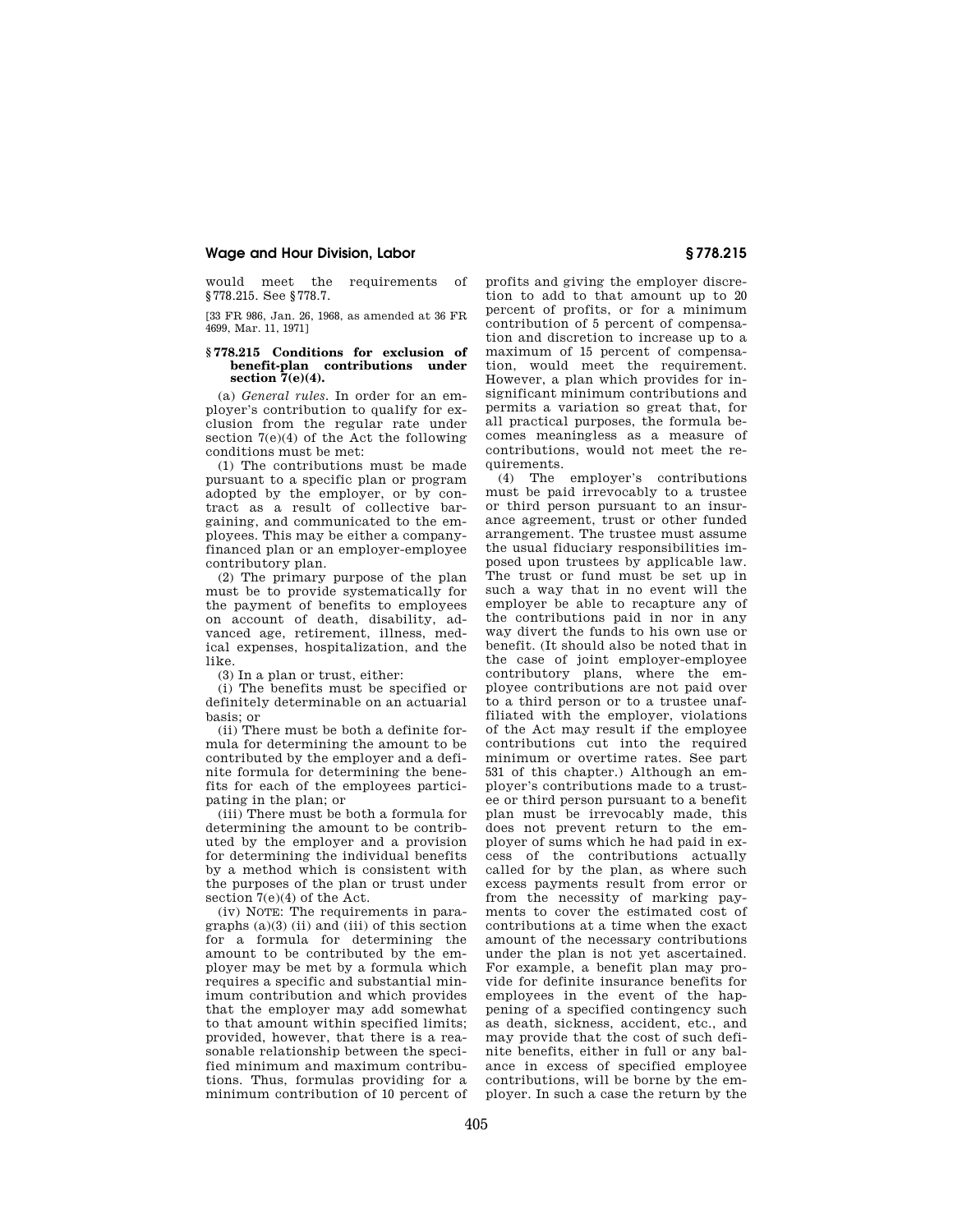would meet the requirements of §778.215. See §778.7.

[33 FR 986, Jan. 26, 1968, as amended at 36 FR 4699, Mar. 11, 1971]

#### **§ 778.215 Conditions for exclusion of benefit-plan contributions under section 7(e)(4).**

(a) *General rules.* In order for an employer's contribution to qualify for exclusion from the regular rate under section 7(e)(4) of the Act the following conditions must be met:

(1) The contributions must be made pursuant to a specific plan or program adopted by the employer, or by contract as a result of collective bargaining, and communicated to the employees. This may be either a companyfinanced plan or an employer-employee contributory plan.

(2) The primary purpose of the plan must be to provide systematically for the payment of benefits to employees on account of death, disability, advanced age, retirement, illness, medical expenses, hospitalization, and the like.

(3) In a plan or trust, either:

(i) The benefits must be specified or definitely determinable on an actuarial basis; or

(ii) There must be both a definite formula for determining the amount to be contributed by the employer and a definite formula for determining the benefits for each of the employees participating in the plan; or

(iii) There must be both a formula for determining the amount to be contributed by the employer and a provision for determining the individual benefits by a method which is consistent with the purposes of the plan or trust under section 7(e)(4) of the Act.

(iv) NOTE: The requirements in paragraphs  $(a)(3)$  (ii) and (iii) of this section for a formula for determining the amount to be contributed by the employer may be met by a formula which requires a specific and substantial minimum contribution and which provides that the employer may add somewhat to that amount within specified limits; provided, however, that there is a reasonable relationship between the specified minimum and maximum contributions. Thus, formulas providing for a minimum contribution of 10 percent of profits and giving the employer discretion to add to that amount up to 20 percent of profits, or for a minimum contribution of 5 percent of compensation and discretion to increase up to a maximum of 15 percent of compensation, would meet the requirement. However, a plan which provides for insignificant minimum contributions and permits a variation so great that, for all practical purposes, the formula becomes meaningless as a measure of contributions, would not meet the requirements.

(4) The employer's contributions must be paid irrevocably to a trustee or third person pursuant to an insurance agreement, trust or other funded arrangement. The trustee must assume the usual fiduciary responsibilities imposed upon trustees by applicable law. The trust or fund must be set up in such a way that in no event will the employer be able to recapture any of the contributions paid in nor in any way divert the funds to his own use or benefit. (It should also be noted that in the case of joint employer-employee contributory plans, where the employee contributions are not paid over to a third person or to a trustee unaffiliated with the employer, violations of the Act may result if the employee contributions cut into the required minimum or overtime rates. See part 531 of this chapter.) Although an employer's contributions made to a trustee or third person pursuant to a benefit plan must be irrevocably made, this does not prevent return to the employer of sums which he had paid in excess of the contributions actually called for by the plan, as where such excess payments result from error or from the necessity of marking payments to cover the estimated cost of contributions at a time when the exact amount of the necessary contributions under the plan is not yet ascertained. For example, a benefit plan may provide for definite insurance benefits for employees in the event of the happening of a specified contingency such as death, sickness, accident, etc., and may provide that the cost of such definite benefits, either in full or any balance in excess of specified employee contributions, will be borne by the employer. In such a case the return by the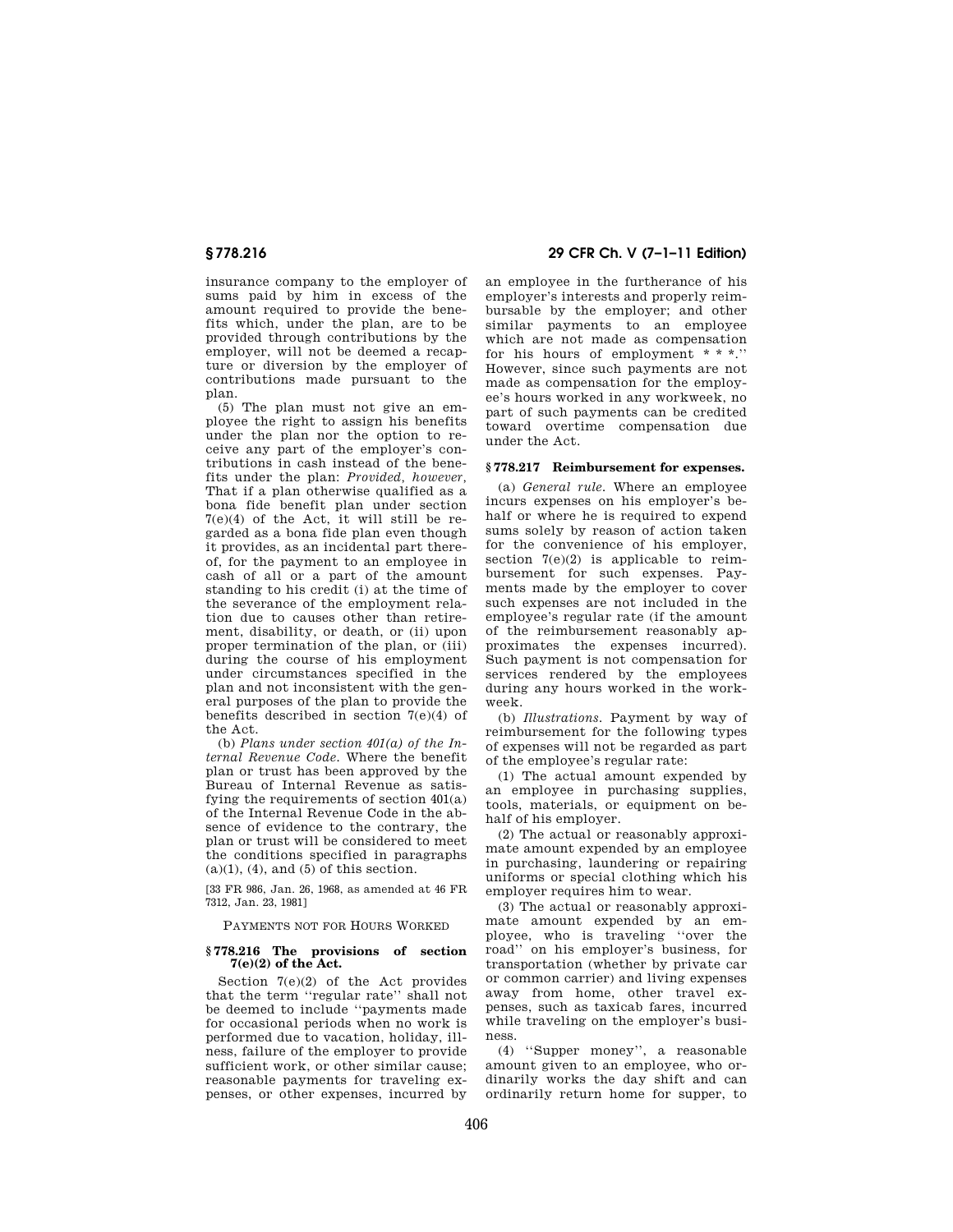insurance company to the employer of sums paid by him in excess of the amount required to provide the benefits which, under the plan, are to be provided through contributions by the employer, will not be deemed a recapture or diversion by the employer of contributions made pursuant to the plan.

(5) The plan must not give an employee the right to assign his benefits under the plan nor the option to receive any part of the employer's contributions in cash instead of the benefits under the plan: *Provided, however,*  That if a plan otherwise qualified as a bona fide benefit plan under section 7(e)(4) of the Act, it will still be regarded as a bona fide plan even though it provides, as an incidental part thereof, for the payment to an employee in cash of all or a part of the amount standing to his credit (i) at the time of the severance of the employment relation due to causes other than retirement, disability, or death, or (ii) upon proper termination of the plan, or (iii) during the course of his employment under circumstances specified in the plan and not inconsistent with the general purposes of the plan to provide the benefits described in section 7(e)(4) of the Act.

(b) *Plans under section 401(a) of the Internal Revenue Code.* Where the benefit plan or trust has been approved by the Bureau of Internal Revenue as satisfying the requirements of section 401(a) of the Internal Revenue Code in the absence of evidence to the contrary, the plan or trust will be considered to meet the conditions specified in paragraphs  $(a)(1), (4),$  and  $(b)$  of this section.

[33 FR 986, Jan. 26, 1968, as amended at 46 FR 7312, Jan. 23, 1981]

PAYMENTS NOT FOR HOURS WORKED

### **§ 778.216 The provisions of section 7(e)(2) of the Act.**

Section  $7(e)(2)$  of the Act provides that the term ''regular rate'' shall not be deemed to include ''payments made for occasional periods when no work is performed due to vacation, holiday, illness, failure of the employer to provide sufficient work, or other similar cause; reasonable payments for traveling expenses, or other expenses, incurred by

# **§ 778.216 29 CFR Ch. V (7–1–11 Edition)**

an employee in the furtherance of his employer's interests and properly reimbursable by the employer; and other similar payments to an employee which are not made as compensation for his hours of employment \* \* \*.'' However, since such payments are not made as compensation for the employee's hours worked in any workweek, no part of such payments can be credited toward overtime compensation due under the Act.

#### **§ 778.217 Reimbursement for expenses.**

(a) *General rule.* Where an employee incurs expenses on his employer's behalf or where he is required to expend sums solely by reason of action taken for the convenience of his employer, section  $7(e)(2)$  is applicable to reimbursement for such expenses. Payments made by the employer to cover such expenses are not included in the employee's regular rate (if the amount of the reimbursement reasonably approximates the expenses incurred). Such payment is not compensation for services rendered by the employees during any hours worked in the workweek.

(b) *Illustrations.* Payment by way of reimbursement for the following types of expenses will not be regarded as part of the employee's regular rate:

(1) The actual amount expended by an employee in purchasing supplies, tools, materials, or equipment on behalf of his employer.

(2) The actual or reasonably approximate amount expended by an employee in purchasing, laundering or repairing uniforms or special clothing which his employer requires him to wear.

(3) The actual or reasonably approximate amount expended by an employee, who is traveling ''over the road'' on his employer's business, for transportation (whether by private car or common carrier) and living expenses away from home, other travel expenses, such as taxicab fares, incurred while traveling on the employer's business.

(4) ''Supper money'', a reasonable amount given to an employee, who ordinarily works the day shift and can ordinarily return home for supper, to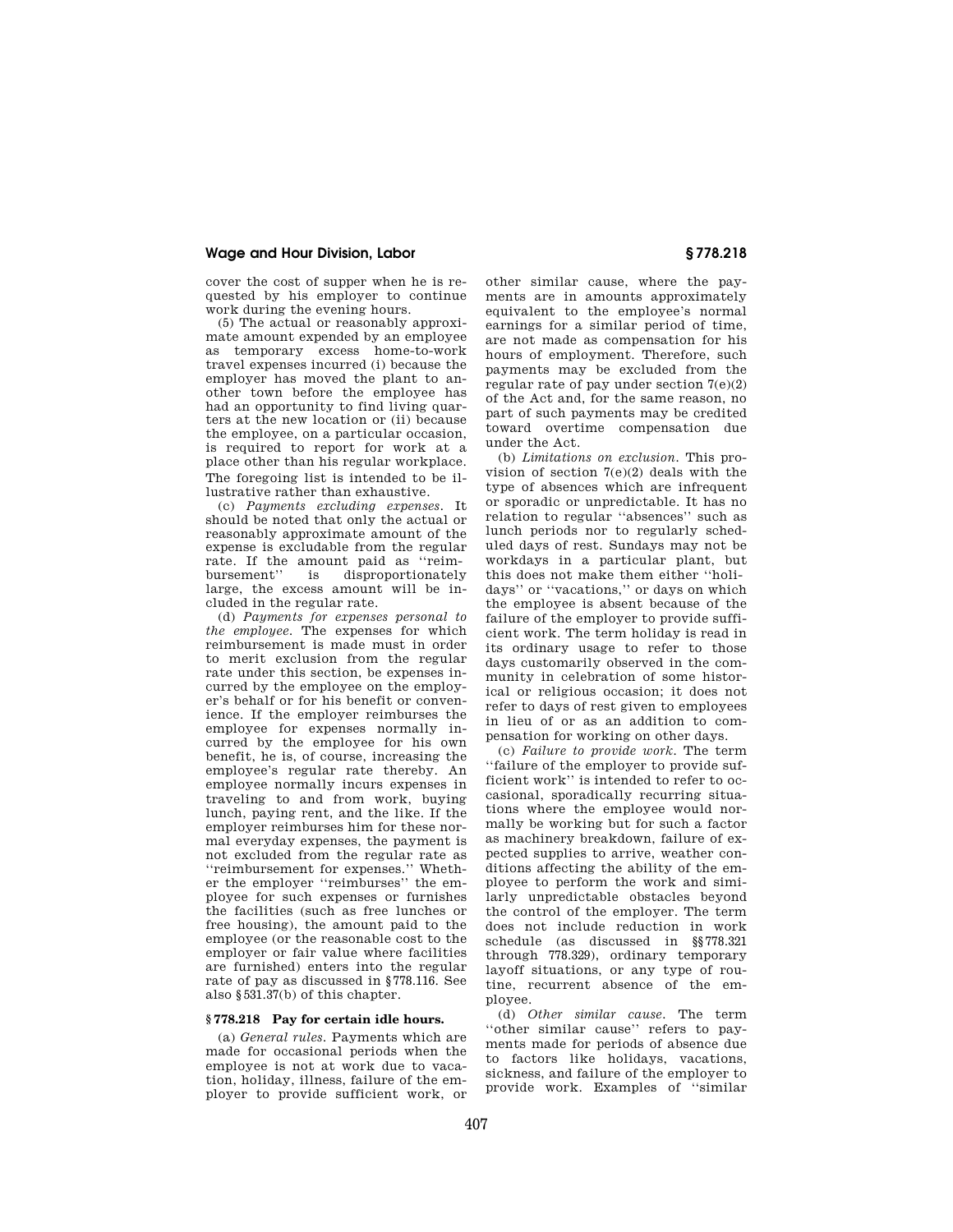cover the cost of supper when he is requested by his employer to continue work during the evening hours.

(5) The actual or reasonably approximate amount expended by an employee as temporary excess home-to-work travel expenses incurred (i) because the employer has moved the plant to another town before the employee has had an opportunity to find living quarters at the new location or (ii) because the employee, on a particular occasion, is required to report for work at a place other than his regular workplace. The foregoing list is intended to be illustrative rather than exhaustive.

(c) *Payments excluding expenses.* It should be noted that only the actual or reasonably approximate amount of the expense is excludable from the regular rate. If the amount paid as ''reimbursement'' is disproportionately large, the excess amount will be included in the regular rate.

(d) *Payments for expenses personal to the employee.* The expenses for which reimbursement is made must in order to merit exclusion from the regular rate under this section, be expenses incurred by the employee on the employer's behalf or for his benefit or convenience. If the employer reimburses the employee for expenses normally incurred by the employee for his own benefit, he is, of course, increasing the employee's regular rate thereby. An employee normally incurs expenses in traveling to and from work, buying lunch, paying rent, and the like. If the employer reimburses him for these normal everyday expenses, the payment is not excluded from the regular rate as ''reimbursement for expenses.'' Whether the employer ''reimburses'' the employee for such expenses or furnishes the facilities (such as free lunches or free housing), the amount paid to the employee (or the reasonable cost to the employer or fair value where facilities are furnished) enters into the regular rate of pay as discussed in §778.116. See also §531.37(b) of this chapter.

#### **§ 778.218 Pay for certain idle hours.**

(a) *General rules.* Payments which are made for occasional periods when the employee is not at work due to vacation, holiday, illness, failure of the employer to provide sufficient work, or

other similar cause, where the payments are in amounts approximately equivalent to the employee's normal earnings for a similar period of time, are not made as compensation for his hours of employment. Therefore, such payments may be excluded from the regular rate of pay under section 7(e)(2) of the Act and, for the same reason, no part of such payments may be credited toward overtime compensation due under the Act.

(b) *Limitations on exclusion.* This provision of section 7(e)(2) deals with the type of absences which are infrequent or sporadic or unpredictable. It has no relation to regular ''absences'' such as lunch periods nor to regularly scheduled days of rest. Sundays may not be workdays in a particular plant, but this does not make them either ''holidays'' or ''vacations,'' or days on which the employee is absent because of the failure of the employer to provide sufficient work. The term holiday is read in its ordinary usage to refer to those days customarily observed in the community in celebration of some historical or religious occasion; it does not refer to days of rest given to employees in lieu of or as an addition to compensation for working on other days.

(c) *Failure to provide work.* The term ''failure of the employer to provide sufficient work'' is intended to refer to occasional, sporadically recurring situations where the employee would normally be working but for such a factor as machinery breakdown, failure of expected supplies to arrive, weather conditions affecting the ability of the employee to perform the work and similarly unpredictable obstacles beyond the control of the employer. The term does not include reduction in work schedule (as discussed in §§778.321 through 778.329), ordinary temporary layoff situations, or any type of routine, recurrent absence of the employee.

(d) *Other similar cause.* The term ''other similar cause'' refers to payments made for periods of absence due to factors like holidays, vacations, sickness, and failure of the employer to provide work. Examples of ''similar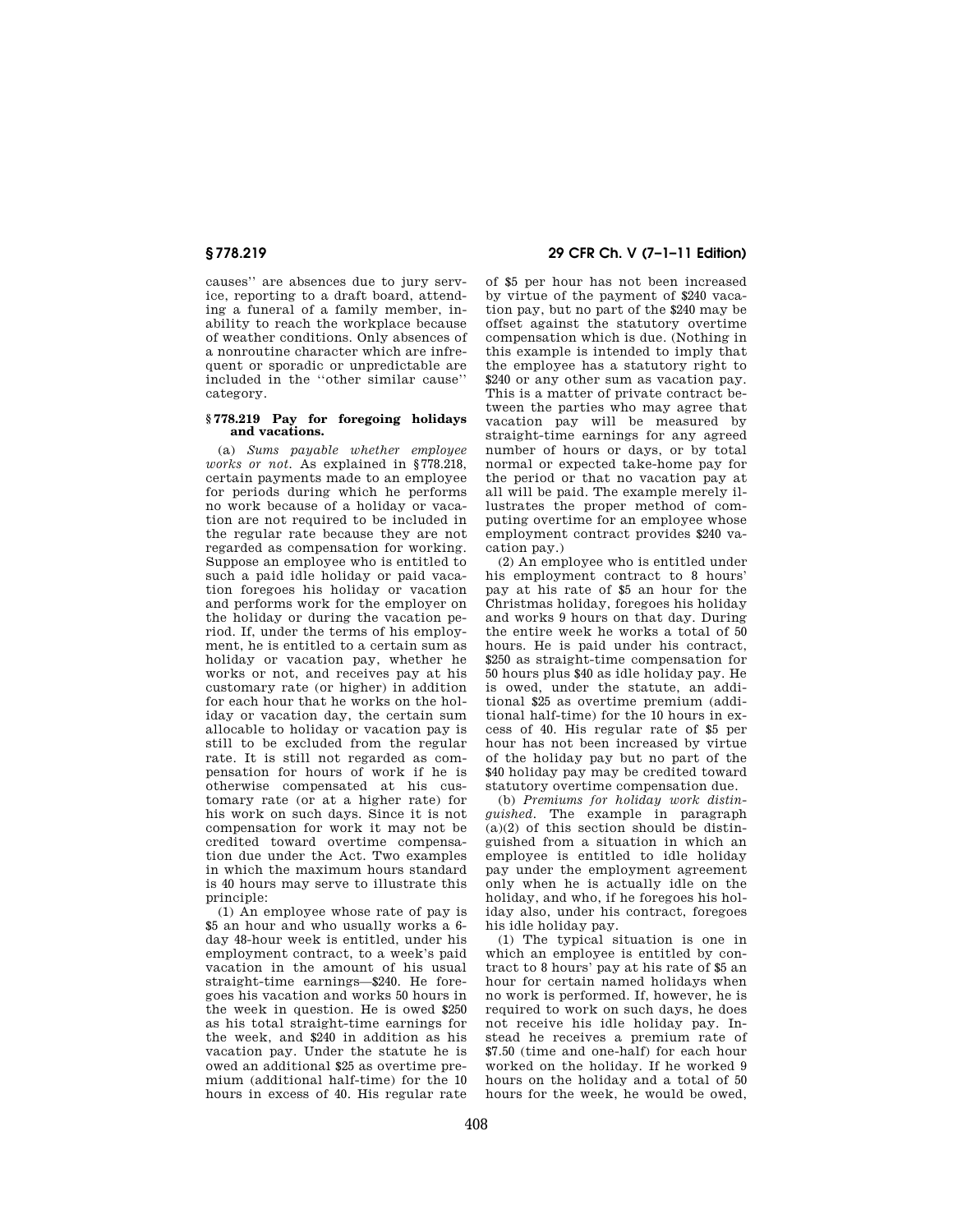causes'' are absences due to jury service, reporting to a draft board, attending a funeral of a family member, inability to reach the workplace because of weather conditions. Only absences of a nonroutine character which are infrequent or sporadic or unpredictable are included in the ''other similar cause'' category.

#### **§ 778.219 Pay for foregoing holidays and vacations.**

(a) *Sums payable whether employee works or not.* As explained in §778.218, certain payments made to an employee for periods during which he performs no work because of a holiday or vacation are not required to be included in the regular rate because they are not regarded as compensation for working. Suppose an employee who is entitled to such a paid idle holiday or paid vacation foregoes his holiday or vacation and performs work for the employer on the holiday or during the vacation period. If, under the terms of his employment, he is entitled to a certain sum as holiday or vacation pay, whether he works or not, and receives pay at his customary rate (or higher) in addition for each hour that he works on the holiday or vacation day, the certain sum allocable to holiday or vacation pay is still to be excluded from the regular rate. It is still not regarded as compensation for hours of work if he is otherwise compensated at his customary rate (or at a higher rate) for his work on such days. Since it is not compensation for work it may not be credited toward overtime compensation due under the Act. Two examples in which the maximum hours standard is 40 hours may serve to illustrate this principle:

(1) An employee whose rate of pay is \$5 an hour and who usually works a 6 day 48-hour week is entitled, under his employment contract, to a week's paid vacation in the amount of his usual straight-time earnings—\$240. He foregoes his vacation and works 50 hours in the week in question. He is owed \$250 as his total straight-time earnings for the week, and \$240 in addition as his vacation pay. Under the statute he is owed an additional \$25 as overtime premium (additional half-time) for the 10 hours in excess of 40. His regular rate

# **§ 778.219 29 CFR Ch. V (7–1–11 Edition)**

of \$5 per hour has not been increased by virtue of the payment of \$240 vacation pay, but no part of the \$240 may be offset against the statutory overtime compensation which is due. (Nothing in this example is intended to imply that the employee has a statutory right to \$240 or any other sum as vacation pay. This is a matter of private contract between the parties who may agree that vacation pay will be measured by straight-time earnings for any agreed number of hours or days, or by total normal or expected take-home pay for the period or that no vacation pay at all will be paid. The example merely illustrates the proper method of computing overtime for an employee whose employment contract provides \$240 vacation pay.)

(2) An employee who is entitled under his employment contract to 8 hours' pay at his rate of \$5 an hour for the Christmas holiday, foregoes his holiday and works 9 hours on that day. During the entire week he works a total of 50 hours. He is paid under his contract, \$250 as straight-time compensation for 50 hours plus \$40 as idle holiday pay. He is owed, under the statute, an additional \$25 as overtime premium (additional half-time) for the 10 hours in excess of 40. His regular rate of \$5 per hour has not been increased by virtue of the holiday pay but no part of the \$40 holiday pay may be credited toward statutory overtime compensation due.

(b) *Premiums for holiday work distinguished.* The example in paragraph  $(a)(2)$  of this section should be distinguished from a situation in which an employee is entitled to idle holiday pay under the employment agreement only when he is actually idle on the holiday, and who, if he foregoes his holiday also, under his contract, foregoes his idle holiday pay.

(1) The typical situation is one in which an employee is entitled by contract to 8 hours' pay at his rate of \$5 an hour for certain named holidays when no work is performed. If, however, he is required to work on such days, he does not receive his idle holiday pay. Instead he receives a premium rate of \$7.50 (time and one-half) for each hour worked on the holiday. If he worked 9 hours on the holiday and a total of 50 hours for the week, he would be owed,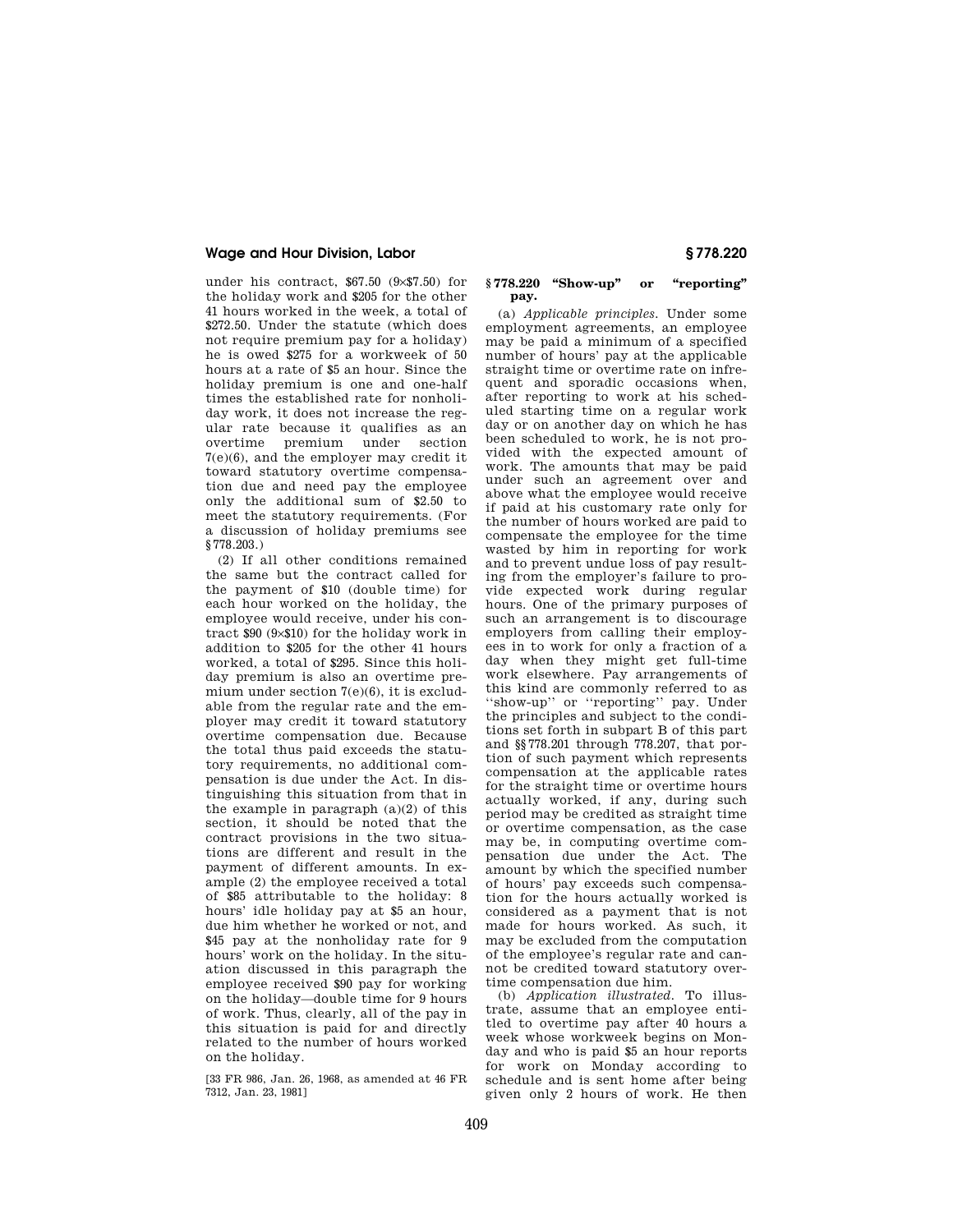under his contract, \$67.50 (9×\$7.50) for the holiday work and \$205 for the other 41 hours worked in the week, a total of \$272.50. Under the statute (which does not require premium pay for a holiday) he is owed \$275 for a workweek of 50 hours at a rate of \$5 an hour. Since the holiday premium is one and one-half times the established rate for nonholiday work, it does not increase the regular rate because it qualifies as an overtime premium under section 7(e)(6), and the employer may credit it toward statutory overtime compensation due and need pay the employee only the additional sum of \$2.50 to meet the statutory requirements. (For a discussion of holiday premiums see §778.203.)

(2) If all other conditions remained the same but the contract called for the payment of \$10 (double time) for each hour worked on the holiday, the employee would receive, under his contract \$90 (9×\$10) for the holiday work in addition to \$205 for the other 41 hours worked, a total of \$295. Since this holiday premium is also an overtime premium under section 7(e)(6), it is excludable from the regular rate and the employer may credit it toward statutory overtime compensation due. Because the total thus paid exceeds the statutory requirements, no additional compensation is due under the Act. In distinguishing this situation from that in the example in paragraph  $(a)(2)$  of this section, it should be noted that the contract provisions in the two situations are different and result in the payment of different amounts. In example (2) the employee received a total of \$85 attributable to the holiday: 8 hours' idle holiday pay at \$5 an hour, due him whether he worked or not, and \$45 pay at the nonholiday rate for 9 hours' work on the holiday. In the situation discussed in this paragraph the employee received \$90 pay for working on the holiday—double time for 9 hours of work. Thus, clearly, all of the pay in this situation is paid for and directly related to the number of hours worked on the holiday.

[33 FR 986, Jan. 26, 1968, as amended at 46 FR 7312, Jan. 23, 1981]

#### **§ 778.220 ''Show-up'' or ''reporting'' pay.**

(a) *Applicable principles.* Under some employment agreements, an employee may be paid a minimum of a specified number of hours' pay at the applicable straight time or overtime rate on infrequent and sporadic occasions when, after reporting to work at his scheduled starting time on a regular work day or on another day on which he has been scheduled to work, he is not provided with the expected amount of work. The amounts that may be paid under such an agreement over and above what the employee would receive if paid at his customary rate only for the number of hours worked are paid to compensate the employee for the time wasted by him in reporting for work and to prevent undue loss of pay resulting from the employer's failure to provide expected work during regular hours. One of the primary purposes of such an arrangement is to discourage employers from calling their employees in to work for only a fraction of a day when they might get full-time work elsewhere. Pay arrangements of this kind are commonly referred to as ''show-up'' or ''reporting'' pay. Under the principles and subject to the conditions set forth in subpart B of this part and §§778.201 through 778.207, that portion of such payment which represents compensation at the applicable rates for the straight time or overtime hours actually worked, if any, during such period may be credited as straight time or overtime compensation, as the case may be, in computing overtime compensation due under the Act. The amount by which the specified number of hours' pay exceeds such compensation for the hours actually worked is considered as a payment that is not made for hours worked. As such, it may be excluded from the computation of the employee's regular rate and cannot be credited toward statutory overtime compensation due him.

(b) *Application illustrated.* To illustrate, assume that an employee entitled to overtime pay after 40 hours a week whose workweek begins on Monday and who is paid \$5 an hour reports for work on Monday according to schedule and is sent home after being given only 2 hours of work. He then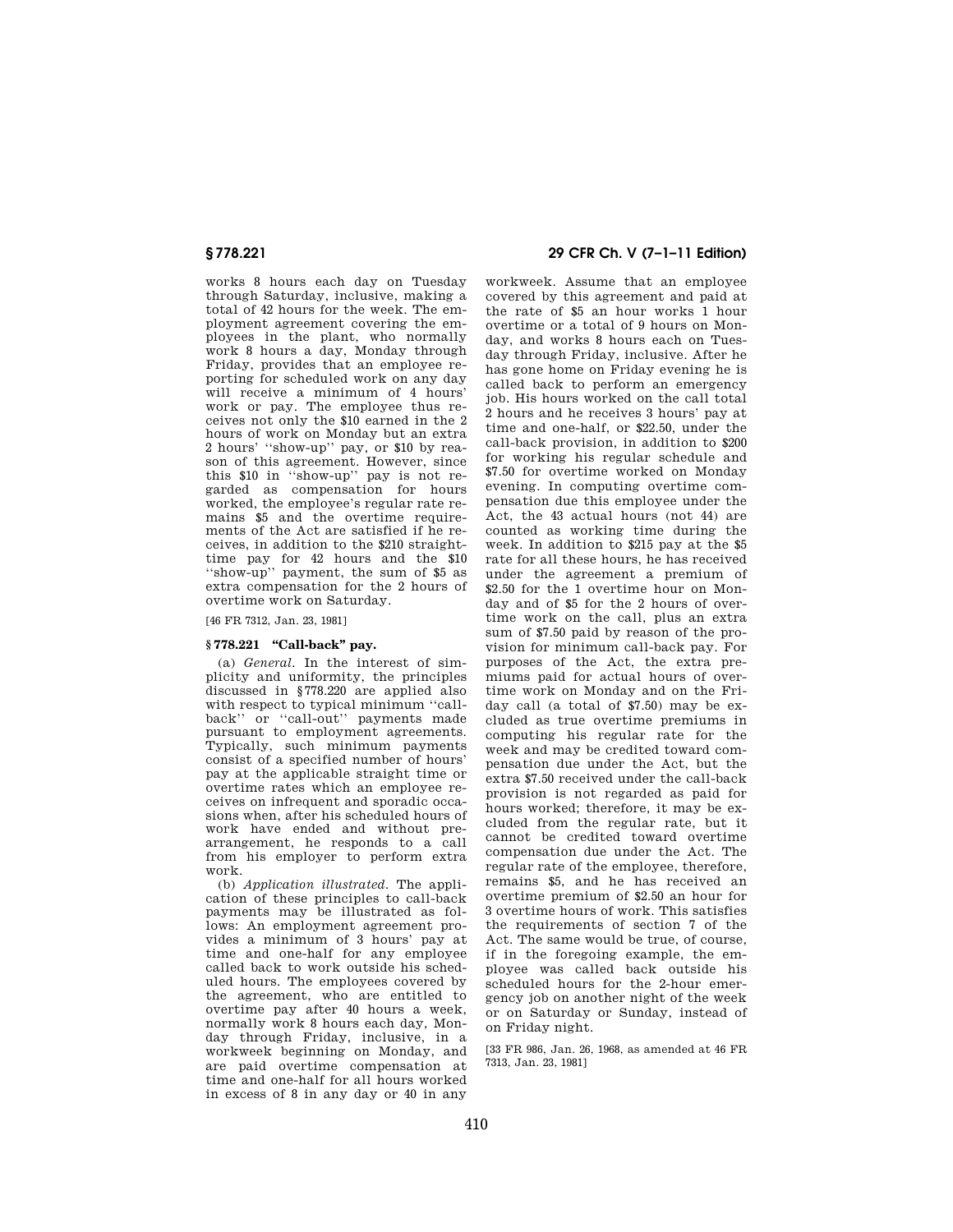works 8 hours each day on Tuesday through Saturday, inclusive, making a total of 42 hours for the week. The employment agreement covering the employees in the plant, who normally work 8 hours a day, Monday through Friday, provides that an employee reporting for scheduled work on any day will receive a minimum of 4 hours' work or pay. The employee thus receives not only the \$10 earned in the 2 hours of work on Monday but an extra 2 hours' ''show-up'' pay, or \$10 by reason of this agreement. However, since this \$10 in ''show-up'' pay is not regarded as compensation for hours worked, the employee's regular rate remains \$5 and the overtime requirements of the Act are satisfied if he receives, in addition to the \$210 straighttime pay for 42 hours and the \$10 ''show-up'' payment, the sum of \$5 as extra compensation for the 2 hours of overtime work on Saturday.

[46 FR 7312, Jan. 23, 1981]

#### **§ 778.221 ''Call-back'' pay.**

(a) *General.* In the interest of simplicity and uniformity, the principles discussed in §778.220 are applied also with respect to typical minimum ''callback'' or ''call-out'' payments made pursuant to employment agreements. Typically, such minimum payments consist of a specified number of hours' pay at the applicable straight time or overtime rates which an employee receives on infrequent and sporadic occasions when, after his scheduled hours of work have ended and without prearrangement, he responds to a call from his employer to perform extra work.

(b) *Application illustrated.* The application of these principles to call-back payments may be illustrated as follows: An employment agreement provides a minimum of 3 hours' pay at time and one-half for any employee called back to work outside his scheduled hours. The employees covered by the agreement, who are entitled to overtime pay after 40 hours a week, normally work 8 hours each day, Monday through Friday, inclusive, in a workweek beginning on Monday, and are paid overtime compensation at time and one-half for all hours worked in excess of 8 in any day or 40 in any

# **§ 778.221 29 CFR Ch. V (7–1–11 Edition)**

workweek. Assume that an employee covered by this agreement and paid at the rate of \$5 an hour works 1 hour overtime or a total of 9 hours on Monday, and works 8 hours each on Tuesday through Friday, inclusive. After he has gone home on Friday evening he is called back to perform an emergency job. His hours worked on the call total 2 hours and he receives 3 hours' pay at time and one-half, or \$22.50, under the call-back provision, in addition to \$200 for working his regular schedule and \$7.50 for overtime worked on Monday evening. In computing overtime compensation due this employee under the Act, the 43 actual hours (not 44) are counted as working time during the week. In addition to \$215 pay at the \$5 rate for all these hours, he has received under the agreement a premium of \$2.50 for the 1 overtime hour on Monday and of \$5 for the 2 hours of overtime work on the call, plus an extra sum of \$7.50 paid by reason of the provision for minimum call-back pay. For purposes of the Act, the extra premiums paid for actual hours of overtime work on Monday and on the Friday call (a total of \$7.50) may be excluded as true overtime premiums in computing his regular rate for the week and may be credited toward compensation due under the Act, but the extra \$7.50 received under the call-back provision is not regarded as paid for hours worked; therefore, it may be excluded from the regular rate, but it cannot be credited toward overtime compensation due under the Act. The regular rate of the employee, therefore, remains \$5, and he has received an overtime premium of \$2.50 an hour for 3 overtime hours of work. This satisfies the requirements of section 7 of the Act. The same would be true, of course, if in the foregoing example, the employee was called back outside his scheduled hours for the 2-hour emergency job on another night of the week or on Saturday or Sunday, instead of on Friday night.

[33 FR 986, Jan. 26, 1968, as amended at 46 FR 7313, Jan. 23, 1981]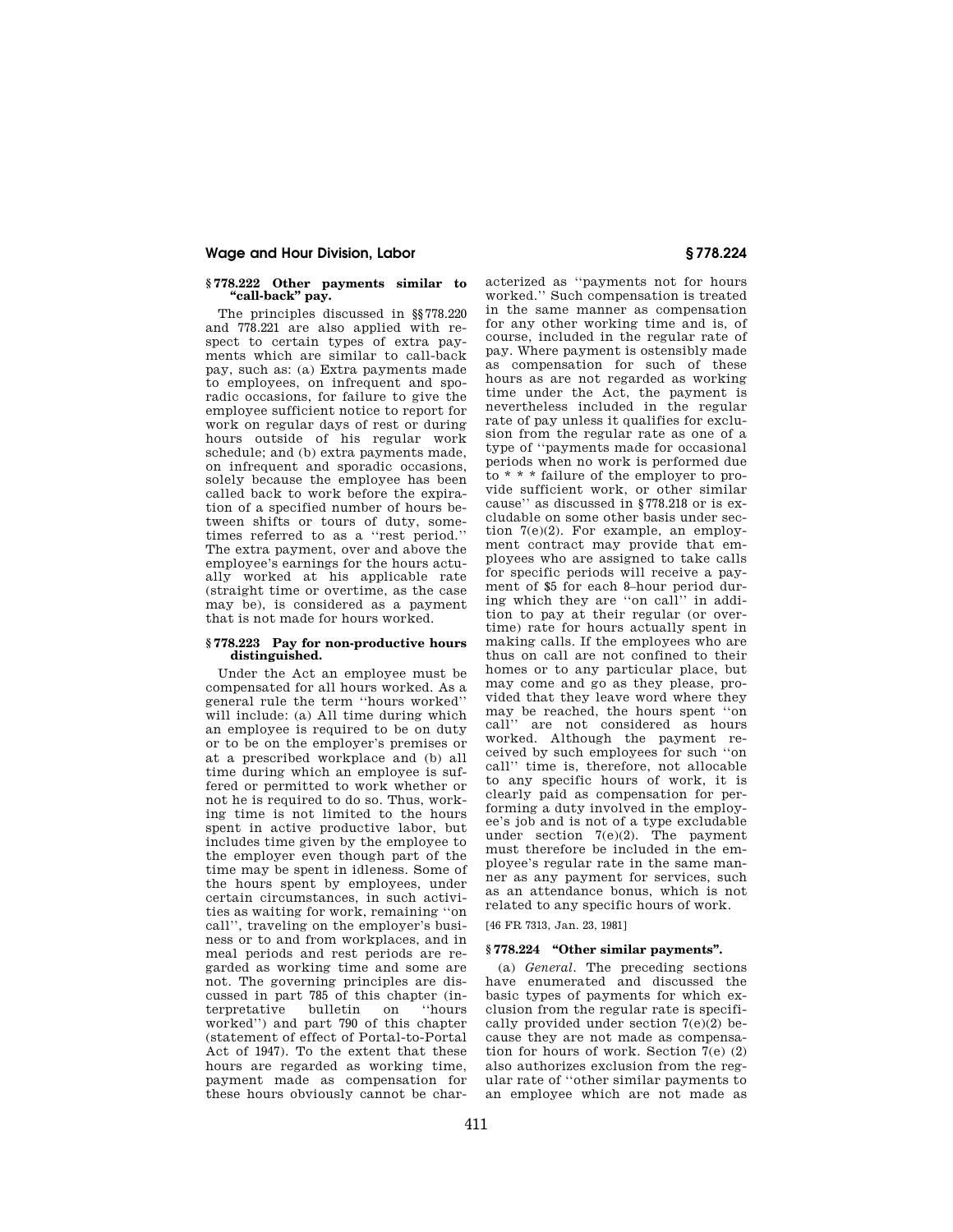#### **§ 778.222 Other payments similar to ''call-back'' pay.**

The principles discussed in §§778.220 and 778.221 are also applied with respect to certain types of extra payments which are similar to call-back pay, such as: (a) Extra payments made to employees, on infrequent and sporadic occasions, for failure to give the employee sufficient notice to report for work on regular days of rest or during hours outside of his regular work schedule; and (b) extra payments made, on infrequent and sporadic occasions, solely because the employee has been called back to work before the expiration of a specified number of hours between shifts or tours of duty, sometimes referred to as a ''rest period.'' The extra payment, over and above the employee's earnings for the hours actually worked at his applicable rate (straight time or overtime, as the case may be), is considered as a payment that is not made for hours worked.

#### **§ 778.223 Pay for non-productive hours distinguished.**

Under the Act an employee must be compensated for all hours worked. As a general rule the term ''hours worked'' will include: (a) All time during which an employee is required to be on duty or to be on the employer's premises or at a prescribed workplace and (b) all time during which an employee is suffered or permitted to work whether or not he is required to do so. Thus, working time is not limited to the hours spent in active productive labor, but includes time given by the employee to the employer even though part of the time may be spent in idleness. Some of the hours spent by employees, under certain circumstances, in such activities as waiting for work, remaining ''on call'', traveling on the employer's business or to and from workplaces, and in meal periods and rest periods are regarded as working time and some are not. The governing principles are discussed in part 785 of this chapter (interpretative bulletin on ''hours worked'') and part 790 of this chapter (statement of effect of Portal-to-Portal Act of 1947). To the extent that these hours are regarded as working time, payment made as compensation for these hours obviously cannot be char-

acterized as ''payments not for hours worked.'' Such compensation is treated in the same manner as compensation for any other working time and is, of course, included in the regular rate of pay. Where payment is ostensibly made as compensation for such of these hours as are not regarded as working time under the Act, the payment is nevertheless included in the regular rate of pay unless it qualifies for exclusion from the regular rate as one of a type of ''payments made for occasional periods when no work is performed due to \* \* \* failure of the employer to provide sufficient work, or other similar cause'' as discussed in §778.218 or is excludable on some other basis under section 7(e)(2). For example, an employment contract may provide that employees who are assigned to take calls for specific periods will receive a payment of \$5 for each 8–hour period during which they are ''on call'' in addition to pay at their regular (or overtime) rate for hours actually spent in making calls. If the employees who are thus on call are not confined to their homes or to any particular place, but may come and go as they please, provided that they leave word where they may be reached, the hours spent ''on call'' are not considered as hours worked. Although the payment received by such employees for such ''on call'' time is, therefore, not allocable to any specific hours of work, it is clearly paid as compensation for performing a duty involved in the employee's job and is not of a type excludable under section 7(e)(2). The payment must therefore be included in the employee's regular rate in the same manner as any payment for services, such as an attendance bonus, which is not related to any specific hours of work.

[46 FR 7313, Jan. 23, 1981]

# **§ 778.224 ''Other similar payments''.**

(a) *General.* The preceding sections have enumerated and discussed the basic types of payments for which exclusion from the regular rate is specifically provided under section 7(e)(2) because they are not made as compensation for hours of work. Section  $7(e)$  (2) also authorizes exclusion from the regular rate of ''other similar payments to an employee which are not made as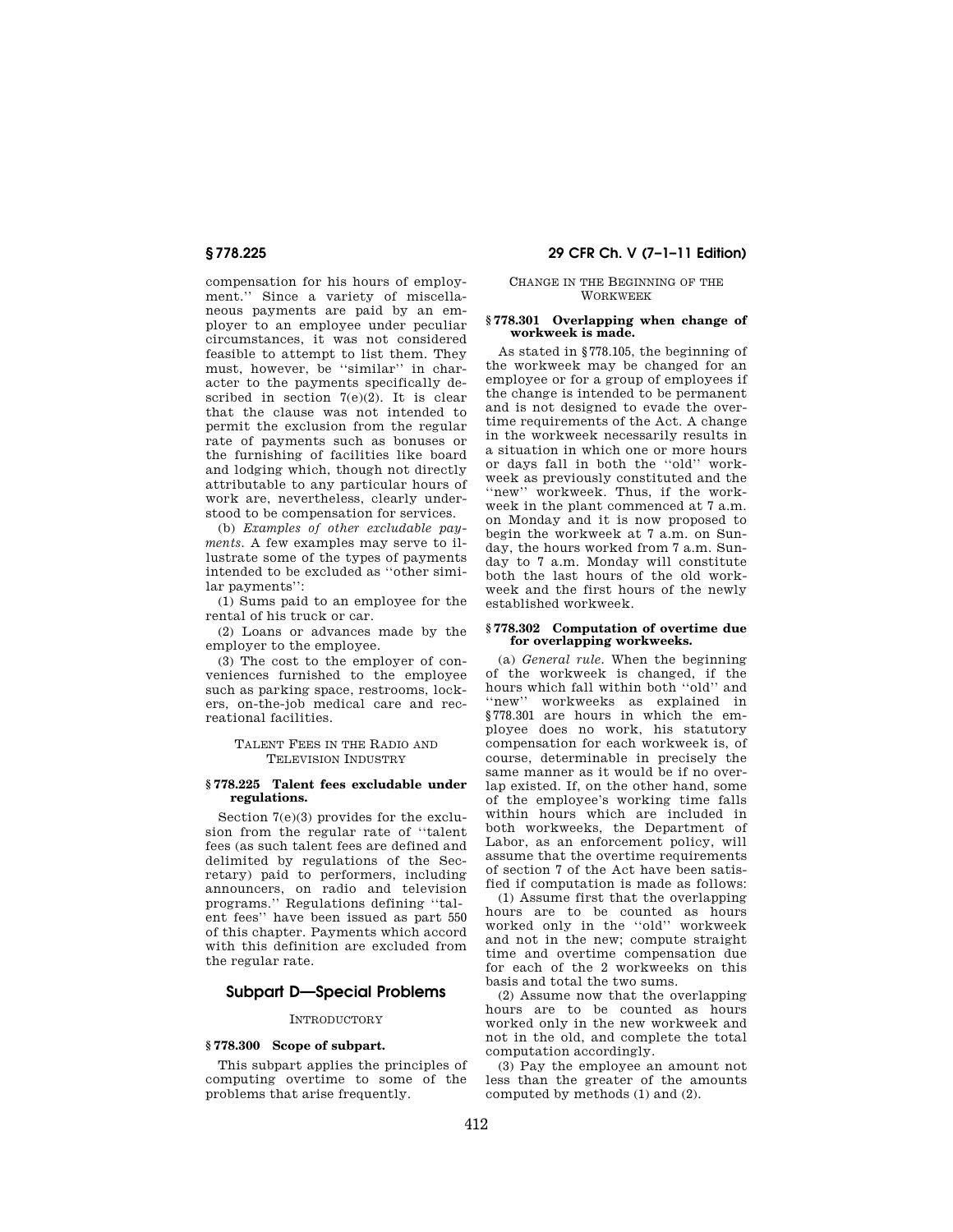compensation for his hours of employment.'' Since a variety of miscellaneous payments are paid by an employer to an employee under peculiar circumstances, it was not considered feasible to attempt to list them. They must, however, be ''similar'' in character to the payments specifically described in section 7(e)(2). It is clear that the clause was not intended to permit the exclusion from the regular rate of payments such as bonuses or the furnishing of facilities like board and lodging which, though not directly attributable to any particular hours of work are, nevertheless, clearly understood to be compensation for services.

(b) *Examples of other excludable payments.* A few examples may serve to illustrate some of the types of payments intended to be excluded as ''other similar payments'':

(1) Sums paid to an employee for the rental of his truck or car.

(2) Loans or advances made by the employer to the employee.

(3) The cost to the employer of conveniences furnished to the employee such as parking space, restrooms, lockers, on-the-job medical care and recreational facilities.

> TALENT FEES IN THE RADIO AND TELEVISION INDUSTRY

#### **§ 778.225 Talent fees excludable under regulations.**

Section 7(e)(3) provides for the exclusion from the regular rate of ''talent fees (as such talent fees are defined and delimited by regulations of the Secretary) paid to performers, including announcers, on radio and television programs.'' Regulations defining ''talent fees'' have been issued as part 550 of this chapter. Payments which accord with this definition are excluded from the regular rate.

# **Subpart D—Special Problems**

# INTRODUCTORY

### **§ 778.300 Scope of subpart.**

This subpart applies the principles of computing overtime to some of the problems that arise frequently.

# **§ 778.225 29 CFR Ch. V (7–1–11 Edition)**

#### CHANGE IN THE BEGINNING OF THE **WORKWEEK**

#### **§ 778.301 Overlapping when change of workweek is made.**

As stated in §778.105, the beginning of the workweek may be changed for an employee or for a group of employees if the change is intended to be permanent and is not designed to evade the overtime requirements of the Act. A change in the workweek necessarily results in a situation in which one or more hours or days fall in both the ''old'' workweek as previously constituted and the ''new'' workweek. Thus, if the workweek in the plant commenced at 7 a.m. on Monday and it is now proposed to begin the workweek at 7 a.m. on Sunday, the hours worked from 7 a.m. Sunday to 7 a.m. Monday will constitute both the last hours of the old workweek and the first hours of the newly established workweek.

#### **§ 778.302 Computation of overtime due for overlapping workweeks.**

(a) *General rule.* When the beginning of the workweek is changed, if the hours which fall within both ''old'' and ''new'' workweeks as explained in §778.301 are hours in which the employee does no work, his statutory compensation for each workweek is, of course, determinable in precisely the same manner as it would be if no overlap existed. If, on the other hand, some of the employee's working time falls within hours which are included in both workweeks, the Department of Labor, as an enforcement policy, will assume that the overtime requirements of section 7 of the Act have been satisfied if computation is made as follows:

(1) Assume first that the overlapping hours are to be counted as hours worked only in the ''old'' workweek and not in the new; compute straight time and overtime compensation due for each of the 2 workweeks on this basis and total the two sums.

(2) Assume now that the overlapping hours are to be counted as hours worked only in the new workweek and not in the old, and complete the total computation accordingly.

(3) Pay the employee an amount not less than the greater of the amounts computed by methods (1) and (2).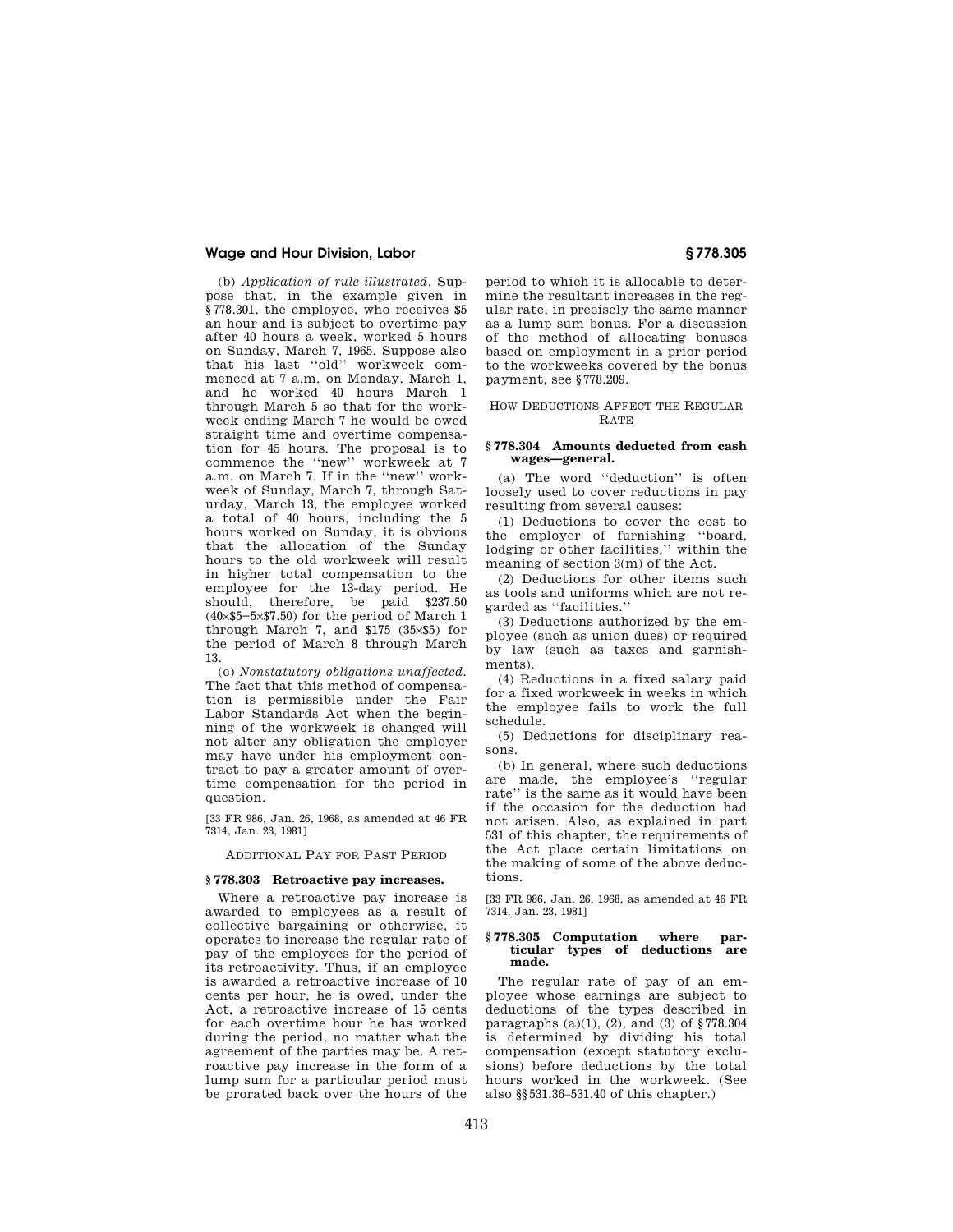(b) *Application of rule illustrated.* Suppose that, in the example given in §778.301, the employee, who receives \$5 an hour and is subject to overtime pay after 40 hours a week, worked 5 hours on Sunday, March 7, 1965. Suppose also that his last ''old'' workweek commenced at 7 a.m. on Monday, March 1, and he worked 40 hours March 1 through March 5 so that for the workweek ending March 7 he would be owed straight time and overtime compensation for 45 hours. The proposal is to commence the ''new'' workweek at 7 a.m. on March 7. If in the ''new'' workweek of Sunday, March 7, through Saturday, March 13, the employee worked a total of 40 hours, including the 5 hours worked on Sunday, it is obvious that the allocation of the Sunday hours to the old workweek will result in higher total compensation to the employee for the 13-day period. He should, therefore, be paid \$237.50  $(40 \times $5+5 \times $7.50)$  for the period of March 1 through March 7, and \$175 (35×\$5) for the period of March 8 through March 13.

(c) *Nonstatutory obligations unaffected.*  The fact that this method of compensation is permissible under the Fair Labor Standards Act when the beginning of the workweek is changed will not alter any obligation the employer may have under his employment contract to pay a greater amount of overtime compensation for the period in question.

[33 FR 986, Jan. 26, 1968, as amended at 46 FR 7314, Jan. 23, 1981]

## ADDITIONAL PAY FOR PAST PERIOD

# **§ 778.303 Retroactive pay increases.**

Where a retroactive pay increase is awarded to employees as a result of collective bargaining or otherwise, it operates to increase the regular rate of pay of the employees for the period of its retroactivity. Thus, if an employee is awarded a retroactive increase of 10 cents per hour, he is owed, under the Act, a retroactive increase of 15 cents for each overtime hour he has worked during the period, no matter what the agreement of the parties may be. A retroactive pay increase in the form of a lump sum for a particular period must be prorated back over the hours of the

period to which it is allocable to determine the resultant increases in the regular rate, in precisely the same manner as a lump sum bonus. For a discussion of the method of allocating bonuses based on employment in a prior period to the workweeks covered by the bonus payment, see §778.209.

#### HOW DEDUCTIONS AFFECT THE REGULAR RATE

#### **§ 778.304 Amounts deducted from cash wages—general.**

(a) The word ''deduction'' is often loosely used to cover reductions in pay resulting from several causes:

(1) Deductions to cover the cost to the employer of furnishing ''board, lodging or other facilities,'' within the meaning of section 3(m) of the Act.

(2) Deductions for other items such as tools and uniforms which are not regarded as ''facilities.''

(3) Deductions authorized by the employee (such as union dues) or required by law (such as taxes and garnishments).

(4) Reductions in a fixed salary paid for a fixed workweek in weeks in which the employee fails to work the full schedule.

(5) Deductions for disciplinary reasons.

(b) In general, where such deductions are made, the employee's ''regular rate'' is the same as it would have been if the occasion for the deduction had not arisen. Also, as explained in part 531 of this chapter, the requirements of the Act place certain limitations on the making of some of the above deductions.

[33 FR 986, Jan. 26, 1968, as amended at 46 FR 7314, Jan. 23, 1981]

#### **§ 778.305 Computation where particular types of deductions are made.**

The regular rate of pay of an employee whose earnings are subject to deductions of the types described in paragraphs (a)(1), (2), and (3) of §778.304 is determined by dividing his total compensation (except statutory exclusions) before deductions by the total hours worked in the workweek. (See also §§531.36–531.40 of this chapter.)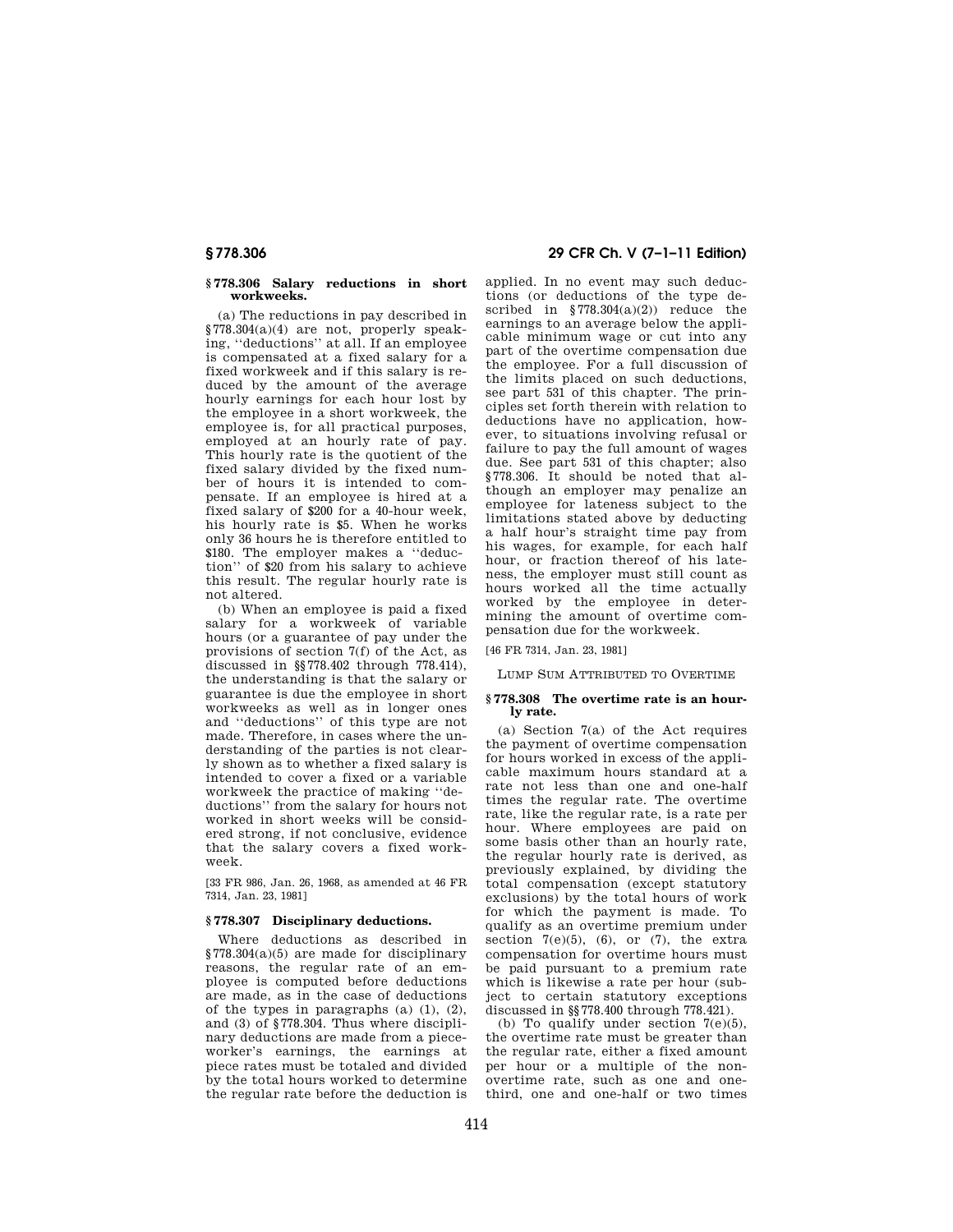#### **§ 778.306 Salary reductions in short workweeks.**

(a) The reductions in pay described in §778.304(a)(4) are not, properly speaking, ''deductions'' at all. If an employee is compensated at a fixed salary for a fixed workweek and if this salary is reduced by the amount of the average hourly earnings for each hour lost by the employee in a short workweek, the employee is, for all practical purposes, employed at an hourly rate of pay. This hourly rate is the quotient of the fixed salary divided by the fixed number of hours it is intended to compensate. If an employee is hired at a fixed salary of \$200 for a 40-hour week, his hourly rate is \$5. When he works only 36 hours he is therefore entitled to \$180. The employer makes a ''deduction'' of \$20 from his salary to achieve this result. The regular hourly rate is not altered.

(b) When an employee is paid a fixed salary for a workweek of variable hours (or a guarantee of pay under the provisions of section 7(f) of the Act, as discussed in §§778.402 through 778.414), the understanding is that the salary or guarantee is due the employee in short workweeks as well as in longer ones and ''deductions'' of this type are not made. Therefore, in cases where the understanding of the parties is not clearly shown as to whether a fixed salary is intended to cover a fixed or a variable workweek the practice of making ''deductions'' from the salary for hours not worked in short weeks will be considered strong, if not conclusive, evidence that the salary covers a fixed workweek.

[33 FR 986, Jan. 26, 1968, as amended at 46 FR 7314, Jan. 23, 1981]

# **§ 778.307 Disciplinary deductions.**

Where deductions as described in §778.304(a)(5) are made for disciplinary reasons, the regular rate of an employee is computed before deductions are made, as in the case of deductions of the types in paragraphs  $(a)$   $(1)$ ,  $(2)$ , and (3) of §778.304. Thus where disciplinary deductions are made from a pieceworker's earnings, the earnings at piece rates must be totaled and divided by the total hours worked to determine the regular rate before the deduction is

# **§ 778.306 29 CFR Ch. V (7–1–11 Edition)**

applied. In no event may such deductions (or deductions of the type described in  $$778.304(a)(2))$  reduce the earnings to an average below the applicable minimum wage or cut into any part of the overtime compensation due the employee. For a full discussion of the limits placed on such deductions, see part 531 of this chapter. The principles set forth therein with relation to deductions have no application, however, to situations involving refusal or failure to pay the full amount of wages due. See part 531 of this chapter; also §778.306. It should be noted that although an employer may penalize an employee for lateness subject to the limitations stated above by deducting a half hour's straight time pay from his wages, for example, for each half hour, or fraction thereof of his lateness, the employer must still count as hours worked all the time actually worked by the employee in determining the amount of overtime compensation due for the workweek.

[46 FR 7314, Jan. 23, 1981]

LUMP SUM ATTRIBUTED TO OVERTIME

#### **§ 778.308 The overtime rate is an hourly rate.**

(a) Section 7(a) of the Act requires the payment of overtime compensation for hours worked in excess of the applicable maximum hours standard at a rate not less than one and one-half times the regular rate. The overtime rate, like the regular rate, is a rate per hour. Where employees are paid on some basis other than an hourly rate, the regular hourly rate is derived, as previously explained, by dividing the total compensation (except statutory exclusions) by the total hours of work for which the payment is made. To qualify as an overtime premium under section  $7(e)(5)$ ,  $(6)$ , or  $(7)$ , the extra compensation for overtime hours must be paid pursuant to a premium rate which is likewise a rate per hour (subject to certain statutory exceptions discussed in §§778.400 through 778.421).

(b) To qualify under section  $7(e)(5)$ the overtime rate must be greater than the regular rate, either a fixed amount per hour or a multiple of the nonovertime rate, such as one and onethird, one and one-half or two times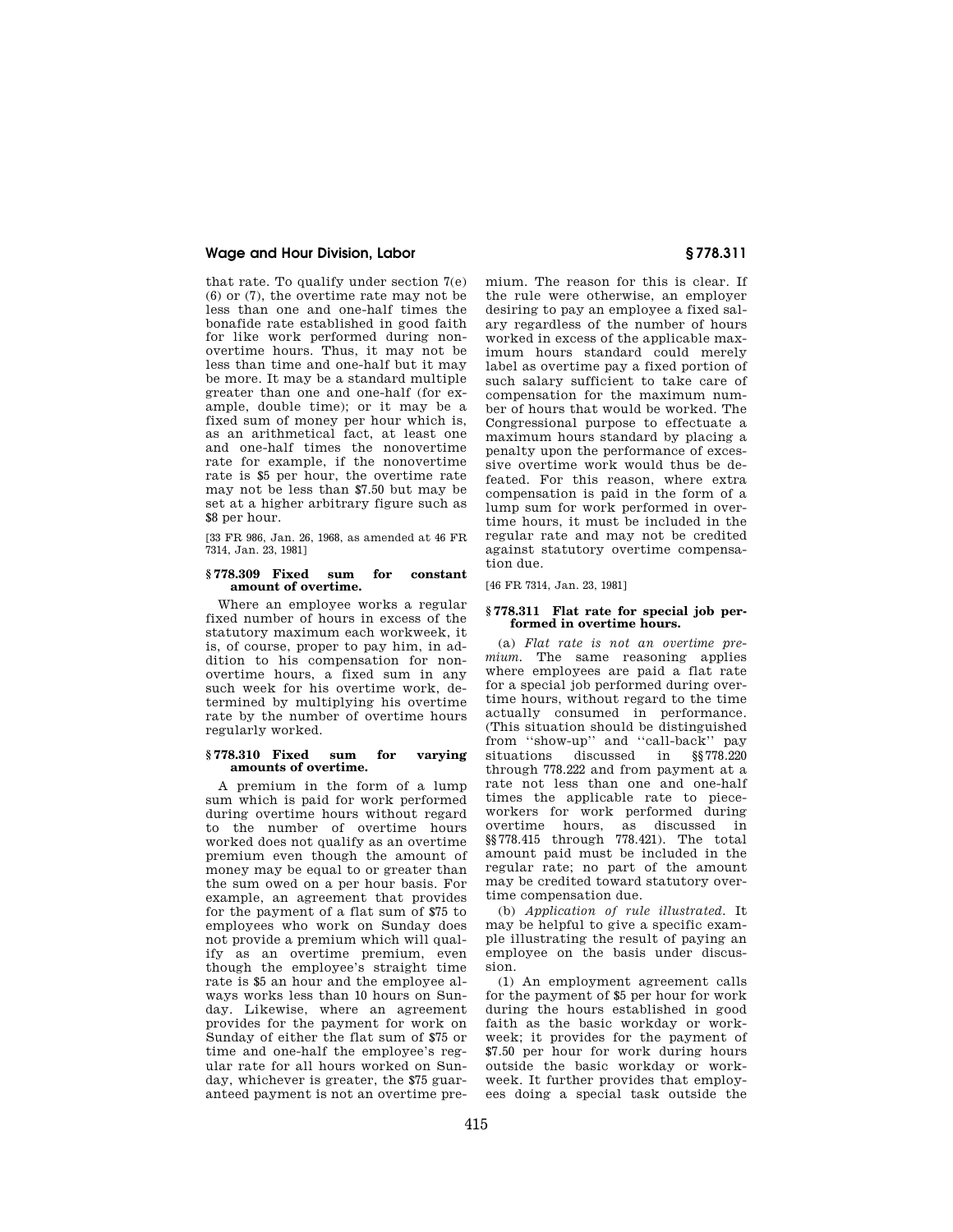that rate. To qualify under section 7(e) (6) or (7), the overtime rate may not be less than one and one-half times the bonafide rate established in good faith for like work performed during nonovertime hours. Thus, it may not be less than time and one-half but it may be more. It may be a standard multiple greater than one and one-half (for example, double time); or it may be a fixed sum of money per hour which is, as an arithmetical fact, at least one and one-half times the nonovertime rate for example, if the nonovertime rate is \$5 per hour, the overtime rate may not be less than \$7.50 but may be set at a higher arbitrary figure such as \$8 per hour.

[33 FR 986, Jan. 26, 1968, as amended at 46 FR 7314, Jan. 23, 1981]

#### **§ 778.309 Fixed sum for constant amount of overtime.**

Where an employee works a regular fixed number of hours in excess of the statutory maximum each workweek, it is, of course, proper to pay him, in addition to his compensation for nonovertime hours, a fixed sum in any such week for his overtime work, determined by multiplying his overtime rate by the number of overtime hours regularly worked.

#### **§ 778.310 Fixed sum for varying amounts of overtime.**

A premium in the form of a lump sum which is paid for work performed during overtime hours without regard to the number of overtime hours worked does not qualify as an overtime premium even though the amount of money may be equal to or greater than the sum owed on a per hour basis. For example, an agreement that provides for the payment of a flat sum of \$75 to employees who work on Sunday does not provide a premium which will qualify as an overtime premium, even though the employee's straight time rate is \$5 an hour and the employee always works less than 10 hours on Sunday. Likewise, where an agreement provides for the payment for work on Sunday of either the flat sum of \$75 or time and one-half the employee's regular rate for all hours worked on Sunday, whichever is greater, the \$75 guaranteed payment is not an overtime pre-

mium. The reason for this is clear. If the rule were otherwise, an employer desiring to pay an employee a fixed salary regardless of the number of hours worked in excess of the applicable maximum hours standard could merely label as overtime pay a fixed portion of such salary sufficient to take care of compensation for the maximum number of hours that would be worked. The Congressional purpose to effectuate a maximum hours standard by placing a penalty upon the performance of excessive overtime work would thus be defeated. For this reason, where extra compensation is paid in the form of a lump sum for work performed in overtime hours, it must be included in the regular rate and may not be credited against statutory overtime compensation due.

[46 FR 7314, Jan. 23, 1981]

#### **§ 778.311 Flat rate for special job performed in overtime hours.**

(a) *Flat rate is not an overtime premium.* The same reasoning applies where employees are paid a flat rate for a special job performed during overtime hours, without regard to the time actually consumed in performance. (This situation should be distinguished from ''show-up'' and ''call-back'' pay situations discussed in §§778.220 through 778.222 and from payment at a rate not less than one and one-half times the applicable rate to pieceworkers for work performed during overtime hours, as discussed in §§778.415 through 778.421). The total amount paid must be included in the regular rate; no part of the amount may be credited toward statutory overtime compensation due.

(b) *Application of rule illustrated.* It may be helpful to give a specific example illustrating the result of paying an employee on the basis under discussion.

(1) An employment agreement calls for the payment of \$5 per hour for work during the hours established in good faith as the basic workday or workweek; it provides for the payment of \$7.50 per hour for work during hours outside the basic workday or workweek. It further provides that employees doing a special task outside the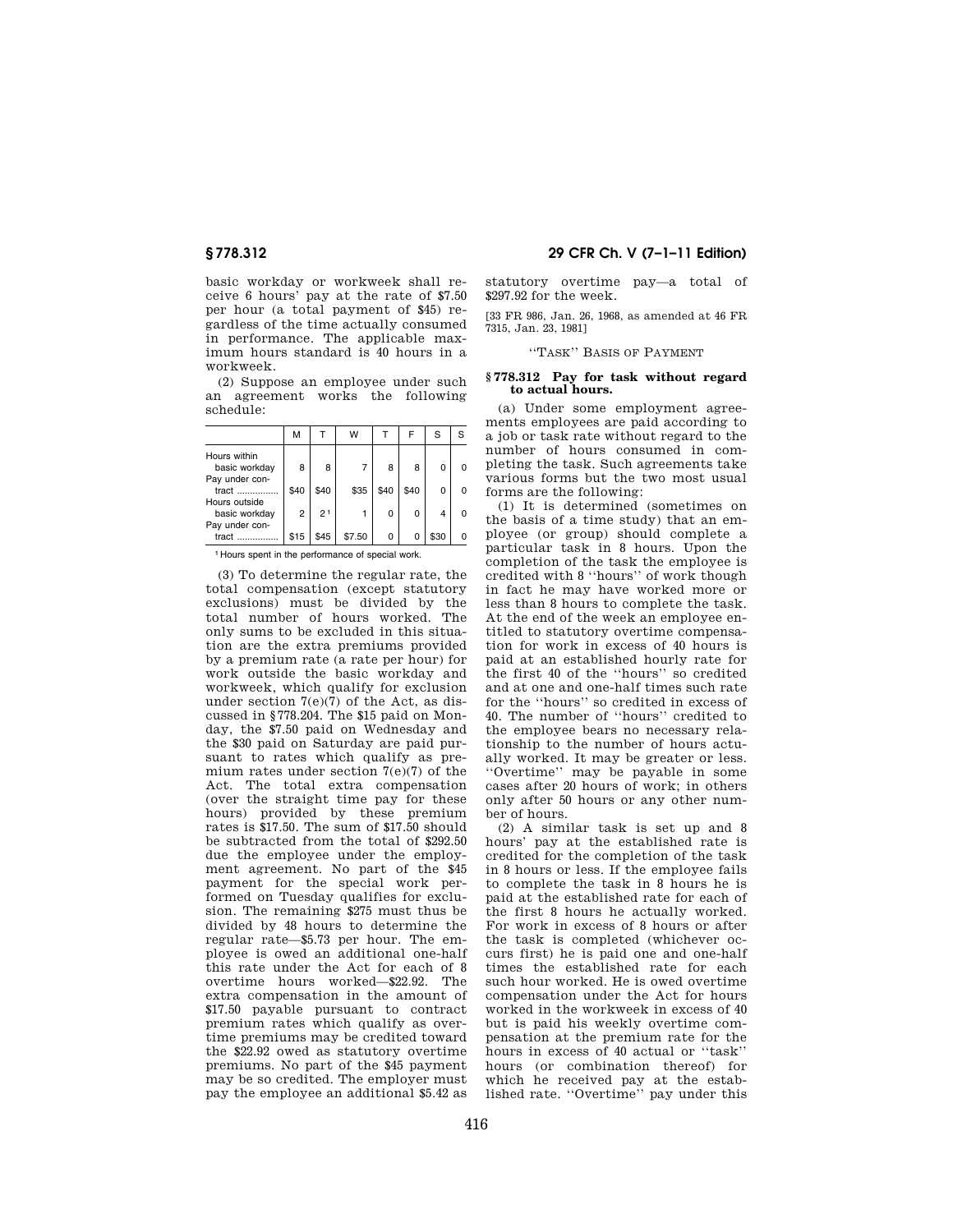basic workday or workweek shall receive 6 hours' pay at the rate of \$7.50 per hour (a total payment of \$45) regardless of the time actually consumed in performance. The applicable maximum hours standard is 40 hours in a workweek.

(2) Suppose an employee under such an agreement works the following schedule:

|                                | м    |                | W      |      | F    | S    | S |
|--------------------------------|------|----------------|--------|------|------|------|---|
| Hours within<br>basic workday  | 8    | 8              |        | 8    | 8    | 0    |   |
| Pay under con-<br>tract        | \$40 | \$40           | \$35   | \$40 | \$40 | 0    |   |
| Hours outside<br>basic workday | 2    | 2 <sup>1</sup> |        | 0    | 0    | 4    |   |
| Pay under con-<br>tract        | \$15 | \$45           | \$7.50 | 0    | O    | \$30 |   |

1 Hours spent in the performance of special work.

(3) To determine the regular rate, the total compensation (except statutory exclusions) must be divided by the total number of hours worked. The only sums to be excluded in this situation are the extra premiums provided by a premium rate (a rate per hour) for work outside the basic workday and workweek, which qualify for exclusion under section 7(e)(7) of the Act, as discussed in §778.204. The \$15 paid on Monday, the \$7.50 paid on Wednesday and the \$30 paid on Saturday are paid pursuant to rates which qualify as premium rates under section 7(e)(7) of the Act. The total extra compensation (over the straight time pay for these hours) provided by these premium rates is \$17.50. The sum of \$17.50 should be subtracted from the total of \$292.50 due the employee under the employment agreement. No part of the \$45 payment for the special work performed on Tuesday qualifies for exclusion. The remaining \$275 must thus be divided by 48 hours to determine the regular rate—\$5.73 per hour. The employee is owed an additional one-half this rate under the Act for each of 8 overtime hours worked—\$22.92. The extra compensation in the amount of \$17.50 payable pursuant to contract premium rates which qualify as overtime premiums may be credited toward the \$22.92 owed as statutory overtime premiums. No part of the \$45 payment may be so credited. The employer must pay the employee an additional \$5.42 as

# **§ 778.312 29 CFR Ch. V (7–1–11 Edition)**

statutory overtime pay—a total of \$297.92 for the week.

[33 FR 986, Jan. 26, 1968, as amended at 46 FR 7315, Jan. 23, 1981]

#### ''TASK'' BASIS OF PAYMENT

#### **§ 778.312 Pay for task without regard to actual hours.**

(a) Under some employment agreements employees are paid according to a job or task rate without regard to the number of hours consumed in completing the task. Such agreements take various forms but the two most usual forms are the following:

(1) It is determined (sometimes on the basis of a time study) that an employee (or group) should complete a particular task in 8 hours. Upon the completion of the task the employee is credited with 8 ''hours'' of work though in fact he may have worked more or less than 8 hours to complete the task. At the end of the week an employee entitled to statutory overtime compensation for work in excess of 40 hours is paid at an established hourly rate for the first 40 of the ''hours'' so credited and at one and one-half times such rate for the ''hours'' so credited in excess of 40. The number of ''hours'' credited to the employee bears no necessary relationship to the number of hours actually worked. It may be greater or less. ''Overtime'' may be payable in some cases after 20 hours of work; in others only after 50 hours or any other number of hours.

(2) A similar task is set up and 8 hours' pay at the established rate is credited for the completion of the task in 8 hours or less. If the employee fails to complete the task in 8 hours he is paid at the established rate for each of the first 8 hours he actually worked. For work in excess of 8 hours or after the task is completed (whichever occurs first) he is paid one and one-half times the established rate for each such hour worked. He is owed overtime compensation under the Act for hours worked in the workweek in excess of 40 but is paid his weekly overtime compensation at the premium rate for the hours in excess of 40 actual or ''task'' hours (or combination thereof) for which he received pay at the established rate. "Overtime" pay under this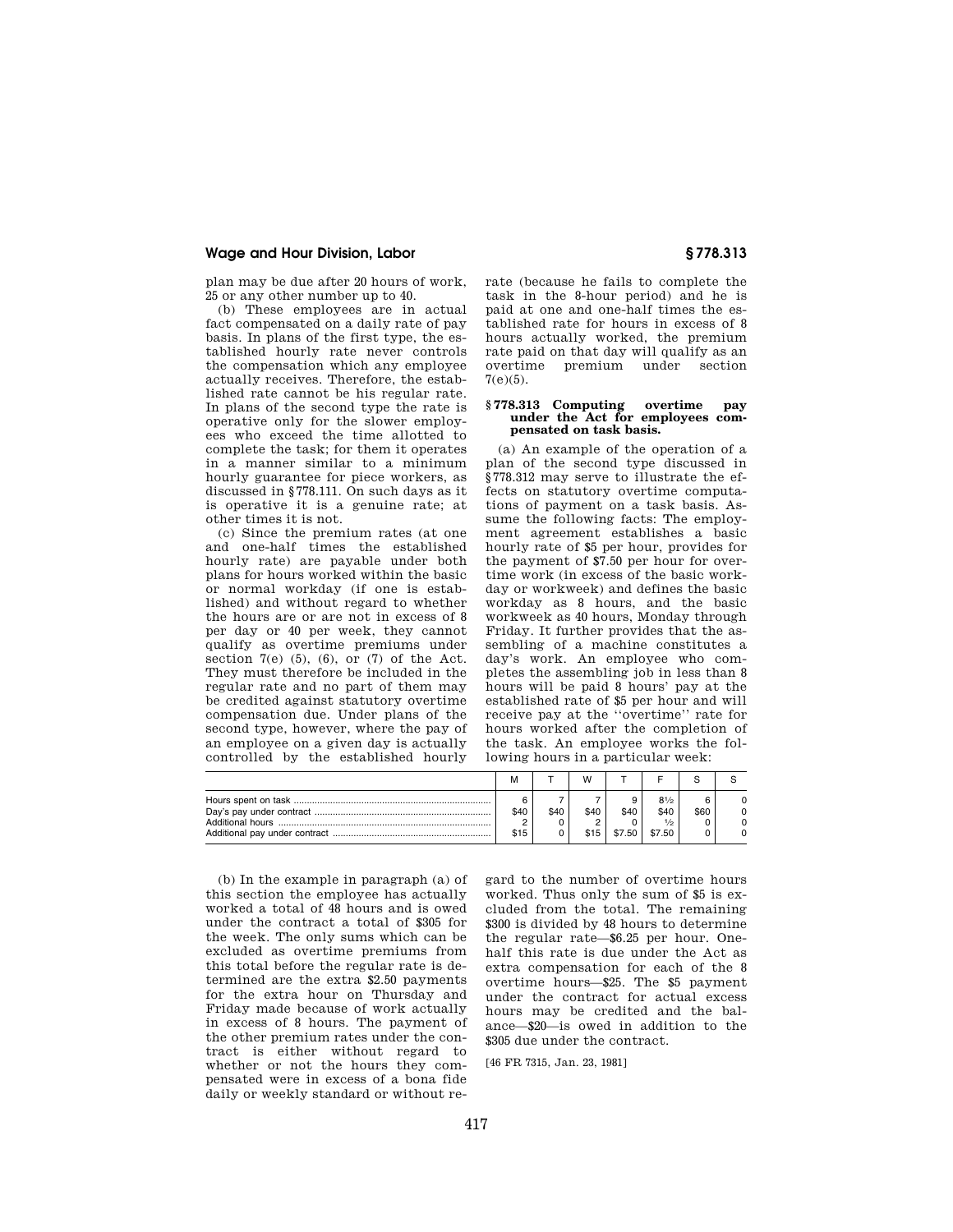plan may be due after 20 hours of work, 25 or any other number up to 40.

(b) These employees are in actual fact compensated on a daily rate of pay basis. In plans of the first type, the established hourly rate never controls the compensation which any employee actually receives. Therefore, the established rate cannot be his regular rate. In plans of the second type the rate is operative only for the slower employees who exceed the time allotted to complete the task; for them it operates in a manner similar to a minimum hourly guarantee for piece workers, as discussed in §778.111. On such days as it is operative it is a genuine rate; at other times it is not.

(c) Since the premium rates (at one and one-half times the established hourly rate) are payable under both plans for hours worked within the basic or normal workday (if one is established) and without regard to whether the hours are or are not in excess of 8 per day or 40 per week, they cannot qualify as overtime premiums under section  $7(e)$  (5), (6), or (7) of the Act. They must therefore be included in the regular rate and no part of them may be credited against statutory overtime compensation due. Under plans of the second type, however, where the pay of an employee on a given day is actually controlled by the established hourly

rate (because he fails to complete the task in the 8-hour period) and he is paid at one and one-half times the established rate for hours in excess of 8 hours actually worked, the premium rate paid on that day will qualify as an overtime premium under section 7(e)(5).

#### **§ 778.313 Computing overtime pay under the Act for employees compensated on task basis.**

(a) An example of the operation of a plan of the second type discussed in §778.312 may serve to illustrate the effects on statutory overtime computations of payment on a task basis. Assume the following facts: The employment agreement establishes a basic hourly rate of \$5 per hour, provides for the payment of \$7.50 per hour for overtime work (in excess of the basic workday or workweek) and defines the basic workday as 8 hours, and the basic workweek as 40 hours, Monday through Friday. It further provides that the assembling of a machine constitutes a day's work. An employee who completes the assembling job in less than 8 hours will be paid 8 hours' pay at the established rate of \$5 per hour and will receive pay at the ''overtime'' rate for hours worked after the completion of the task. An employee works the following hours in a particular week:

| M                 |      | W            |                |                                                   |      |   |
|-------------------|------|--------------|----------------|---------------------------------------------------|------|---|
| ี<br>\$40<br>\$15 | \$40 | \$40<br>\$15 | \$40<br>\$7.50 | $8\frac{1}{2}$<br>\$40<br>$\frac{1}{2}$<br>\$7.50 | \$60 | 0 |

(b) In the example in paragraph (a) of this section the employee has actually worked a total of 48 hours and is owed under the contract a total of \$305 for the week. The only sums which can be excluded as overtime premiums from this total before the regular rate is determined are the extra \$2.50 payments for the extra hour on Thursday and Friday made because of work actually in excess of 8 hours. The payment of the other premium rates under the contract is either without regard to whether or not the hours they compensated were in excess of a bona fide daily or weekly standard or without re-

gard to the number of overtime hours worked. Thus only the sum of \$5 is excluded from the total. The remaining \$300 is divided by 48 hours to determine the regular rate—\$6.25 per hour. Onehalf this rate is due under the Act as extra compensation for each of the 8 overtime hours—\$25. The \$5 payment under the contract for actual excess hours may be credited and the balance—\$20—is owed in addition to the \$305 due under the contract.

[46 FR 7315, Jan. 23, 1981]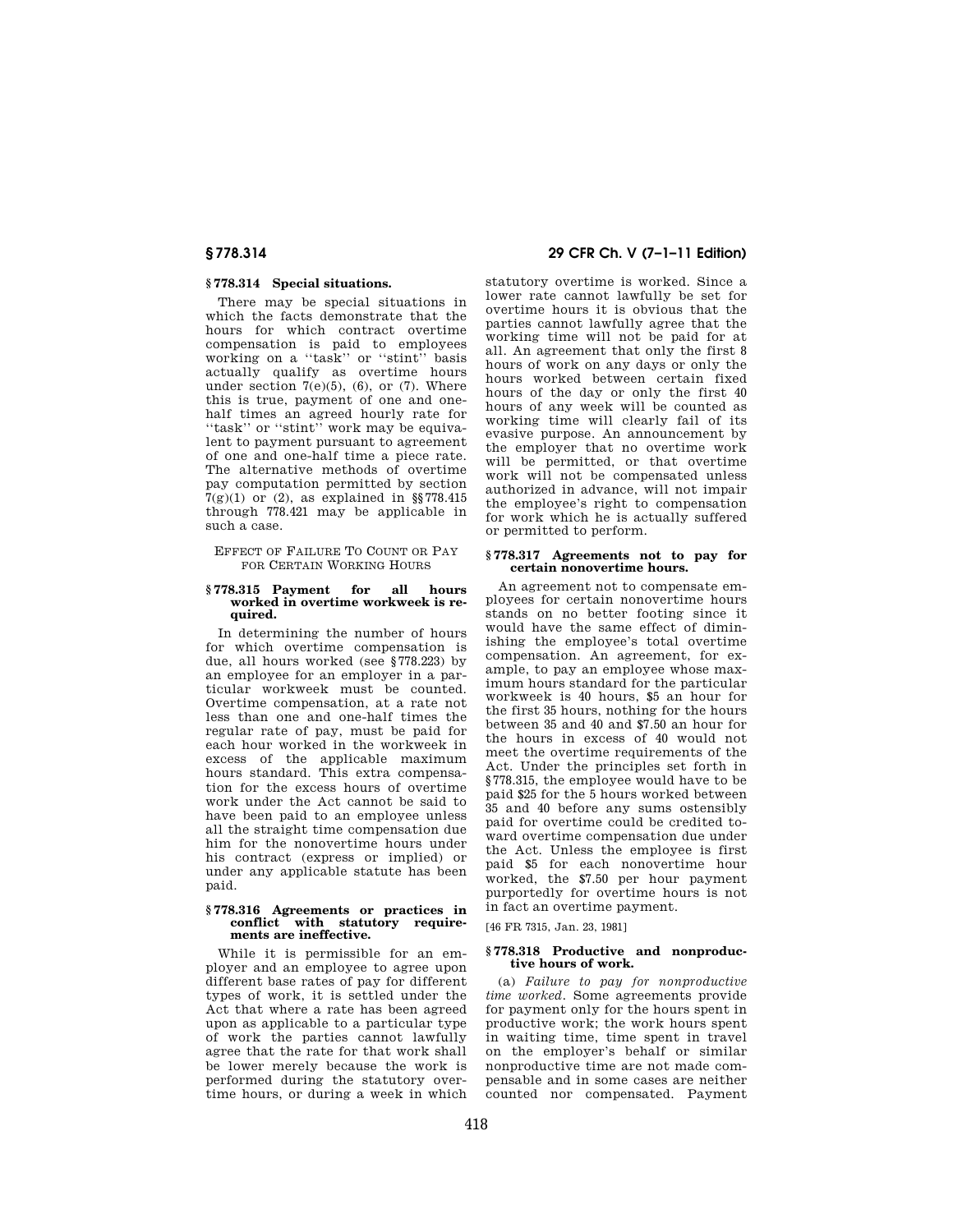#### **§ 778.314 Special situations.**

There may be special situations in which the facts demonstrate that the hours for which contract overtime compensation is paid to employees working on a ''task'' or ''stint'' basis actually qualify as overtime hours under section  $7(e)(5)$ ,  $(6)$ , or  $(7)$ . Where this is true, payment of one and onehalf times an agreed hourly rate for ''task'' or ''stint'' work may be equivalent to payment pursuant to agreement of one and one-half time a piece rate. The alternative methods of overtime pay computation permitted by section  $7(g)(1)$  or (2), as explained in §§778.415 through 778.421 may be applicable in such a case.

#### EFFECT OF FAILURE TO COUNT OR PAY FOR CERTAIN WORKING HOURS

#### **§ 778.315 Payment for all hours worked in overtime workweek is required.**

In determining the number of hours for which overtime compensation is due, all hours worked (see §778.223) by an employee for an employer in a particular workweek must be counted. Overtime compensation, at a rate not less than one and one-half times the regular rate of pay, must be paid for each hour worked in the workweek in excess of the applicable maximum hours standard. This extra compensation for the excess hours of overtime work under the Act cannot be said to have been paid to an employee unless all the straight time compensation due him for the nonovertime hours under his contract (express or implied) or under any applicable statute has been paid.

#### **§ 778.316 Agreements or practices in conflict with statutory requirements are ineffective.**

While it is permissible for an employer and an employee to agree upon different base rates of pay for different types of work, it is settled under the Act that where a rate has been agreed upon as applicable to a particular type of work the parties cannot lawfully agree that the rate for that work shall be lower merely because the work is performed during the statutory overtime hours, or during a week in which

# **§ 778.314 29 CFR Ch. V (7–1–11 Edition)**

statutory overtime is worked. Since a lower rate cannot lawfully be set for overtime hours it is obvious that the parties cannot lawfully agree that the working time will not be paid for at all. An agreement that only the first 8 hours of work on any days or only the hours worked between certain fixed hours of the day or only the first 40 hours of any week will be counted as working time will clearly fail of its evasive purpose. An announcement by the employer that no overtime work will be permitted, or that overtime work will not be compensated unless authorized in advance, will not impair the employee's right to compensation for work which he is actually suffered or permitted to perform.

#### **§ 778.317 Agreements not to pay for certain nonovertime hours.**

An agreement not to compensate employees for certain nonovertime hours stands on no better footing since it would have the same effect of diminishing the employee's total overtime compensation. An agreement, for example, to pay an employee whose maximum hours standard for the particular workweek is 40 hours, \$5 an hour for the first 35 hours, nothing for the hours between 35 and 40 and \$7.50 an hour for the hours in excess of 40 would not meet the overtime requirements of the Act. Under the principles set forth in §778.315, the employee would have to be paid \$25 for the 5 hours worked between 35 and 40 before any sums ostensibly paid for overtime could be credited toward overtime compensation due under the Act. Unless the employee is first paid \$5 for each nonovertime hour worked, the \$7.50 per hour payment purportedly for overtime hours is not in fact an overtime payment.

[46 FR 7315, Jan. 23, 1981]

#### **§ 778.318 Productive and nonproductive hours of work.**

(a) *Failure to pay for nonproductive time worked.* Some agreements provide for payment only for the hours spent in productive work; the work hours spent in waiting time, time spent in travel on the employer's behalf or similar nonproductive time are not made compensable and in some cases are neither counted nor compensated. Payment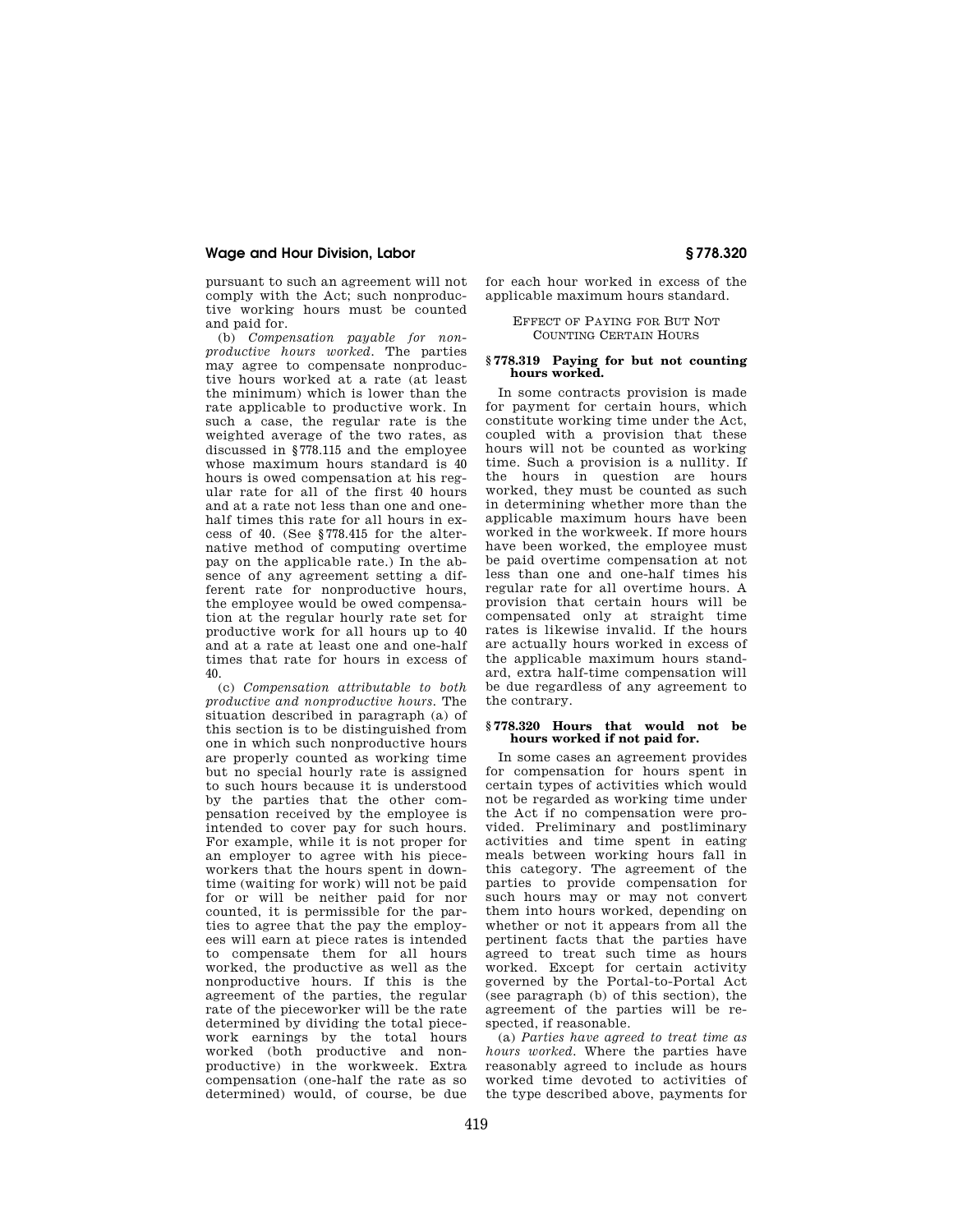pursuant to such an agreement will not comply with the Act; such nonproductive working hours must be counted and paid for.

(b) *Compensation payable for nonproductive hours worked.* The parties may agree to compensate nonproductive hours worked at a rate (at least the minimum) which is lower than the rate applicable to productive work. In such a case, the regular rate is the weighted average of the two rates, as discussed in §778.115 and the employee whose maximum hours standard is 40 hours is owed compensation at his regular rate for all of the first 40 hours and at a rate not less than one and onehalf times this rate for all hours in excess of 40. (See §778.415 for the alternative method of computing overtime pay on the applicable rate.) In the absence of any agreement setting a different rate for nonproductive hours, the employee would be owed compensation at the regular hourly rate set for productive work for all hours up to 40 and at a rate at least one and one-half times that rate for hours in excess of 40.

(c) *Compensation attributable to both productive and nonproductive hours.* The situation described in paragraph (a) of this section is to be distinguished from one in which such nonproductive hours are properly counted as working time but no special hourly rate is assigned to such hours because it is understood by the parties that the other compensation received by the employee is intended to cover pay for such hours. For example, while it is not proper for an employer to agree with his pieceworkers that the hours spent in downtime (waiting for work) will not be paid for or will be neither paid for nor counted, it is permissible for the parties to agree that the pay the employees will earn at piece rates is intended to compensate them for all hours worked, the productive as well as the nonproductive hours. If this is the agreement of the parties, the regular rate of the pieceworker will be the rate determined by dividing the total piecework earnings by the total hours worked (both productive and nonproductive) in the workweek. Extra compensation (one-half the rate as so determined) would, of course, be due

for each hour worked in excess of the applicable maximum hours standard.

> EFFECT OF PAYING FOR BUT NOT COUNTING CERTAIN HOURS

#### **§ 778.319 Paying for but not counting hours worked.**

In some contracts provision is made for payment for certain hours, which constitute working time under the Act, coupled with a provision that these hours will not be counted as working time. Such a provision is a nullity. If the hours in question are hours worked, they must be counted as such in determining whether more than the applicable maximum hours have been worked in the workweek. If more hours have been worked, the employee must be paid overtime compensation at not less than one and one-half times his regular rate for all overtime hours. A provision that certain hours will be compensated only at straight time rates is likewise invalid. If the hours are actually hours worked in excess of the applicable maximum hours standard, extra half-time compensation will be due regardless of any agreement to the contrary.

#### **§ 778.320 Hours that would not be hours worked if not paid for.**

In some cases an agreement provides for compensation for hours spent in certain types of activities which would not be regarded as working time under the Act if no compensation were provided. Preliminary and postliminary activities and time spent in eating meals between working hours fall in this category. The agreement of the parties to provide compensation for such hours may or may not convert them into hours worked, depending on whether or not it appears from all the pertinent facts that the parties have agreed to treat such time as hours worked. Except for certain activity governed by the Portal-to-Portal Act (see paragraph (b) of this section), the agreement of the parties will be respected, if reasonable.

(a) *Parties have agreed to treat time as hours worked.* Where the parties have reasonably agreed to include as hours worked time devoted to activities of the type described above, payments for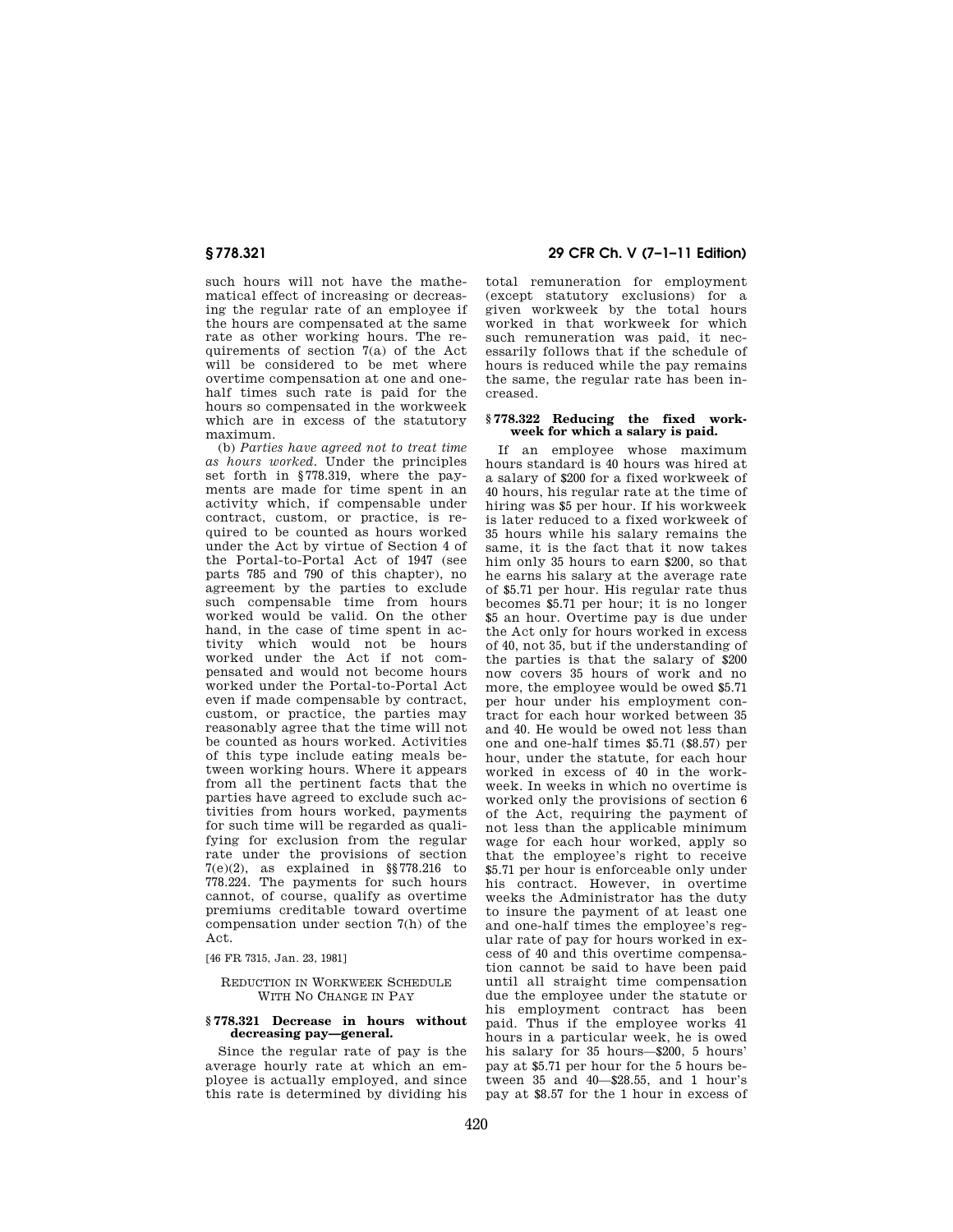such hours will not have the mathematical effect of increasing or decreasing the regular rate of an employee if the hours are compensated at the same rate as other working hours. The requirements of section 7(a) of the Act will be considered to be met where overtime compensation at one and onehalf times such rate is paid for the hours so compensated in the workweek which are in excess of the statutory maximum.

(b) *Parties have agreed not to treat time as hours worked.* Under the principles set forth in §778.319, where the payments are made for time spent in an activity which, if compensable under contract, custom, or practice, is required to be counted as hours worked under the Act by virtue of Section 4 of the Portal-to-Portal Act of 1947 (see parts 785 and 790 of this chapter), no agreement by the parties to exclude such compensable time from hours worked would be valid. On the other hand, in the case of time spent in activity which would not be hours worked under the Act if not compensated and would not become hours worked under the Portal-to-Portal Act even if made compensable by contract, custom, or practice, the parties may reasonably agree that the time will not be counted as hours worked. Activities of this type include eating meals between working hours. Where it appears from all the pertinent facts that the parties have agreed to exclude such activities from hours worked, payments for such time will be regarded as qualifying for exclusion from the regular rate under the provisions of section 7(e)(2), as explained in §§778.216 to 778.224. The payments for such hours cannot, of course, qualify as overtime premiums creditable toward overtime compensation under section 7(h) of the Act.

[46 FR 7315, Jan. 23, 1981]

### REDUCTION IN WORKWEEK SCHEDULE WITH NO CHANGE IN PAY

#### **§ 778.321 Decrease in hours without decreasing pay—general.**

Since the regular rate of pay is the average hourly rate at which an employee is actually employed, and since this rate is determined by dividing his

**§ 778.321 29 CFR Ch. V (7–1–11 Edition)** 

total remuneration for employment (except statutory exclusions) for a given workweek by the total hours worked in that workweek for which such remuneration was paid, it necessarily follows that if the schedule of hours is reduced while the pay remains the same, the regular rate has been increased.

#### **§ 778.322 Reducing the fixed workweek for which a salary is paid.**

If an employee whose maximum hours standard is 40 hours was hired at a salary of \$200 for a fixed workweek of 40 hours, his regular rate at the time of hiring was \$5 per hour. If his workweek is later reduced to a fixed workweek of 35 hours while his salary remains the same, it is the fact that it now takes him only 35 hours to earn \$200, so that he earns his salary at the average rate of \$5.71 per hour. His regular rate thus becomes \$5.71 per hour; it is no longer \$5 an hour. Overtime pay is due under the Act only for hours worked in excess of 40, not 35, but if the understanding of the parties is that the salary of \$200 now covers 35 hours of work and no more, the employee would be owed \$5.71 per hour under his employment contract for each hour worked between 35 and 40. He would be owed not less than one and one-half times \$5.71 (\$8.57) per hour, under the statute, for each hour worked in excess of 40 in the workweek. In weeks in which no overtime is worked only the provisions of section 6 of the Act, requiring the payment of not less than the applicable minimum wage for each hour worked, apply so that the employee's right to receive \$5.71 per hour is enforceable only under his contract. However, in overtime weeks the Administrator has the duty to insure the payment of at least one and one-half times the employee's regular rate of pay for hours worked in excess of 40 and this overtime compensation cannot be said to have been paid until all straight time compensation due the employee under the statute or his employment contract has been paid. Thus if the employee works 41 hours in a particular week, he is owed his salary for 35 hours—\$200, 5 hours' pay at \$5.71 per hour for the 5 hours between 35 and 40—\$28.55, and 1 hour's pay at \$8.57 for the 1 hour in excess of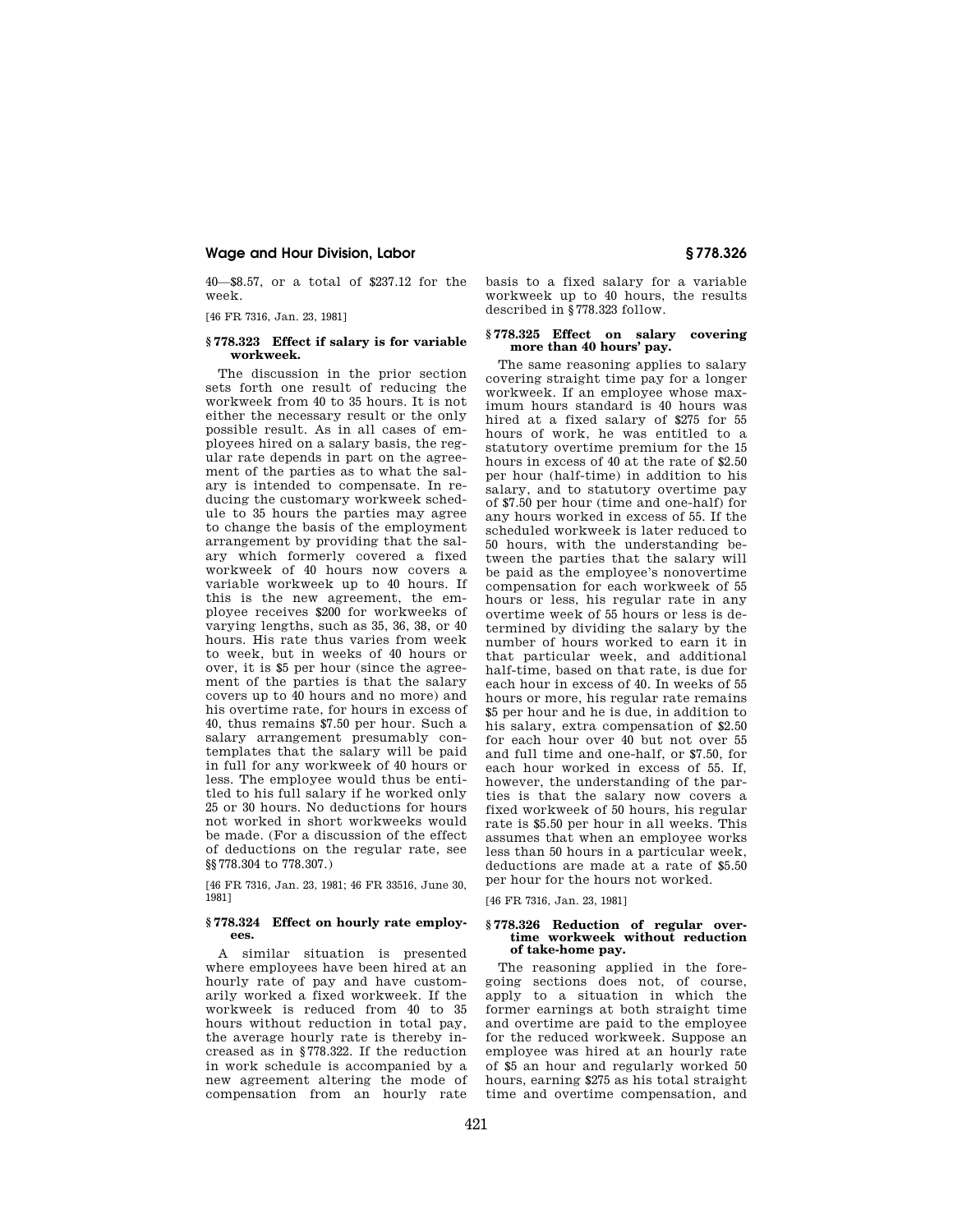40—\$8.57, or a total of \$237.12 for the week.

[46 FR 7316, Jan. 23, 1981]

#### **§ 778.323 Effect if salary is for variable workweek.**

The discussion in the prior section sets forth one result of reducing the workweek from 40 to 35 hours. It is not either the necessary result or the only possible result. As in all cases of employees hired on a salary basis, the regular rate depends in part on the agreement of the parties as to what the salary is intended to compensate. In reducing the customary workweek schedule to 35 hours the parties may agree to change the basis of the employment arrangement by providing that the salary which formerly covered a fixed workweek of 40 hours now covers a variable workweek up to 40 hours. If this is the new agreement, the employee receives \$200 for workweeks of varying lengths, such as 35, 36, 38, or 40 hours. His rate thus varies from week to week, but in weeks of 40 hours or over, it is \$5 per hour (since the agreement of the parties is that the salary covers up to 40 hours and no more) and his overtime rate, for hours in excess of 40, thus remains \$7.50 per hour. Such a salary arrangement presumably contemplates that the salary will be paid in full for any workweek of 40 hours or less. The employee would thus be entitled to his full salary if he worked only 25 or 30 hours. No deductions for hours not worked in short workweeks would be made. (For a discussion of the effect of deductions on the regular rate, see §§778.304 to 778.307.)

[46 FR 7316, Jan. 23, 1981; 46 FR 33516, June 30, 1981]

#### **§ 778.324 Effect on hourly rate employees.**

A similar situation is presented where employees have been hired at an hourly rate of pay and have customarily worked a fixed workweek. If the workweek is reduced from 40 to 35 hours without reduction in total pay, the average hourly rate is thereby increased as in §778.322. If the reduction in work schedule is accompanied by a new agreement altering the mode of compensation from an hourly rate

basis to a fixed salary for a variable workweek up to 40 hours, the results described in §778.323 follow.

### **§ 778.325 Effect on salary covering more than 40 hours' pay.**

The same reasoning applies to salary covering straight time pay for a longer workweek. If an employee whose maximum hours standard is 40 hours was hired at a fixed salary of \$275 for 55 hours of work, he was entitled to a statutory overtime premium for the 15 hours in excess of 40 at the rate of \$2.50 per hour (half-time) in addition to his salary, and to statutory overtime pay of \$7.50 per hour (time and one-half) for any hours worked in excess of 55. If the scheduled workweek is later reduced to 50 hours, with the understanding between the parties that the salary will be paid as the employee's nonovertime compensation for each workweek of 55 hours or less, his regular rate in any overtime week of 55 hours or less is determined by dividing the salary by the number of hours worked to earn it in that particular week, and additional half-time, based on that rate, is due for each hour in excess of 40. In weeks of 55 hours or more, his regular rate remains \$5 per hour and he is due, in addition to his salary, extra compensation of \$2.50 for each hour over 40 but not over 55 and full time and one-half, or \$7.50, for each hour worked in excess of 55. If, however, the understanding of the parties is that the salary now covers a fixed workweek of 50 hours, his regular rate is \$5.50 per hour in all weeks. This assumes that when an employee works less than 50 hours in a particular week, deductions are made at a rate of \$5.50 per hour for the hours not worked.

[46 FR 7316, Jan. 23, 1981]

#### **§ 778.326 Reduction of regular overtime workweek without reduction of take-home pay.**

The reasoning applied in the foregoing sections does not, of course, apply to a situation in which the former earnings at both straight time and overtime are paid to the employee for the reduced workweek. Suppose an employee was hired at an hourly rate of \$5 an hour and regularly worked 50 hours, earning \$275 as his total straight time and overtime compensation, and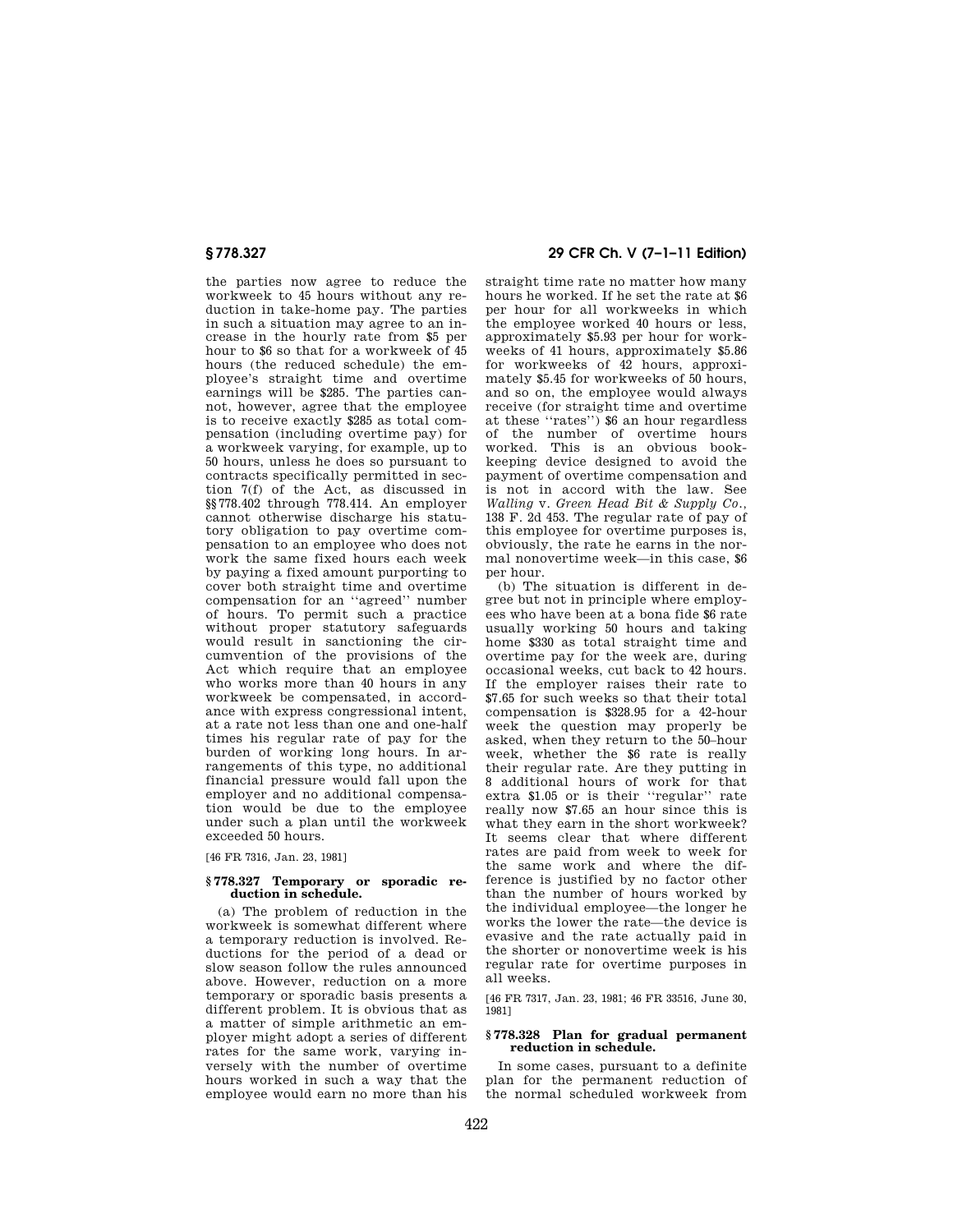the parties now agree to reduce the workweek to 45 hours without any reduction in take-home pay. The parties in such a situation may agree to an increase in the hourly rate from \$5 per hour to \$6 so that for a workweek of 45 hours (the reduced schedule) the employee's straight time and overtime earnings will be \$285. The parties cannot, however, agree that the employee is to receive exactly \$285 as total compensation (including overtime pay) for a workweek varying, for example, up to 50 hours, unless he does so pursuant to contracts specifically permitted in section 7(f) of the Act, as discussed in §§778.402 through 778.414. An employer cannot otherwise discharge his statutory obligation to pay overtime compensation to an employee who does not work the same fixed hours each week by paying a fixed amount purporting to cover both straight time and overtime compensation for an ''agreed'' number of hours. To permit such a practice without proper statutory safeguards would result in sanctioning the circumvention of the provisions of the Act which require that an employee who works more than 40 hours in any workweek be compensated, in accordance with express congressional intent, at a rate not less than one and one-half times his regular rate of pay for the burden of working long hours. In arrangements of this type, no additional financial pressure would fall upon the employer and no additional compensation would be due to the employee under such a plan until the workweek exceeded 50 hours.

[46 FR 7316, Jan. 23, 1981]

#### **§ 778.327 Temporary or sporadic reduction in schedule.**

(a) The problem of reduction in the workweek is somewhat different where a temporary reduction is involved. Reductions for the period of a dead or slow season follow the rules announced above. However, reduction on a more temporary or sporadic basis presents a different problem. It is obvious that as a matter of simple arithmetic an employer might adopt a series of different rates for the same work, varying inversely with the number of overtime hours worked in such a way that the employee would earn no more than his

# **§ 778.327 29 CFR Ch. V (7–1–11 Edition)**

straight time rate no matter how many hours he worked. If he set the rate at \$6 per hour for all workweeks in which the employee worked 40 hours or less, approximately \$5.93 per hour for workweeks of 41 hours, approximately \$5.86 for workweeks of 42 hours, approximately \$5.45 for workweeks of 50 hours, and so on, the employee would always receive (for straight time and overtime at these ''rates'') \$6 an hour regardless of the number of overtime hours worked. This is an obvious bookkeeping device designed to avoid the payment of overtime compensation and is not in accord with the law. See *Walling* v. *Green Head Bit & Supply Co.,*  138 F. 2d 453. The regular rate of pay of this employee for overtime purposes is, obviously, the rate he earns in the normal nonovertime week—in this case, \$6 per hour.

(b) The situation is different in degree but not in principle where employees who have been at a bona fide \$6 rate usually working 50 hours and taking home \$330 as total straight time and overtime pay for the week are, during occasional weeks, cut back to 42 hours. If the employer raises their rate to \$7.65 for such weeks so that their total compensation is \$328.95 for a 42-hour week the question may properly be asked, when they return to the 50–hour week, whether the \$6 rate is really their regular rate. Are they putting in 8 additional hours of work for that extra \$1.05 or is their ''regular'' rate really now \$7.65 an hour since this is what they earn in the short workweek? It seems clear that where different rates are paid from week to week for the same work and where the difference is justified by no factor other than the number of hours worked by the individual employee—the longer he works the lower the rate—the device is evasive and the rate actually paid in the shorter or nonovertime week is his regular rate for overtime purposes in all weeks.

[46 FR 7317, Jan. 23, 1981; 46 FR 33516, June 30, 1981]

#### **§ 778.328 Plan for gradual permanent reduction in schedule.**

In some cases, pursuant to a definite plan for the permanent reduction of the normal scheduled workweek from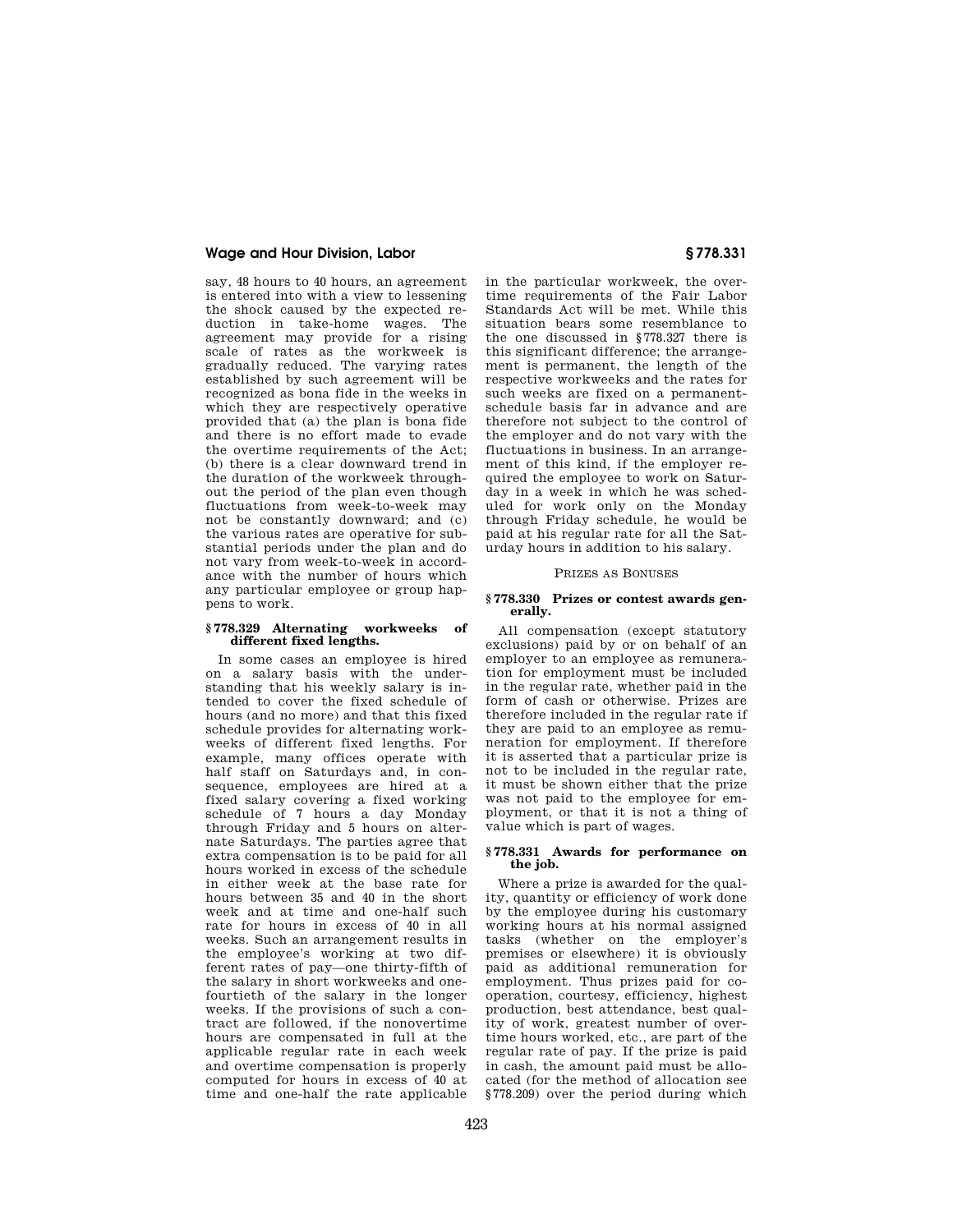say, 48 hours to 40 hours, an agreement is entered into with a view to lessening the shock caused by the expected reduction in take-home wages. The agreement may provide for a rising scale of rates as the workweek is gradually reduced. The varying rates established by such agreement will be recognized as bona fide in the weeks in which they are respectively operative provided that (a) the plan is bona fide and there is no effort made to evade the overtime requirements of the Act; (b) there is a clear downward trend in the duration of the workweek throughout the period of the plan even though fluctuations from week-to-week may not be constantly downward; and (c) the various rates are operative for substantial periods under the plan and do not vary from week-to-week in accordance with the number of hours which any particular employee or group happens to work.

#### **§ 778.329 Alternating workweeks of different fixed lengths.**

In some cases an employee is hired on a salary basis with the understanding that his weekly salary is intended to cover the fixed schedule of hours (and no more) and that this fixed schedule provides for alternating workweeks of different fixed lengths. For example, many offices operate with half staff on Saturdays and, in consequence, employees are hired at a fixed salary covering a fixed working schedule of 7 hours a day Monday through Friday and 5 hours on alternate Saturdays. The parties agree that extra compensation is to be paid for all hours worked in excess of the schedule in either week at the base rate for hours between 35 and 40 in the short week and at time and one-half such rate for hours in excess of 40 in all weeks. Such an arrangement results in the employee's working at two different rates of pay—one thirty-fifth of the salary in short workweeks and onefourtieth of the salary in the longer weeks. If the provisions of such a contract are followed, if the nonovertime hours are compensated in full at the applicable regular rate in each week and overtime compensation is properly computed for hours in excess of 40 at time and one-half the rate applicable

in the particular workweek, the overtime requirements of the Fair Labor Standards Act will be met. While this situation bears some resemblance to the one discussed in §778.327 there is this significant difference; the arrangement is permanent, the length of the respective workweeks and the rates for such weeks are fixed on a permanentschedule basis far in advance and are therefore not subject to the control of the employer and do not vary with the fluctuations in business. In an arrangement of this kind, if the employer required the employee to work on Saturday in a week in which he was scheduled for work only on the Monday through Friday schedule, he would be paid at his regular rate for all the Saturday hours in addition to his salary.

#### PRIZES AS BONUSES

#### **§ 778.330 Prizes or contest awards generally.**

All compensation (except statutory exclusions) paid by or on behalf of an employer to an employee as remuneration for employment must be included in the regular rate, whether paid in the form of cash or otherwise. Prizes are therefore included in the regular rate if they are paid to an employee as remuneration for employment. If therefore it is asserted that a particular prize is not to be included in the regular rate, it must be shown either that the prize was not paid to the employee for employment, or that it is not a thing of value which is part of wages.

#### **§ 778.331 Awards for performance on the job.**

Where a prize is awarded for the quality, quantity or efficiency of work done by the employee during his customary working hours at his normal assigned tasks (whether on the employer's premises or elsewhere) it is obviously paid as additional remuneration for employment. Thus prizes paid for cooperation, courtesy, efficiency, highest production, best attendance, best quality of work, greatest number of overtime hours worked, etc., are part of the regular rate of pay. If the prize is paid in cash, the amount paid must be allocated (for the method of allocation see §778.209) over the period during which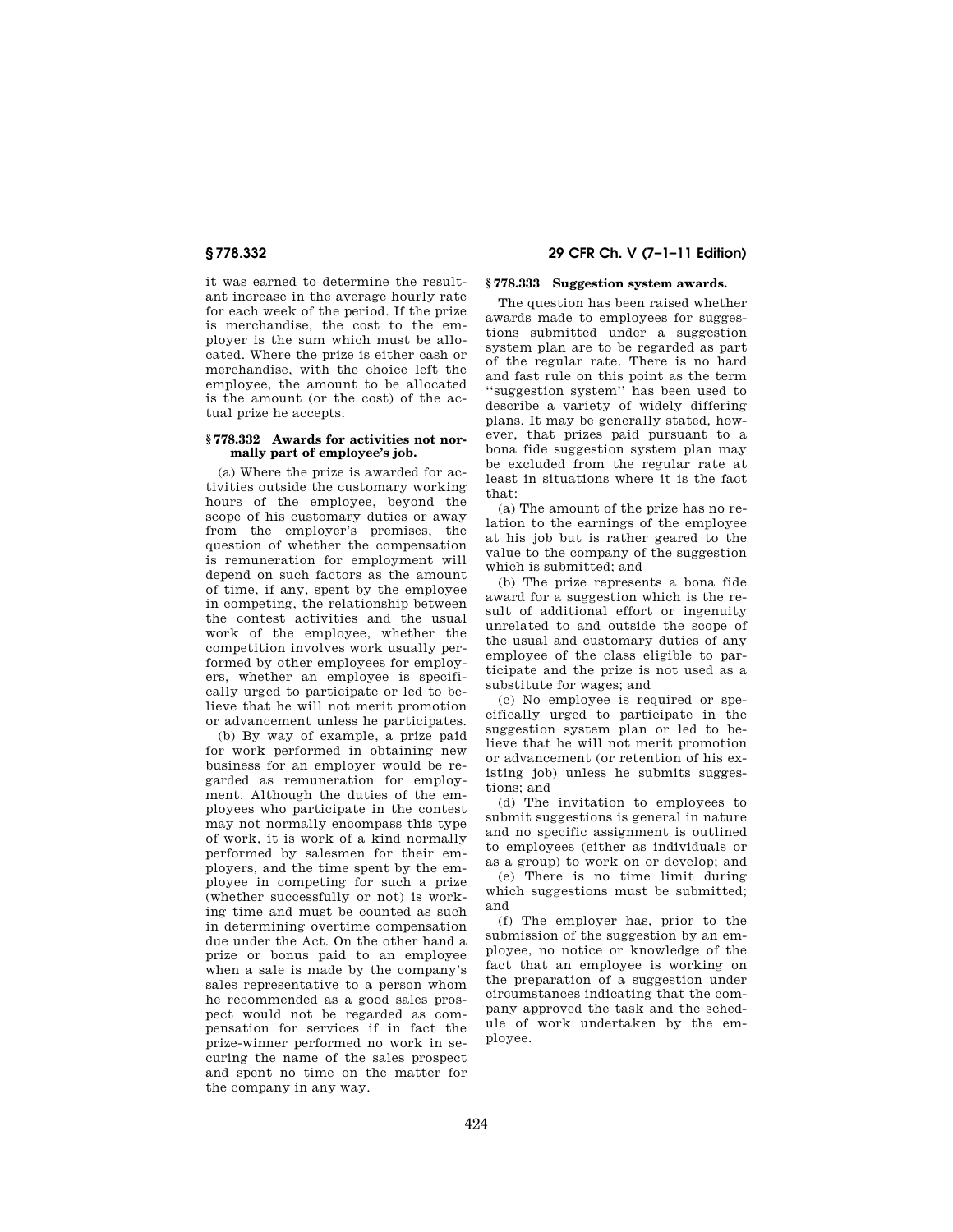it was earned to determine the resultant increase in the average hourly rate for each week of the period. If the prize is merchandise, the cost to the employer is the sum which must be allocated. Where the prize is either cash or merchandise, with the choice left the employee, the amount to be allocated is the amount (or the cost) of the actual prize he accepts.

#### **§ 778.332 Awards for activities not normally part of employee's job.**

(a) Where the prize is awarded for activities outside the customary working hours of the employee, beyond the scope of his customary duties or away from the employer's premises, the question of whether the compensation is remuneration for employment will depend on such factors as the amount of time, if any, spent by the employee in competing, the relationship between the contest activities and the usual work of the employee, whether the competition involves work usually performed by other employees for employers, whether an employee is specifically urged to participate or led to believe that he will not merit promotion or advancement unless he participates.

(b) By way of example, a prize paid for work performed in obtaining new business for an employer would be regarded as remuneration for employment. Although the duties of the employees who participate in the contest may not normally encompass this type of work, it is work of a kind normally performed by salesmen for their employers, and the time spent by the employee in competing for such a prize (whether successfully or not) is working time and must be counted as such in determining overtime compensation due under the Act. On the other hand a prize or bonus paid to an employee when a sale is made by the company's sales representative to a person whom he recommended as a good sales prospect would not be regarded as compensation for services if in fact the prize-winner performed no work in securing the name of the sales prospect and spent no time on the matter for the company in any way.

# **§ 778.332 29 CFR Ch. V (7–1–11 Edition)**

# **§ 778.333 Suggestion system awards.**

The question has been raised whether awards made to employees for suggestions submitted under a suggestion system plan are to be regarded as part of the regular rate. There is no hard and fast rule on this point as the term ''suggestion system'' has been used to describe a variety of widely differing plans. It may be generally stated, however, that prizes paid pursuant to a bona fide suggestion system plan may be excluded from the regular rate at least in situations where it is the fact that:

(a) The amount of the prize has no relation to the earnings of the employee at his job but is rather geared to the value to the company of the suggestion which is submitted; and

(b) The prize represents a bona fide award for a suggestion which is the result of additional effort or ingenuity unrelated to and outside the scope of the usual and customary duties of any employee of the class eligible to participate and the prize is not used as a substitute for wages; and

(c) No employee is required or specifically urged to participate in the suggestion system plan or led to believe that he will not merit promotion or advancement (or retention of his existing job) unless he submits suggestions; and

(d) The invitation to employees to submit suggestions is general in nature and no specific assignment is outlined to employees (either as individuals or as a group) to work on or develop; and

(e) There is no time limit during which suggestions must be submitted; and

(f) The employer has, prior to the submission of the suggestion by an employee, no notice or knowledge of the fact that an employee is working on the preparation of a suggestion under circumstances indicating that the company approved the task and the schedule of work undertaken by the employee.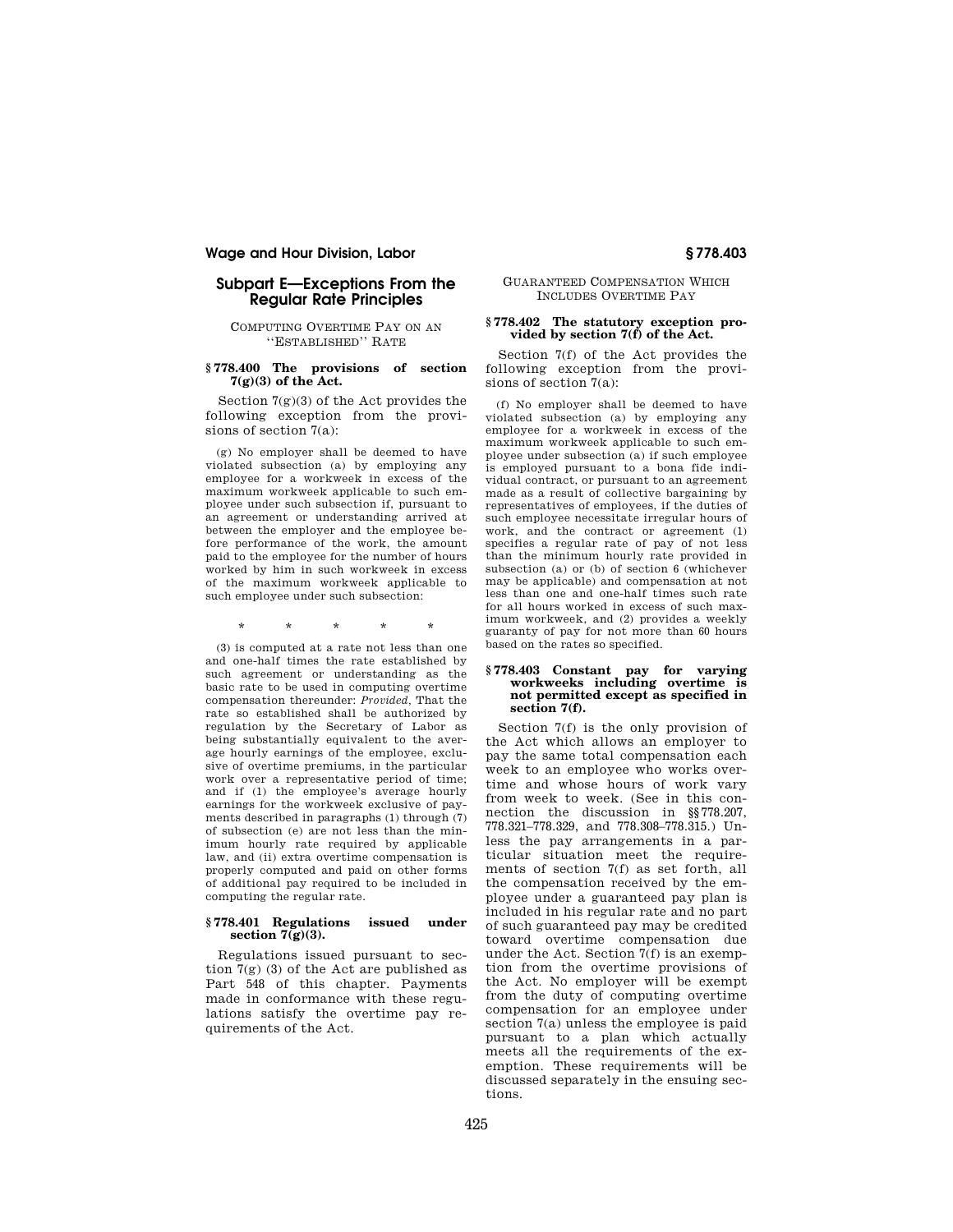# **Subpart E—Exceptions From the Regular Rate Principles**

COMPUTING OVERTIME PAY ON AN ''ESTABLISHED'' RATE

### **§ 778.400 The provisions of section 7(g)(3) of the Act.**

Section 7(g)(3) of the Act provides the following exception from the provisions of section 7(a):

(g) No employer shall be deemed to have violated subsection (a) by employing any employee for a workweek in excess of the maximum workweek applicable to such employee under such subsection if, pursuant to an agreement or understanding arrived at between the employer and the employee before performance of the work, the amount paid to the employee for the number of hours worked by him in such workweek in excess of the maximum workweek applicable to such employee under such subsection:

\* \* \* \* \*

(3) is computed at a rate not less than one and one-half times the rate established by such agreement or understanding as the basic rate to be used in computing overtime compensation thereunder: *Provided,* That the rate so established shall be authorized by regulation by the Secretary of Labor as being substantially equivalent to the average hourly earnings of the employee, exclusive of overtime premiums, in the particular work over a representative period of time; and if (1) the employee's average hourly earnings for the workweek exclusive of payments described in paragraphs (1) through (7) of subsection (e) are not less than the minimum hourly rate required by applicable law, and (ii) extra overtime compensation is properly computed and paid on other forms of additional pay required to be included in computing the regular rate.

#### **§ 778.401 Regulations issued under section 7(g)(3).**

Regulations issued pursuant to section  $7(g)$  (3) of the Act are published as Part 548 of this chapter. Payments made in conformance with these regulations satisfy the overtime pay requirements of the Act.

#### GUARANTEED COMPENSATION WHICH INCLUDES OVERTIME PAY

### **§ 778.402 The statutory exception provided by section 7(f) of the Act.**

Section 7(f) of the Act provides the following exception from the provisions of section 7(a):

(f) No employer shall be deemed to have violated subsection (a) by employing any employee for a workweek in excess of the maximum workweek applicable to such employee under subsection (a) if such employee is employed pursuant to a bona fide individual contract, or pursuant to an agreement made as a result of collective bargaining by representatives of employees, if the duties of such employee necessitate irregular hours of work, and the contract or agreement (1) specifies a regular rate of pay of not less than the minimum hourly rate provided in subsection (a) or (b) of section 6 (whichever may be applicable) and compensation at not less than one and one-half times such rate for all hours worked in excess of such maximum workweek, and (2) provides a weekly guaranty of pay for not more than 60 hours based on the rates so specified.

#### **§ 778.403 Constant pay for varying workweeks including overtime is not permitted except as specified in section 7(f).**

Section 7(f) is the only provision of the Act which allows an employer to pay the same total compensation each week to an employee who works overtime and whose hours of work vary from week to week. (See in this connection the discussion in §§778.207, 778.321–778.329, and 778.308–778.315.) Unless the pay arrangements in a particular situation meet the requirements of section 7(f) as set forth, all the compensation received by the employee under a guaranteed pay plan is included in his regular rate and no part of such guaranteed pay may be credited toward overtime compensation due under the Act. Section 7(f) is an exemption from the overtime provisions of the Act. No employer will be exempt from the duty of computing overtime compensation for an employee under section 7(a) unless the employee is paid pursuant to a plan which actually meets all the requirements of the exemption. These requirements will be discussed separately in the ensuing sections.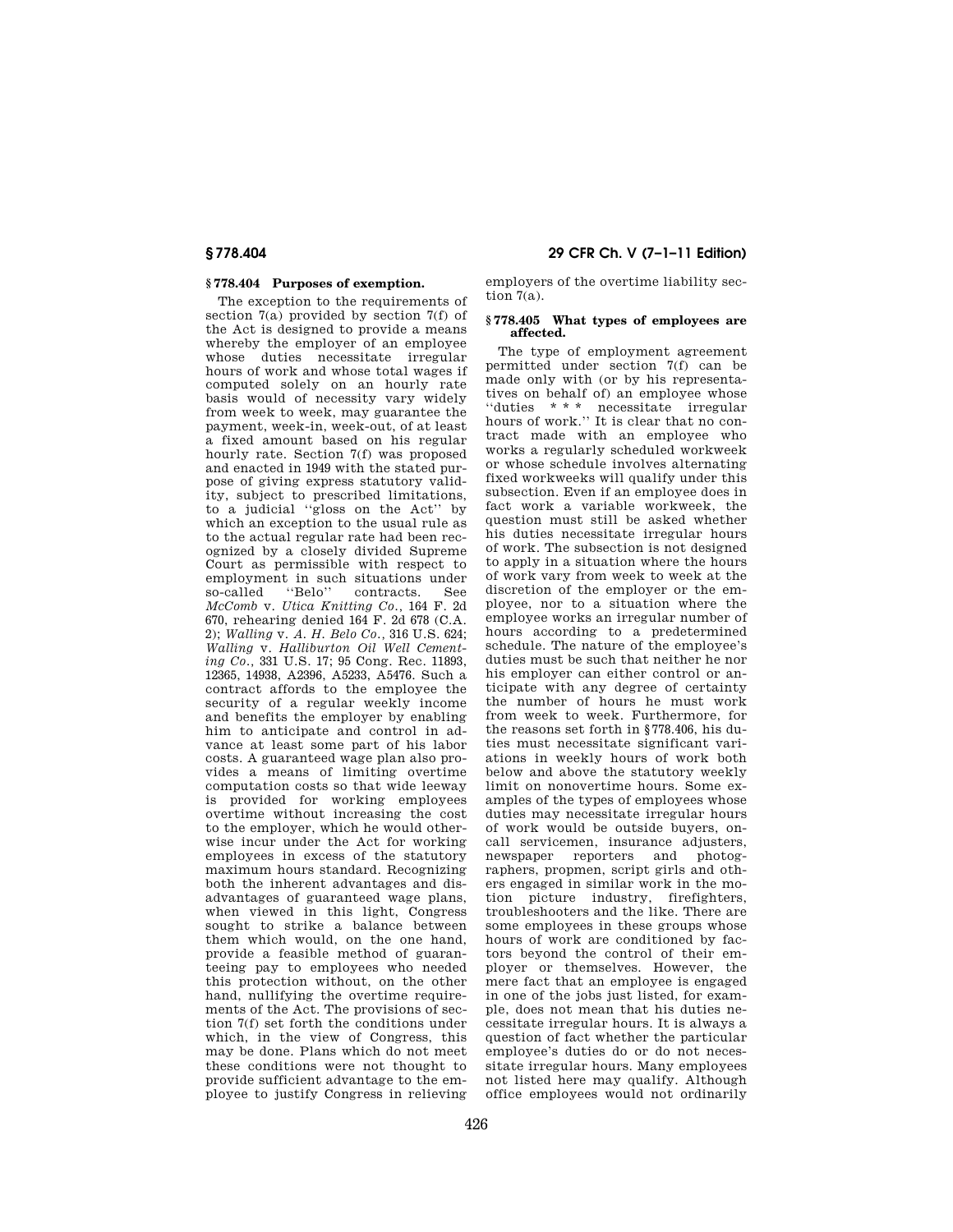#### **§ 778.404 Purposes of exemption.**

The exception to the requirements of section 7(a) provided by section 7(f) of the Act is designed to provide a means whereby the employer of an employee whose duties necessitate irregular hours of work and whose total wages if computed solely on an hourly rate basis would of necessity vary widely from week to week, may guarantee the payment, week-in, week-out, of at least a fixed amount based on his regular hourly rate. Section 7(f) was proposed and enacted in 1949 with the stated purpose of giving express statutory validity, subject to prescribed limitations, to a judicial ''gloss on the Act'' by which an exception to the usual rule as to the actual regular rate had been recognized by a closely divided Supreme Court as permissible with respect to employment in such situations under<br>so-called "Belo" contracts. See so-called ''Belo'' contracts. See *McComb* v. *Utica Knitting Co.,* 164 F. 2d 670, rehearing denied 164 F. 2d 678 (C.A. 2); *Walling* v. *A. H. Belo Co.,* 316 U.S. 624; *Walling* v. *Halliburton Oil Well Cementing Co.,* 331 U.S. 17; 95 Cong. Rec. 11893, 12365, 14938, A2396, A5233, A5476. Such a contract affords to the employee the security of a regular weekly income and benefits the employer by enabling him to anticipate and control in advance at least some part of his labor costs. A guaranteed wage plan also provides a means of limiting overtime computation costs so that wide leeway is provided for working employees overtime without increasing the cost to the employer, which he would otherwise incur under the Act for working employees in excess of the statutory maximum hours standard. Recognizing both the inherent advantages and disadvantages of guaranteed wage plans, when viewed in this light, Congress sought to strike a balance between them which would, on the one hand, provide a feasible method of guaranteeing pay to employees who needed this protection without, on the other hand, nullifying the overtime requirements of the Act. The provisions of section 7(f) set forth the conditions under which, in the view of Congress, this may be done. Plans which do not meet these conditions were not thought to provide sufficient advantage to the employee to justify Congress in relieving

# **§ 778.404 29 CFR Ch. V (7–1–11 Edition)**

employers of the overtime liability section 7(a).

#### **§ 778.405 What types of employees are affected.**

The type of employment agreement permitted under section 7(f) can be made only with (or by his representatives on behalf of) an employee whose ''duties \* \* \* necessitate irregular hours of work.'' It is clear that no contract made with an employee who works a regularly scheduled workweek or whose schedule involves alternating fixed workweeks will qualify under this subsection. Even if an employee does in fact work a variable workweek, the question must still be asked whether his duties necessitate irregular hours of work. The subsection is not designed to apply in a situation where the hours of work vary from week to week at the discretion of the employer or the employee, nor to a situation where the employee works an irregular number of hours according to a predetermined schedule. The nature of the employee's duties must be such that neither he nor his employer can either control or anticipate with any degree of certainty the number of hours he must work from week to week. Furthermore, for the reasons set forth in §778.406, his duties must necessitate significant variations in weekly hours of work both below and above the statutory weekly limit on nonovertime hours. Some examples of the types of employees whose duties may necessitate irregular hours of work would be outside buyers, oncall servicemen, insurance adjusters, newspaper reporters and photographers, propmen, script girls and others engaged in similar work in the motion picture industry, firefighters, troubleshooters and the like. There are some employees in these groups whose hours of work are conditioned by factors beyond the control of their employer or themselves. However, the mere fact that an employee is engaged in one of the jobs just listed, for example, does not mean that his duties necessitate irregular hours. It is always a question of fact whether the particular employee's duties do or do not necessitate irregular hours. Many employees not listed here may qualify. Although office employees would not ordinarily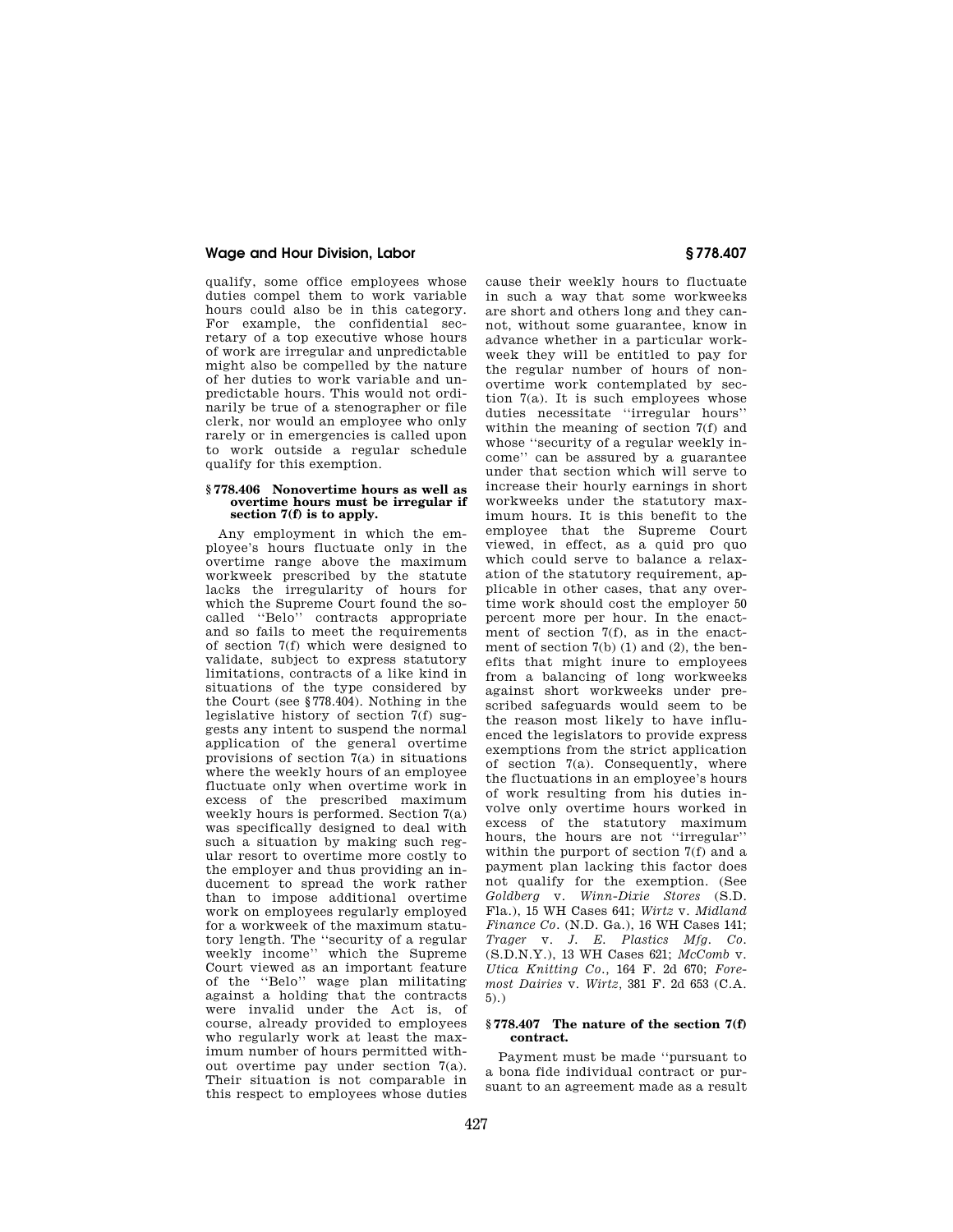qualify, some office employees whose duties compel them to work variable hours could also be in this category. For example, the confidential secretary of a top executive whose hours of work are irregular and unpredictable might also be compelled by the nature of her duties to work variable and unpredictable hours. This would not ordinarily be true of a stenographer or file clerk, nor would an employee who only rarely or in emergencies is called upon to work outside a regular schedule qualify for this exemption.

#### **§ 778.406 Nonovertime hours as well as overtime hours must be irregular if section 7(f) is to apply.**

Any employment in which the employee's hours fluctuate only in the overtime range above the maximum workweek prescribed by the statute lacks the irregularity of hours for which the Supreme Court found the socalled "Belo" contracts appropriate and so fails to meet the requirements of section 7(f) which were designed to validate, subject to express statutory limitations, contracts of a like kind in situations of the type considered by the Court (see §778.404). Nothing in the legislative history of section 7(f) suggests any intent to suspend the normal application of the general overtime provisions of section 7(a) in situations where the weekly hours of an employee fluctuate only when overtime work in excess of the prescribed maximum weekly hours is performed. Section 7(a) was specifically designed to deal with such a situation by making such regular resort to overtime more costly to the employer and thus providing an inducement to spread the work rather than to impose additional overtime work on employees regularly employed for a workweek of the maximum statutory length. The ''security of a regular weekly income'' which the Supreme Court viewed as an important feature of the ''Belo'' wage plan militating against a holding that the contracts were invalid under the Act is, of course, already provided to employees who regularly work at least the maximum number of hours permitted without overtime pay under section 7(a). Their situation is not comparable in this respect to employees whose duties

cause their weekly hours to fluctuate in such a way that some workweeks are short and others long and they cannot, without some guarantee, know in advance whether in a particular workweek they will be entitled to pay for the regular number of hours of nonovertime work contemplated by section 7(a). It is such employees whose duties necessitate ''irregular hours'' within the meaning of section 7(f) and whose ''security of a regular weekly income'' can be assured by a guarantee under that section which will serve to increase their hourly earnings in short workweeks under the statutory maximum hours. It is this benefit to the employee that the Supreme Court viewed, in effect, as a quid pro quo which could serve to balance a relaxation of the statutory requirement, applicable in other cases, that any overtime work should cost the employer 50 percent more per hour. In the enactment of section 7(f), as in the enactment of section 7(b) (1) and (2), the benefits that might inure to employees from a balancing of long workweeks against short workweeks under prescribed safeguards would seem to be the reason most likely to have influenced the legislators to provide express exemptions from the strict application of section 7(a). Consequently, where the fluctuations in an employee's hours of work resulting from his duties involve only overtime hours worked in excess of the statutory maximum hours, the hours are not ''irregular'' within the purport of section 7(f) and a payment plan lacking this factor does not qualify for the exemption. (See *Goldberg* v. *Winn-Dixie Stores* (S.D. Fla.), 15 WH Cases 641; *Wirtz* v. *Midland Finance Co.* (N.D. Ga.), 16 WH Cases 141; *Trager* v. *J. E. Plastics Mfg. Co.*  (S.D.N.Y.), 13 WH Cases 621; *McComb* v. *Utica Knitting Co.,* 164 F. 2d 670; *Foremost Dairies* v. *Wirtz,* 381 F. 2d 653 (C.A. 5).)

### **§ 778.407 The nature of the section 7(f) contract.**

Payment must be made ''pursuant to a bona fide individual contract or pursuant to an agreement made as a result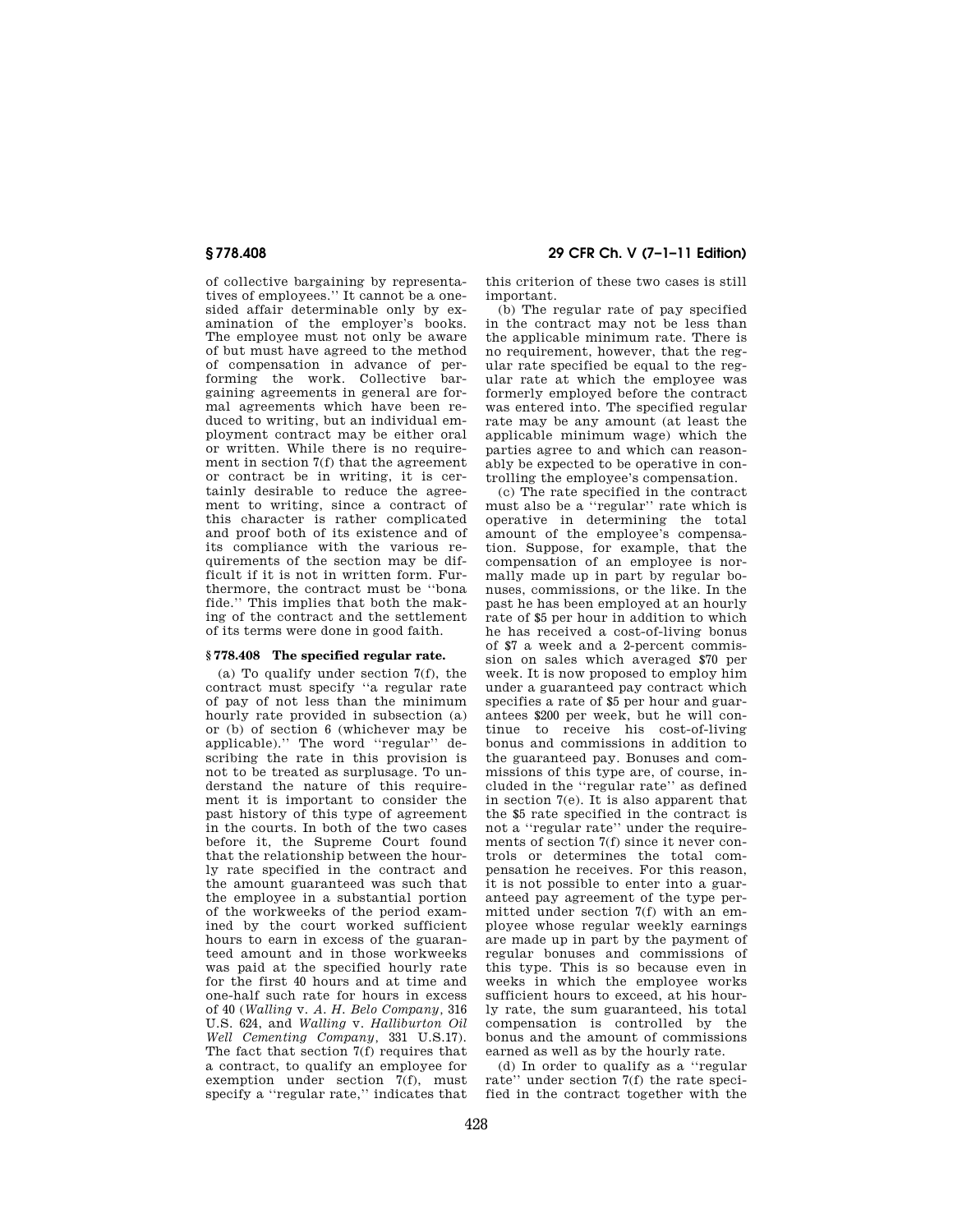of collective bargaining by representatives of employees.'' It cannot be a onesided affair determinable only by examination of the employer's books. The employee must not only be aware of but must have agreed to the method of compensation in advance of performing the work. Collective bargaining agreements in general are formal agreements which have been reduced to writing, but an individual employment contract may be either oral or written. While there is no requirement in section 7(f) that the agreement or contract be in writing, it is certainly desirable to reduce the agreement to writing, since a contract of this character is rather complicated and proof both of its existence and of its compliance with the various requirements of the section may be difficult if it is not in written form. Furthermore, the contract must be ''bona fide.'' This implies that both the making of the contract and the settlement of its terms were done in good faith.

#### **§ 778.408 The specified regular rate.**

(a) To qualify under section 7(f), the contract must specify ''a regular rate of pay of not less than the minimum hourly rate provided in subsection (a) or (b) of section 6 (whichever may be applicable).'' The word ''regular'' describing the rate in this provision is not to be treated as surplusage. To understand the nature of this requirement it is important to consider the past history of this type of agreement in the courts. In both of the two cases before it, the Supreme Court found that the relationship between the hourly rate specified in the contract and the amount guaranteed was such that the employee in a substantial portion of the workweeks of the period examined by the court worked sufficient hours to earn in excess of the guaranteed amount and in those workweeks was paid at the specified hourly rate for the first 40 hours and at time and one-half such rate for hours in excess of 40 (*Walling* v. *A. H. Belo Company,* 316 U.S. 624, and *Walling* v. *Halliburton Oil Well Cementing Company,* 331 U.S.17). The fact that section 7(f) requires that a contract, to qualify an employee for exemption under section 7(f), must specify a "regular rate," indicates that

# **§ 778.408 29 CFR Ch. V (7–1–11 Edition)**

this criterion of these two cases is still important.

(b) The regular rate of pay specified in the contract may not be less than the applicable minimum rate. There is no requirement, however, that the regular rate specified be equal to the regular rate at which the employee was formerly employed before the contract was entered into. The specified regular rate may be any amount (at least the applicable minimum wage) which the parties agree to and which can reasonably be expected to be operative in controlling the employee's compensation.

(c) The rate specified in the contract must also be a ''regular'' rate which is operative in determining the total amount of the employee's compensation. Suppose, for example, that the compensation of an employee is normally made up in part by regular bonuses, commissions, or the like. In the past he has been employed at an hourly rate of \$5 per hour in addition to which he has received a cost-of-living bonus of \$7 a week and a 2-percent commission on sales which averaged \$70 per week. It is now proposed to employ him under a guaranteed pay contract which specifies a rate of \$5 per hour and guarantees \$200 per week, but he will continue to receive his cost-of-living bonus and commissions in addition to the guaranteed pay. Bonuses and commissions of this type are, of course, included in the ''regular rate'' as defined in section 7(e). It is also apparent that the \$5 rate specified in the contract is not a ''regular rate'' under the requirements of section 7(f) since it never controls or determines the total compensation he receives. For this reason, it is not possible to enter into a guaranteed pay agreement of the type permitted under section 7(f) with an employee whose regular weekly earnings are made up in part by the payment of regular bonuses and commissions of this type. This is so because even in weeks in which the employee works sufficient hours to exceed, at his hourly rate, the sum guaranteed, his total compensation is controlled by the bonus and the amount of commissions earned as well as by the hourly rate.

(d) In order to qualify as a ''regular rate'' under section 7(f) the rate specified in the contract together with the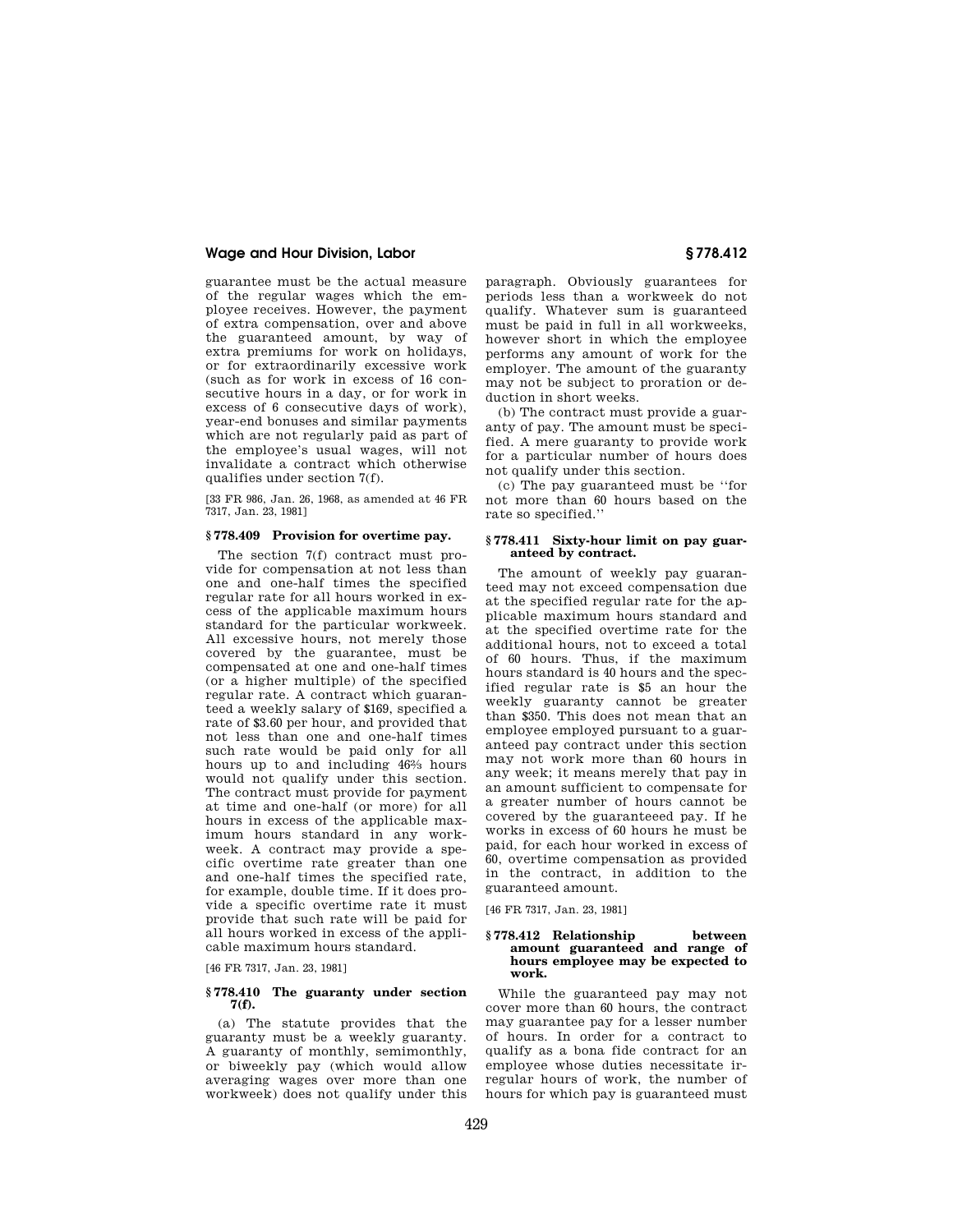guarantee must be the actual measure of the regular wages which the employee receives. However, the payment of extra compensation, over and above the guaranteed amount, by way of extra premiums for work on holidays, or for extraordinarily excessive work (such as for work in excess of 16 consecutive hours in a day, or for work in excess of 6 consecutive days of work), year-end bonuses and similar payments which are not regularly paid as part of the employee's usual wages, will not invalidate a contract which otherwise qualifies under section 7(f).

[33 FR 986, Jan. 26, 1968, as amended at 46 FR 7317, Jan. 23, 1981]

# **§ 778.409 Provision for overtime pay.**

The section 7(f) contract must provide for compensation at not less than one and one-half times the specified regular rate for all hours worked in excess of the applicable maximum hours standard for the particular workweek. All excessive hours, not merely those covered by the guarantee, must be compensated at one and one-half times (or a higher multiple) of the specified regular rate. A contract which guaranteed a weekly salary of \$169, specified a rate of \$3.60 per hour, and provided that not less than one and one-half times such rate would be paid only for all hours up to and including 462⁄3 hours would not qualify under this section. The contract must provide for payment at time and one-half (or more) for all hours in excess of the applicable maximum hours standard in any workweek. A contract may provide a specific overtime rate greater than one and one-half times the specified rate, for example, double time. If it does provide a specific overtime rate it must provide that such rate will be paid for all hours worked in excess of the applicable maximum hours standard.

[46 FR 7317, Jan. 23, 1981]

#### **§ 778.410 The guaranty under section 7(f).**

(a) The statute provides that the guaranty must be a weekly guaranty. A guaranty of monthly, semimonthly, or biweekly pay (which would allow averaging wages over more than one workweek) does not qualify under this

paragraph. Obviously guarantees for periods less than a workweek do not qualify. Whatever sum is guaranteed must be paid in full in all workweeks, however short in which the employee performs any amount of work for the employer. The amount of the guaranty may not be subject to proration or deduction in short weeks.

(b) The contract must provide a guaranty of pay. The amount must be specified. A mere guaranty to provide work for a particular number of hours does not qualify under this section.

(c) The pay guaranteed must be ''for not more than 60 hours based on the rate so specified.''

#### **§ 778.411 Sixty-hour limit on pay guaranteed by contract.**

The amount of weekly pay guaranteed may not exceed compensation due at the specified regular rate for the applicable maximum hours standard and at the specified overtime rate for the additional hours, not to exceed a total of 60 hours. Thus, if the maximum hours standard is 40 hours and the specified regular rate is \$5 an hour the weekly guaranty cannot be greater than \$350. This does not mean that an employee employed pursuant to a guaranteed pay contract under this section may not work more than 60 hours in any week; it means merely that pay in an amount sufficient to compensate for a greater number of hours cannot be covered by the guaranteeed pay. If he works in excess of 60 hours he must be paid, for each hour worked in excess of 60, overtime compensation as provided in the contract, in addition to the guaranteed amount.

[46 FR 7317, Jan. 23, 1981]

#### **§ 778.412 Relationship between amount guaranteed and range of hours employee may be expected to work.**

While the guaranteed pay may not cover more than 60 hours, the contract may guarantee pay for a lesser number of hours. In order for a contract to qualify as a bona fide contract for an employee whose duties necessitate irregular hours of work, the number of hours for which pay is guaranteed must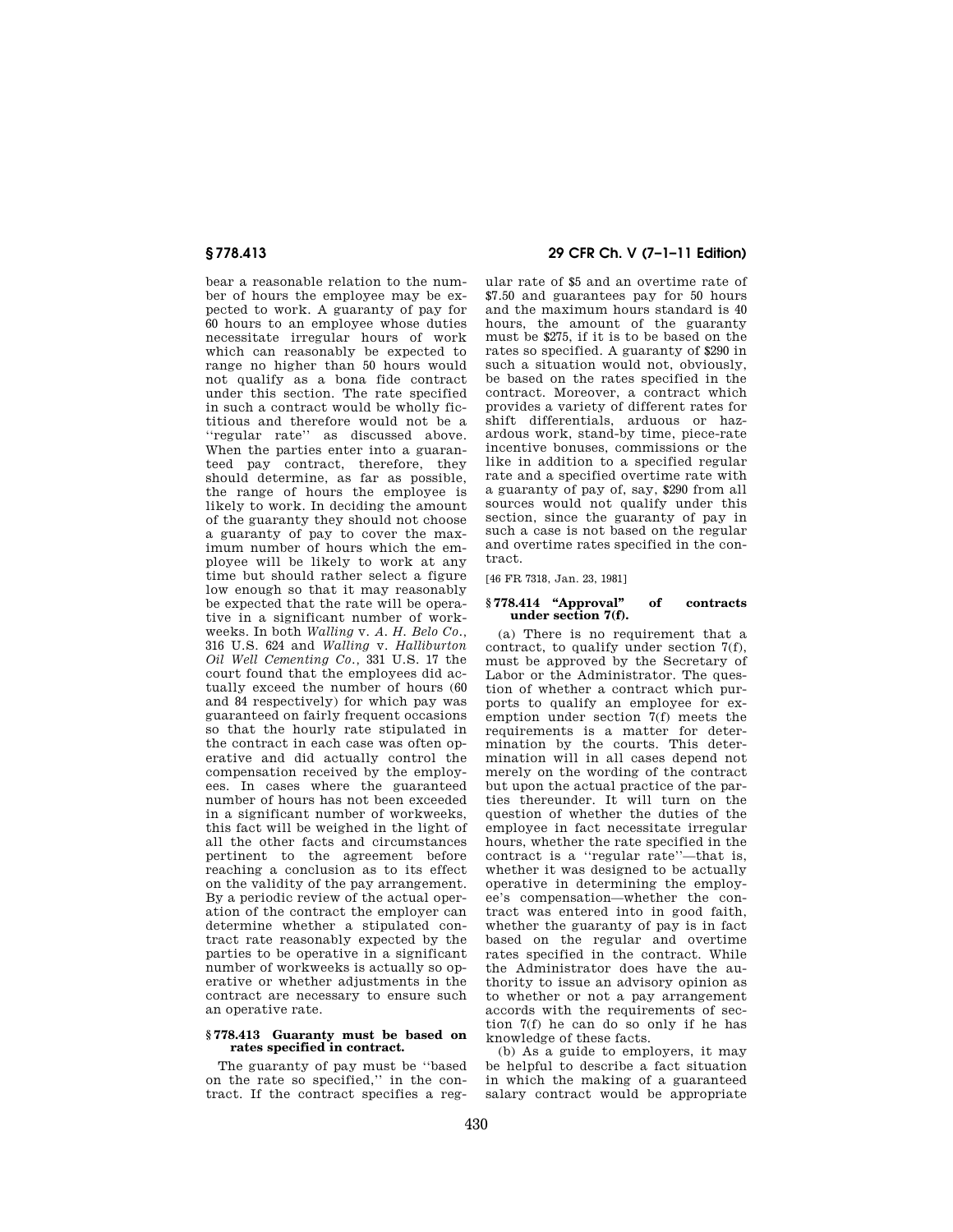bear a reasonable relation to the number of hours the employee may be expected to work. A guaranty of pay for 60 hours to an employee whose duties necessitate irregular hours of work which can reasonably be expected to range no higher than 50 hours would not qualify as a bona fide contract under this section. The rate specified in such a contract would be wholly fictitious and therefore would not be a ''regular rate'' as discussed above. When the parties enter into a guaranteed pay contract, therefore, they should determine, as far as possible, the range of hours the employee is likely to work. In deciding the amount of the guaranty they should not choose a guaranty of pay to cover the maximum number of hours which the employee will be likely to work at any time but should rather select a figure low enough so that it may reasonably be expected that the rate will be operative in a significant number of workweeks. In both *Walling* v. *A. H. Belo Co.,*  316 U.S. 624 and *Walling* v. *Halliburton Oil Well Cementing Co.,* 331 U.S. 17 the court found that the employees did actually exceed the number of hours (60 and 84 respectively) for which pay was guaranteed on fairly frequent occasions so that the hourly rate stipulated in the contract in each case was often operative and did actually control the compensation received by the employees. In cases where the guaranteed number of hours has not been exceeded in a significant number of workweeks, this fact will be weighed in the light of all the other facts and circumstances pertinent to the agreement before reaching a conclusion as to its effect on the validity of the pay arrangement. By a periodic review of the actual operation of the contract the employer can determine whether a stipulated contract rate reasonably expected by the parties to be operative in a significant number of workweeks is actually so operative or whether adjustments in the contract are necessary to ensure such an operative rate.

#### **§ 778.413 Guaranty must be based on rates specified in contract.**

The guaranty of pay must be ''based on the rate so specified,'' in the contract. If the contract specifies a reg-

# **§ 778.413 29 CFR Ch. V (7–1–11 Edition)**

ular rate of \$5 and an overtime rate of \$7.50 and guarantees pay for 50 hours and the maximum hours standard is 40 hours, the amount of the guaranty must be \$275, if it is to be based on the rates so specified. A guaranty of \$290 in such a situation would not, obviously, be based on the rates specified in the contract. Moreover, a contract which provides a variety of different rates for shift differentials, arduous or hazardous work, stand-by time, piece-rate incentive bonuses, commissions or the like in addition to a specified regular rate and a specified overtime rate with a guaranty of pay of, say, \$290 from all sources would not qualify under this section, since the guaranty of pay in such a case is not based on the regular and overtime rates specified in the contract.

[46 FR 7318, Jan. 23, 1981]

#### **§ 778.414 ''Approval'' of contracts under section 7(f).**

(a) There is no requirement that a contract, to qualify under section 7(f), must be approved by the Secretary of Labor or the Administrator. The question of whether a contract which purports to qualify an employee for exemption under section 7(f) meets the requirements is a matter for determination by the courts. This determination will in all cases depend not merely on the wording of the contract but upon the actual practice of the parties thereunder. It will turn on the question of whether the duties of the employee in fact necessitate irregular hours, whether the rate specified in the contract is a ''regular rate''—that is, whether it was designed to be actually operative in determining the employee's compensation—whether the contract was entered into in good faith, whether the guaranty of pay is in fact based on the regular and overtime rates specified in the contract. While the Administrator does have the authority to issue an advisory opinion as to whether or not a pay arrangement accords with the requirements of section 7(f) he can do so only if he has knowledge of these facts.

(b) As a guide to employers, it may be helpful to describe a fact situation in which the making of a guaranteed salary contract would be appropriate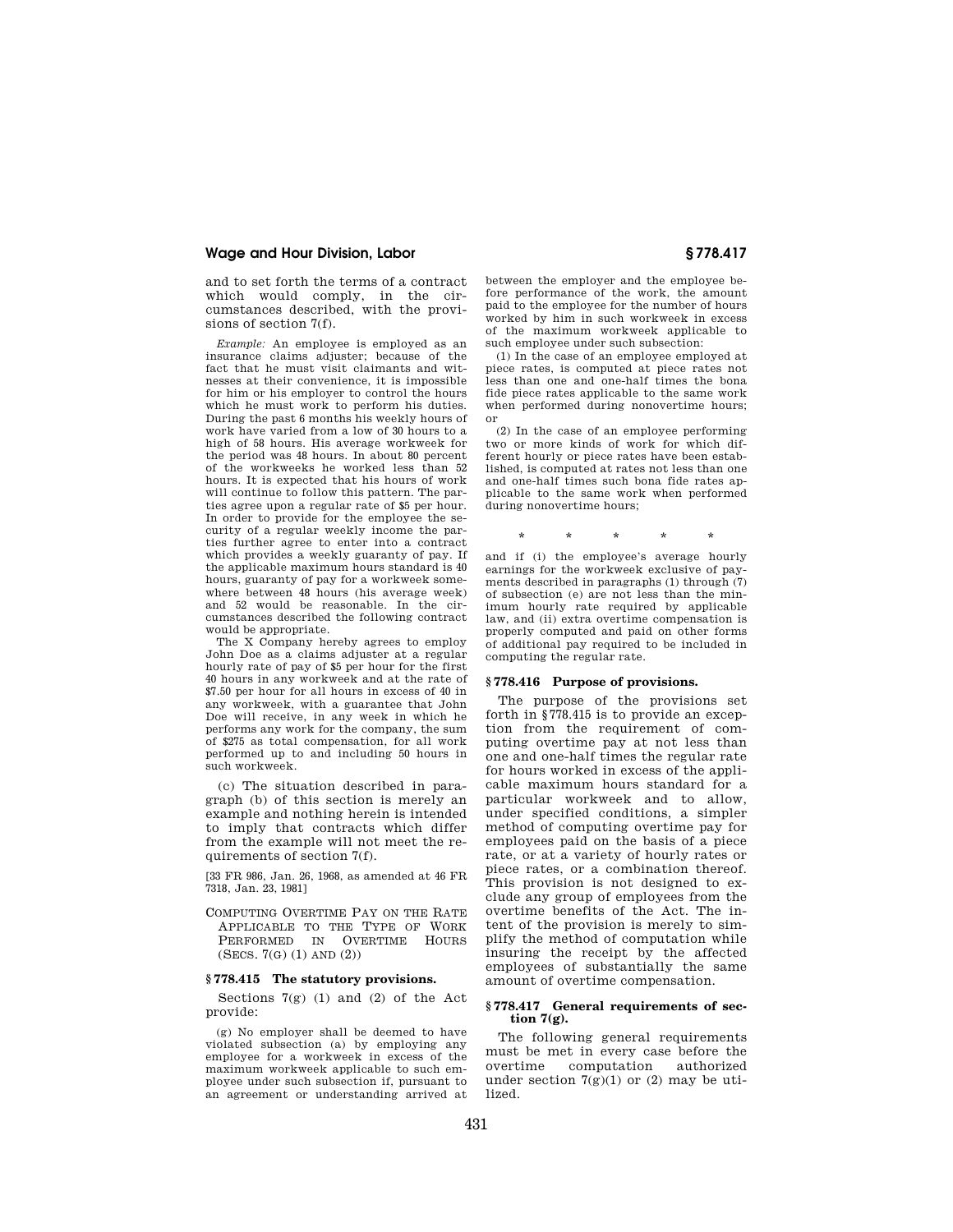and to set forth the terms of a contract which would comply, in the circumstances described, with the provisions of section 7(f).

*Example:* An employee is employed as an insurance claims adjuster; because of the fact that he must visit claimants and witnesses at their convenience, it is impossible for him or his employer to control the hours which he must work to perform his duties. During the past 6 months his weekly hours of work have varied from a low of 30 hours to a high of 58 hours. His average workweek for the period was 48 hours. In about 80 percent of the workweeks he worked less than 52 hours. It is expected that his hours of work will continue to follow this pattern. The parties agree upon a regular rate of \$5 per hour. In order to provide for the employee the security of a regular weekly income the parties further agree to enter into a contract which provides a weekly guaranty of pay. If the applicable maximum hours standard is 40 hours, guaranty of pay for a workweek somewhere between 48 hours (his average week) and 52 would be reasonable. In the circumstances described the following contract would be appropriate.

The X Company hereby agrees to employ John Doe as a claims adjuster at a regular hourly rate of pay of \$5 per hour for the first 40 hours in any workweek and at the rate of \$7.50 per hour for all hours in excess of 40 in any workweek, with a guarantee that John Doe will receive, in any week in which he performs any work for the company, the sum of \$275 as total compensation, for all work performed up to and including 50 hours in such workweek.

(c) The situation described in paragraph (b) of this section is merely an example and nothing herein is intended to imply that contracts which differ from the example will not meet the requirements of section 7(f).

[33 FR 986, Jan. 26, 1968, as amended at 46 FR 7318, Jan. 23, 1981]

COMPUTING OVERTIME PAY ON THE RATE APPLICABLE TO THE TYPE OF WORK PERFORMED IN OVERTIME HOURS (SECS. 7(G) (1) AND (2))

#### **§ 778.415 The statutory provisions.**

Sections  $7(g)$  (1) and (2) of the Act provide:

(g) No employer shall be deemed to have violated subsection (a) by employing any employee for a workweek in excess of the maximum workweek applicable to such employee under such subsection if, pursuant to an agreement or understanding arrived at

between the employer and the employee before performance of the work, the amount paid to the employee for the number of hours worked by him in such workweek in excess of the maximum workweek applicable to such employee under such subsection:

(1) In the case of an employee employed at piece rates, is computed at piece rates not less than one and one-half times the bona fide piece rates applicable to the same work when performed during nonovertime hours; or

(2) In the case of an employee performing two or more kinds of work for which different hourly or piece rates have been established, is computed at rates not less than one and one-half times such bona fide rates applicable to the same work when performed during nonovertime hours;

\* \* \* \* \*

and if (i) the employee's average hourly earnings for the workweek exclusive of payments described in paragraphs (1) through (7) of subsection (e) are not less than the minimum hourly rate required by applicable law, and (ii) extra overtime compensation is properly computed and paid on other forms of additional pay required to be included in computing the regular rate.

#### **§ 778.416 Purpose of provisions.**

The purpose of the provisions set forth in §778.415 is to provide an exception from the requirement of computing overtime pay at not less than one and one-half times the regular rate for hours worked in excess of the applicable maximum hours standard for a particular workweek and to allow, under specified conditions, a simpler method of computing overtime pay for employees paid on the basis of a piece rate, or at a variety of hourly rates or piece rates, or a combination thereof. This provision is not designed to exclude any group of employees from the overtime benefits of the Act. The intent of the provision is merely to simplify the method of computation while insuring the receipt by the affected employees of substantially the same amount of overtime compensation.

#### **§ 778.417 General requirements of section 7(g).**

The following general requirements must be met in every case before the overtime computation authorized under section  $7(g)(1)$  or (2) may be utilized.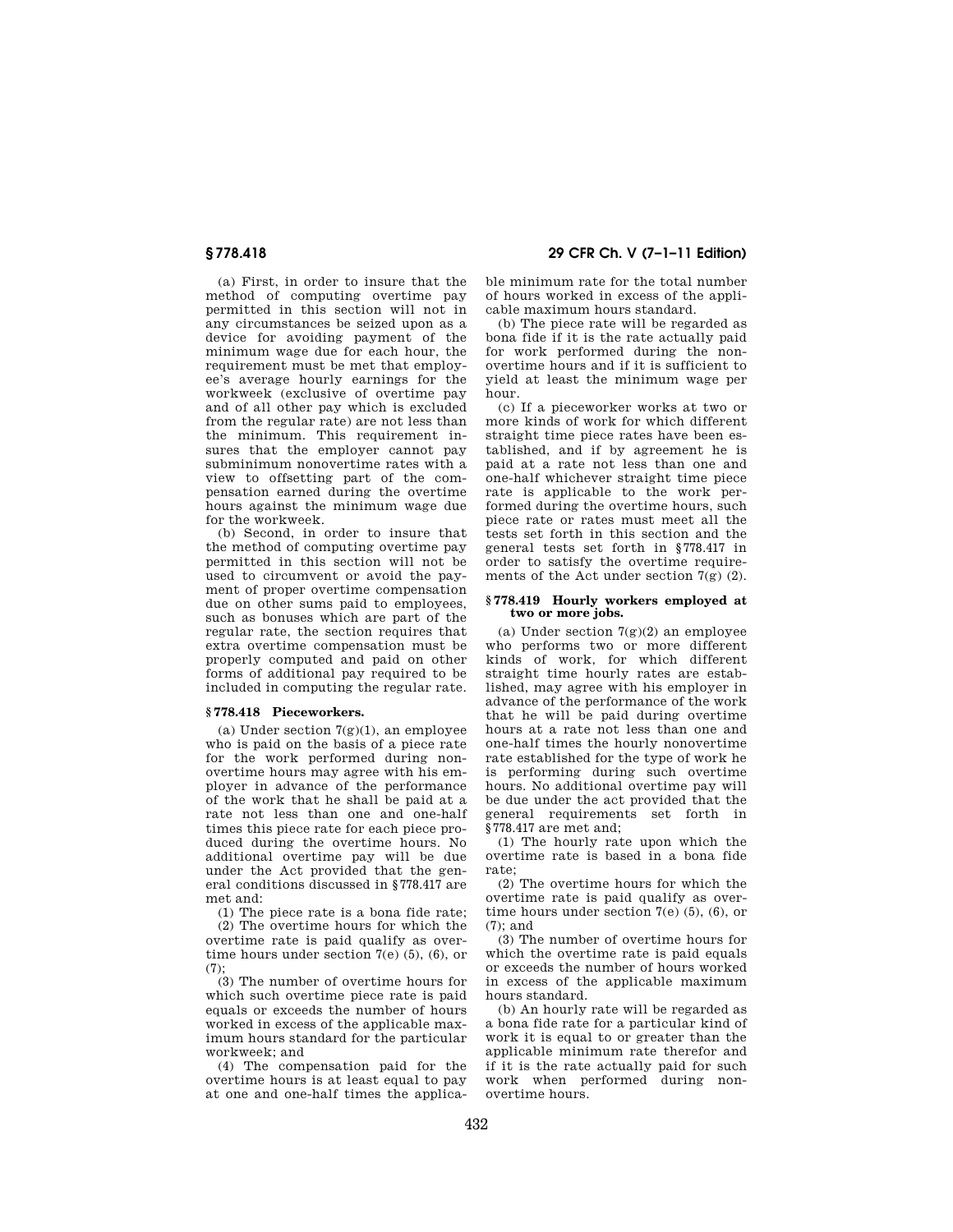(a) First, in order to insure that the method of computing overtime pay permitted in this section will not in any circumstances be seized upon as a device for avoiding payment of the minimum wage due for each hour, the requirement must be met that employee's average hourly earnings for the workweek (exclusive of overtime pay and of all other pay which is excluded from the regular rate) are not less than the minimum. This requirement insures that the employer cannot pay subminimum nonovertime rates with a view to offsetting part of the compensation earned during the overtime hours against the minimum wage due for the workweek.

(b) Second, in order to insure that the method of computing overtime pay permitted in this section will not be used to circumvent or avoid the payment of proper overtime compensation due on other sums paid to employees, such as bonuses which are part of the regular rate, the section requires that extra overtime compensation must be properly computed and paid on other forms of additional pay required to be included in computing the regular rate.

### **§ 778.418 Pieceworkers.**

(a) Under section  $7(g)(1)$ , an employee who is paid on the basis of a piece rate for the work performed during nonovertime hours may agree with his employer in advance of the performance of the work that he shall be paid at a rate not less than one and one-half times this piece rate for each piece produced during the overtime hours. No additional overtime pay will be due under the Act provided that the general conditions discussed in §778.417 are met and:

(1) The piece rate is a bona fide rate;

(2) The overtime hours for which the overtime rate is paid qualify as overtime hours under section 7(e) (5), (6), or (7);

(3) The number of overtime hours for which such overtime piece rate is paid equals or exceeds the number of hours worked in excess of the applicable maximum hours standard for the particular workweek; and

(4) The compensation paid for the overtime hours is at least equal to pay at one and one-half times the applica-

**§ 778.418 29 CFR Ch. V (7–1–11 Edition)** 

ble minimum rate for the total number of hours worked in excess of the applicable maximum hours standard.

(b) The piece rate will be regarded as bona fide if it is the rate actually paid for work performed during the nonovertime hours and if it is sufficient to yield at least the minimum wage per hour.

(c) If a pieceworker works at two or more kinds of work for which different straight time piece rates have been established, and if by agreement he is paid at a rate not less than one and one-half whichever straight time piece rate is applicable to the work performed during the overtime hours, such piece rate or rates must meet all the tests set forth in this section and the general tests set forth in §778.417 in order to satisfy the overtime requirements of the Act under section  $7(g)(2)$ .

#### **§ 778.419 Hourly workers employed at two or more jobs.**

(a) Under section  $7(g)(2)$  an employee who performs two or more different kinds of work, for which different straight time hourly rates are established, may agree with his employer in advance of the performance of the work that he will be paid during overtime hours at a rate not less than one and one-half times the hourly nonovertime rate established for the type of work he is performing during such overtime hours. No additional overtime pay will be due under the act provided that the general requirements set forth in §778.417 are met and;

(1) The hourly rate upon which the overtime rate is based in a bona fide rate;

(2) The overtime hours for which the overtime rate is paid qualify as overtime hours under section 7(e) (5), (6), or  $(7)$ ; and

(3) The number of overtime hours for which the overtime rate is paid equals or exceeds the number of hours worked in excess of the applicable maximum hours standard.

(b) An hourly rate will be regarded as a bona fide rate for a particular kind of work it is equal to or greater than the applicable minimum rate therefor and if it is the rate actually paid for such work when performed during nonovertime hours.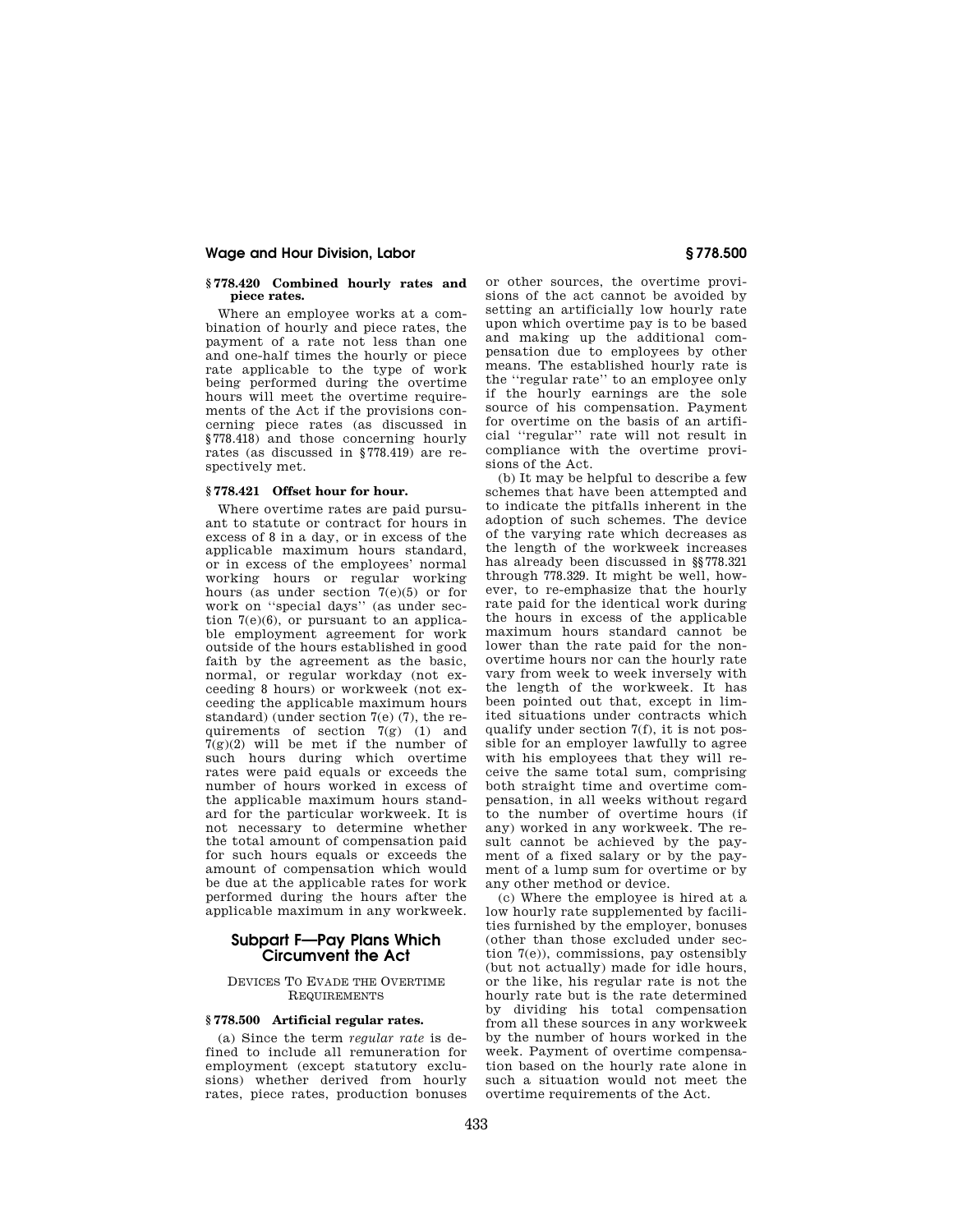#### **§ 778.420 Combined hourly rates and piece rates.**

Where an employee works at a combination of hourly and piece rates, the payment of a rate not less than one and one-half times the hourly or piece rate applicable to the type of work being performed during the overtime hours will meet the overtime requirements of the Act if the provisions concerning piece rates (as discussed in §778.418) and those concerning hourly rates (as discussed in §778.419) are respectively met.

#### **§ 778.421 Offset hour for hour.**

Where overtime rates are paid pursuant to statute or contract for hours in excess of 8 in a day, or in excess of the applicable maximum hours standard, or in excess of the employees' normal working hours or regular working hours (as under section  $7(e)(5)$  or for work on ''special days'' (as under section 7(e)(6), or pursuant to an applicable employment agreement for work outside of the hours established in good faith by the agreement as the basic, normal, or regular workday (not exceeding 8 hours) or workweek (not exceeding the applicable maximum hours standard) (under section 7(e) (7), the requirements of section  $7(g)$  (1) and  $7(g)(2)$  will be met if the number of such hours during which overtime rates were paid equals or exceeds the number of hours worked in excess of the applicable maximum hours standard for the particular workweek. It is not necessary to determine whether the total amount of compensation paid for such hours equals or exceeds the amount of compensation which would be due at the applicable rates for work performed during the hours after the applicable maximum in any workweek.

# **Subpart F—Pay Plans Which Circumvent the Act**

#### DEVICES TO EVADE THE OVERTIME REQUIREMENTS

# **§ 778.500 Artificial regular rates.**

(a) Since the term *regular rate* is defined to include all remuneration for employment (except statutory exclusions) whether derived from hourly rates, piece rates, production bonuses or other sources, the overtime provisions of the act cannot be avoided by setting an artificially low hourly rate upon which overtime pay is to be based and making up the additional compensation due to employees by other means. The established hourly rate is the ''regular rate'' to an employee only if the hourly earnings are the sole source of his compensation. Payment for overtime on the basis of an artificial ''regular'' rate will not result in compliance with the overtime provisions of the Act.

(b) It may be helpful to describe a few schemes that have been attempted and to indicate the pitfalls inherent in the adoption of such schemes. The device of the varying rate which decreases as the length of the workweek increases has already been discussed in §§778.321 through 778.329. It might be well, however, to re-emphasize that the hourly rate paid for the identical work during the hours in excess of the applicable maximum hours standard cannot be lower than the rate paid for the nonovertime hours nor can the hourly rate vary from week to week inversely with the length of the workweek. It has been pointed out that, except in limited situations under contracts which qualify under section 7(f), it is not possible for an employer lawfully to agree with his employees that they will receive the same total sum, comprising both straight time and overtime compensation, in all weeks without regard to the number of overtime hours (if any) worked in any workweek. The result cannot be achieved by the payment of a fixed salary or by the payment of a lump sum for overtime or by any other method or device.

(c) Where the employee is hired at a low hourly rate supplemented by facilities furnished by the employer, bonuses (other than those excluded under section 7(e)), commissions, pay ostensibly (but not actually) made for idle hours, or the like, his regular rate is not the hourly rate but is the rate determined by dividing his total compensation from all these sources in any workweek by the number of hours worked in the week. Payment of overtime compensation based on the hourly rate alone in such a situation would not meet the overtime requirements of the Act.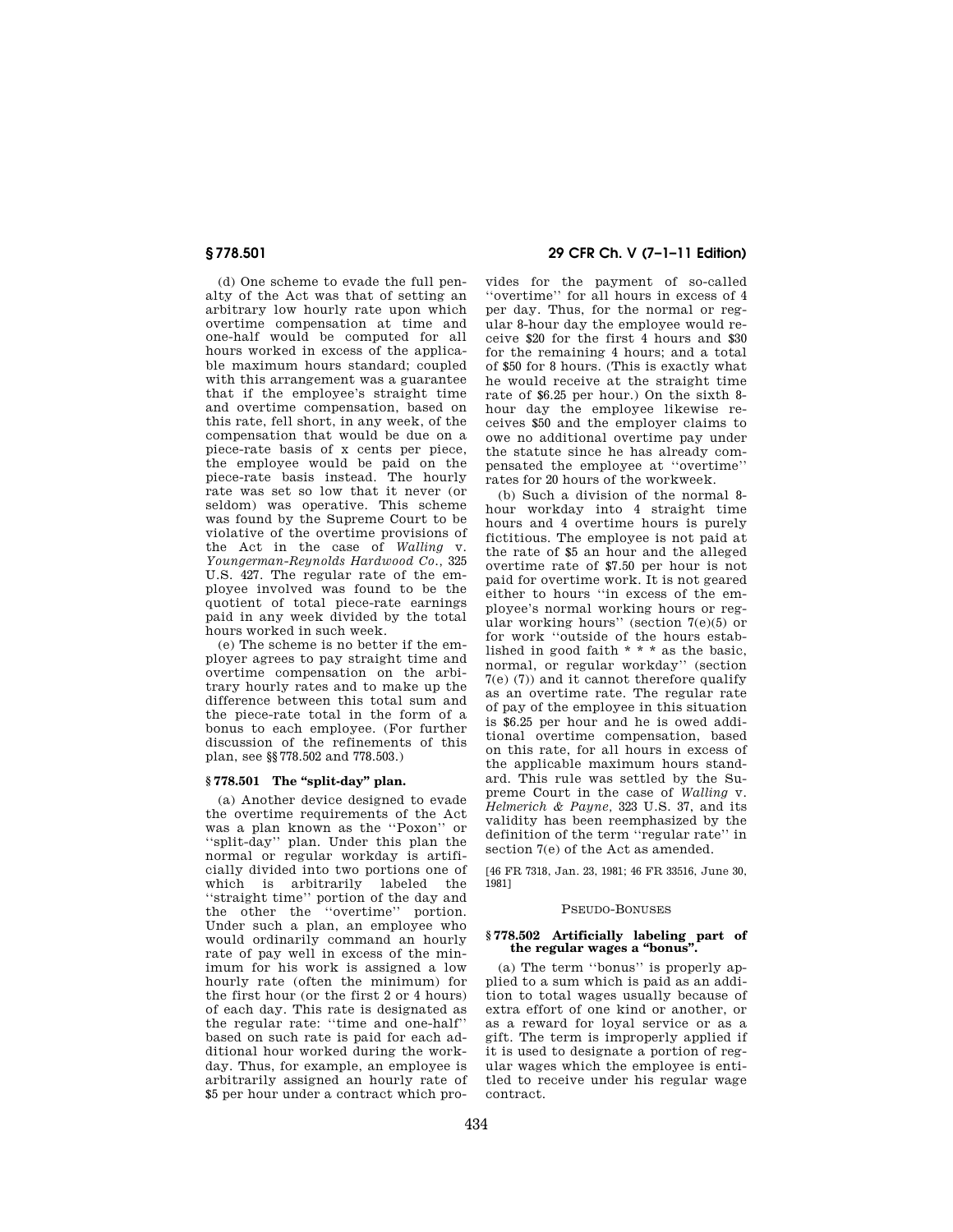(d) One scheme to evade the full penalty of the Act was that of setting an arbitrary low hourly rate upon which overtime compensation at time and one-half would be computed for all hours worked in excess of the applicable maximum hours standard; coupled with this arrangement was a guarantee that if the employee's straight time and overtime compensation, based on this rate, fell short, in any week, of the compensation that would be due on a piece-rate basis of x cents per piece, the employee would be paid on the piece-rate basis instead. The hourly rate was set so low that it never (or seldom) was operative. This scheme was found by the Supreme Court to be violative of the overtime provisions of the Act in the case of *Walling* v. *Youngerman-Reynolds Hardwood Co.,* 325 U.S. 427. The regular rate of the employee involved was found to be the quotient of total piece-rate earnings paid in any week divided by the total hours worked in such week.

(e) The scheme is no better if the employer agrees to pay straight time and overtime compensation on the arbitrary hourly rates and to make up the difference between this total sum and the piece-rate total in the form of a bonus to each employee. (For further discussion of the refinements of this plan, see §§778.502 and 778.503.)

#### **§ 778.501 The ''split-day'' plan.**

(a) Another device designed to evade the overtime requirements of the Act was a plan known as the ''Poxon'' or ''split-day'' plan. Under this plan the normal or regular workday is artificially divided into two portions one of which is arbitrarily labeled the ''straight time'' portion of the day and the other the ''overtime'' portion. Under such a plan, an employee who would ordinarily command an hourly rate of pay well in excess of the minimum for his work is assigned a low hourly rate (often the minimum) for the first hour (or the first 2 or 4 hours) of each day. This rate is designated as the regular rate: ''time and one-half'' based on such rate is paid for each additional hour worked during the workday. Thus, for example, an employee is arbitrarily assigned an hourly rate of \$5 per hour under a contract which pro-

# **§ 778.501 29 CFR Ch. V (7–1–11 Edition)**

vides for the payment of so-called ''overtime'' for all hours in excess of 4 per day. Thus, for the normal or regular 8-hour day the employee would receive \$20 for the first 4 hours and \$30 for the remaining 4 hours; and a total of \$50 for 8 hours. (This is exactly what he would receive at the straight time rate of \$6.25 per hour.) On the sixth 8 hour day the employee likewise receives \$50 and the employer claims to owe no additional overtime pay under the statute since he has already compensated the employee at ''overtime'' rates for 20 hours of the workweek.

(b) Such a division of the normal 8 hour workday into 4 straight time hours and 4 overtime hours is purely fictitious. The employee is not paid at the rate of \$5 an hour and the alleged overtime rate of \$7.50 per hour is not paid for overtime work. It is not geared either to hours ''in excess of the employee's normal working hours or regular working hours'' (section 7(e)(5) or for work ''outside of the hours established in good faith \* \* \* as the basic, normal, or regular workday'' (section 7(e) (7)) and it cannot therefore qualify as an overtime rate. The regular rate of pay of the employee in this situation is \$6.25 per hour and he is owed additional overtime compensation, based on this rate, for all hours in excess of the applicable maximum hours standard. This rule was settled by the Supreme Court in the case of *Walling* v. *Helmerich & Payne,* 323 U.S. 37, and its validity has been reemphasized by the definition of the term ''regular rate'' in section 7(e) of the Act as amended.

[46 FR 7318, Jan. 23, 1981; 46 FR 33516, June 30, 1981]

#### PSEUDO-BONUSES

# **§ 778.502 Artificially labeling part of the regular wages a ''bonus''.**

(a) The term ''bonus'' is properly applied to a sum which is paid as an addition to total wages usually because of extra effort of one kind or another, or as a reward for loyal service or as a gift. The term is improperly applied if it is used to designate a portion of regular wages which the employee is entitled to receive under his regular wage contract.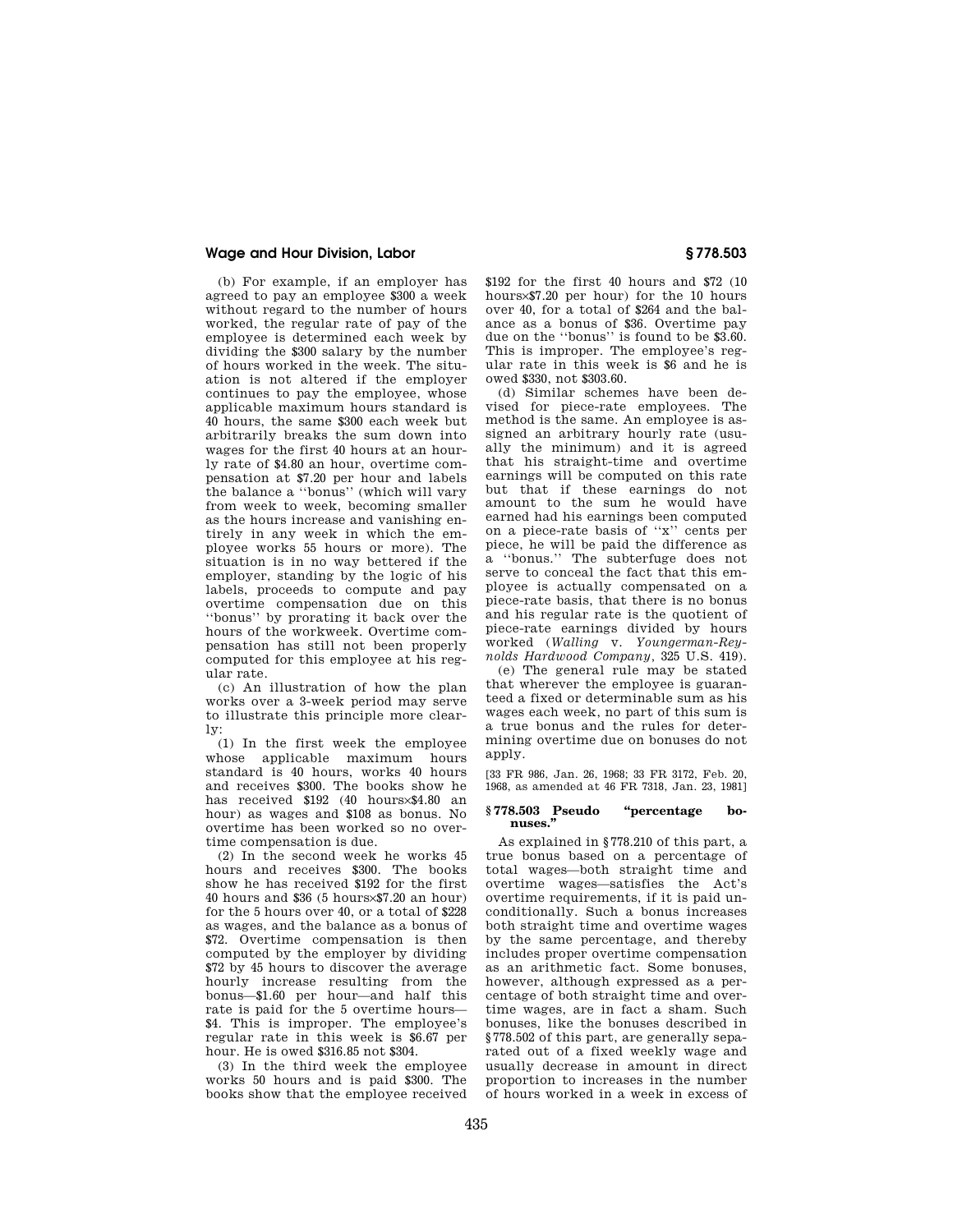(b) For example, if an employer has agreed to pay an employee \$300 a week without regard to the number of hours worked, the regular rate of pay of the employee is determined each week by dividing the \$300 salary by the number of hours worked in the week. The situation is not altered if the employer continues to pay the employee, whose applicable maximum hours standard is 40 hours, the same \$300 each week but arbitrarily breaks the sum down into wages for the first 40 hours at an hourly rate of \$4.80 an hour, overtime compensation at \$7.20 per hour and labels the balance a ''bonus'' (which will vary from week to week, becoming smaller as the hours increase and vanishing entirely in any week in which the employee works 55 hours or more). The situation is in no way bettered if the employer, standing by the logic of his labels, proceeds to compute and pay overtime compensation due on this ''bonus'' by prorating it back over the hours of the workweek. Overtime compensation has still not been properly computed for this employee at his regular rate.

(c) An illustration of how the plan works over a 3-week period may serve to illustrate this principle more clearly:

(1) In the first week the employee whose applicable maximum hours standard is 40 hours, works 40 hours and receives \$300. The books show he has received \$192 (40 hours×\$4.80 an hour) as wages and \$108 as bonus. No overtime has been worked so no overtime compensation is due.

(2) In the second week he works 45 hours and receives \$300. The books show he has received \$192 for the first 40 hours and \$36 (5 hours×\$7.20 an hour) for the 5 hours over 40, or a total of \$228 as wages, and the balance as a bonus of \$72. Overtime compensation is then computed by the employer by dividing \$72 by 45 hours to discover the average hourly increase resulting from the bonus—\$1.60 per hour—and half this rate is paid for the 5 overtime hours— \$4. This is improper. The employee's regular rate in this week is \$6.67 per hour. He is owed \$316.85 not \$304.

(3) In the third week the employee works 50 hours and is paid \$300. The books show that the employee received \$192 for the first 40 hours and \$72 (10 hours×\$7.20 per hour) for the 10 hours over 40, for a total of \$264 and the balance as a bonus of \$36. Overtime pay due on the ''bonus'' is found to be \$3.60. This is improper. The employee's regular rate in this week is \$6 and he is owed \$330, not \$303.60.

(d) Similar schemes have been devised for piece-rate employees. The method is the same. An employee is assigned an arbitrary hourly rate (usually the minimum) and it is agreed that his straight-time and overtime earnings will be computed on this rate but that if these earnings do not amount to the sum he would have earned had his earnings been computed on a piece-rate basis of ''x'' cents per piece, he will be paid the difference as a ''bonus.'' The subterfuge does not serve to conceal the fact that this employee is actually compensated on a piece-rate basis, that there is no bonus and his regular rate is the quotient of piece-rate earnings divided by hours worked (*Walling* v. *Youngerman-Reynolds Hardwood Company,* 325 U.S. 419).

(e) The general rule may be stated that wherever the employee is guaranteed a fixed or determinable sum as his wages each week, no part of this sum is a true bonus and the rules for determining overtime due on bonuses do not apply.

[33 FR 986, Jan. 26, 1968; 33 FR 3172, Feb. 20, 1968, as amended at 46 FR 7318, Jan. 23, 1981]

# **§ 778.503 Pseudo ''percentage bonuses.''**

As explained in §778.210 of this part, a true bonus based on a percentage of total wages—both straight time and overtime wages—satisfies the Act's overtime requirements, if it is paid unconditionally. Such a bonus increases both straight time and overtime wages by the same percentage, and thereby includes proper overtime compensation as an arithmetic fact. Some bonuses, however, although expressed as a percentage of both straight time and overtime wages, are in fact a sham. Such bonuses, like the bonuses described in §778.502 of this part, are generally separated out of a fixed weekly wage and usually decrease in amount in direct proportion to increases in the number of hours worked in a week in excess of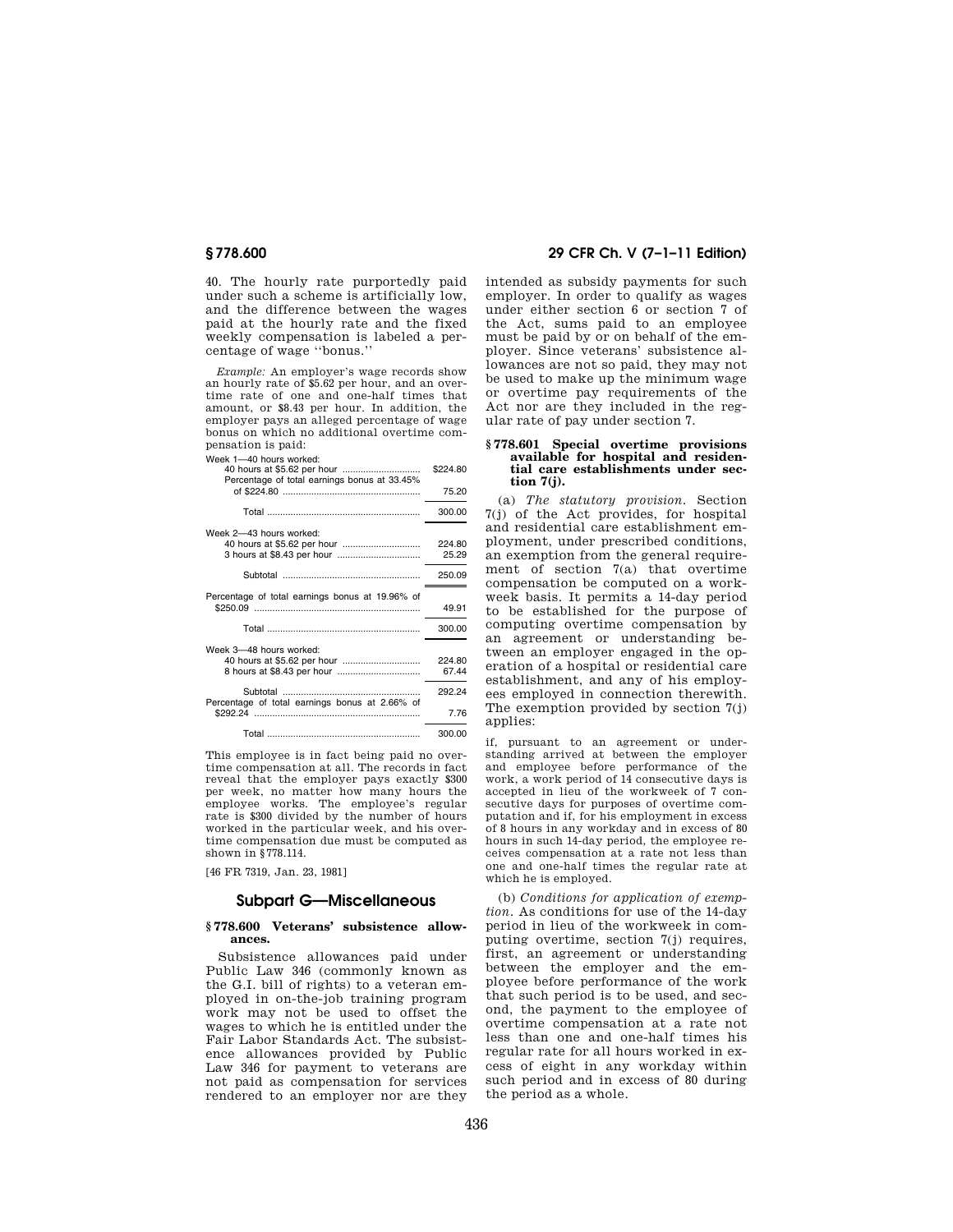40. The hourly rate purportedly paid under such a scheme is artificially low, and the difference between the wages paid at the hourly rate and the fixed weekly compensation is labeled a percentage of wage ''bonus.''

*Example:* An employer's wage records show an hourly rate of \$5.62 per hour, and an overtime rate of one and one-half times that amount, or \$8.43 per hour. In addition, the employer pays an alleged percentage of wage bonus on which no additional overtime compensation is paid:

|  |  |  |  | Week 1-40 hours worked: |
|--|--|--|--|-------------------------|
|--|--|--|--|-------------------------|

|                                                 | \$224.80 |
|-------------------------------------------------|----------|
| Percentage of total earnings bonus at 33.45%    | 75.20    |
|                                                 | 300.00   |
| Week 2-43 hours worked:                         |          |
|                                                 | 224.80   |
|                                                 | 25.29    |
|                                                 | 250.09   |
| Percentage of total earnings bonus at 19.96% of |          |
|                                                 | 49.91    |
|                                                 | 300.00   |
| Week 3-48 hours worked:                         |          |
|                                                 | 224.80   |
|                                                 | 67.44    |
| Percentage of total earnings bonus at 2.66% of  | 292.24   |
|                                                 | 7.76     |
|                                                 | 300.00   |

This employee is in fact being paid no overtime compensation at all. The records in fact reveal that the employer pays exactly \$300 per week, no matter how many hours the employee works. The employee's regular rate is \$300 divided by the number of hours worked in the particular week, and his overtime compensation due must be computed as shown in §778.114.

[46 FR 7319, Jan. 23, 1981]

# **Subpart G—Miscellaneous**

# **§ 778.600 Veterans' subsistence allow- ances.**

Subsistence allowances paid under Public Law 346 (commonly known as the G.I. bill of rights) to a veteran employed in on-the-job training program work may not be used to offset the wages to which he is entitled under the Fair Labor Standards Act. The subsistence allowances provided by Public Law 346 for payment to veterans are not paid as compensation for services rendered to an employer nor are they

# **§ 778.600 29 CFR Ch. V (7–1–11 Edition)**

intended as subsidy payments for such employer. In order to qualify as wages under either section 6 or section 7 of the Act, sums paid to an employee must be paid by or on behalf of the employer. Since veterans' subsistence allowances are not so paid, they may not be used to make up the minimum wage or overtime pay requirements of the Act nor are they included in the regular rate of pay under section 7.

#### **§ 778.601 Special overtime provisions available for hospital and residential care establishments under section 7(j).**

(a) *The statutory provision.* Section 7(j) of the Act provides, for hospital and residential care establishment employment, under prescribed conditions, an exemption from the general requirement of section 7(a) that overtime compensation be computed on a workweek basis. It permits a 14-day period to be established for the purpose of computing overtime compensation by an agreement or understanding between an employer engaged in the operation of a hospital or residential care establishment, and any of his employees employed in connection therewith. The exemption provided by section 7(j) applies:

if, pursuant to an agreement or understanding arrived at between the employer and employee before performance of the work, a work period of 14 consecutive days is accepted in lieu of the workweek of 7 consecutive days for purposes of overtime computation and if, for his employment in excess of 8 hours in any workday and in excess of 80 hours in such 14-day period, the employee receives compensation at a rate not less than one and one-half times the regular rate at which he is employed.

(b) *Conditions for application of exemption.* As conditions for use of the 14-day period in lieu of the workweek in computing overtime, section 7(j) requires, first, an agreement or understanding between the employer and the employee before performance of the work that such period is to be used, and second, the payment to the employee of overtime compensation at a rate not less than one and one-half times his regular rate for all hours worked in excess of eight in any workday within such period and in excess of 80 during the period as a whole.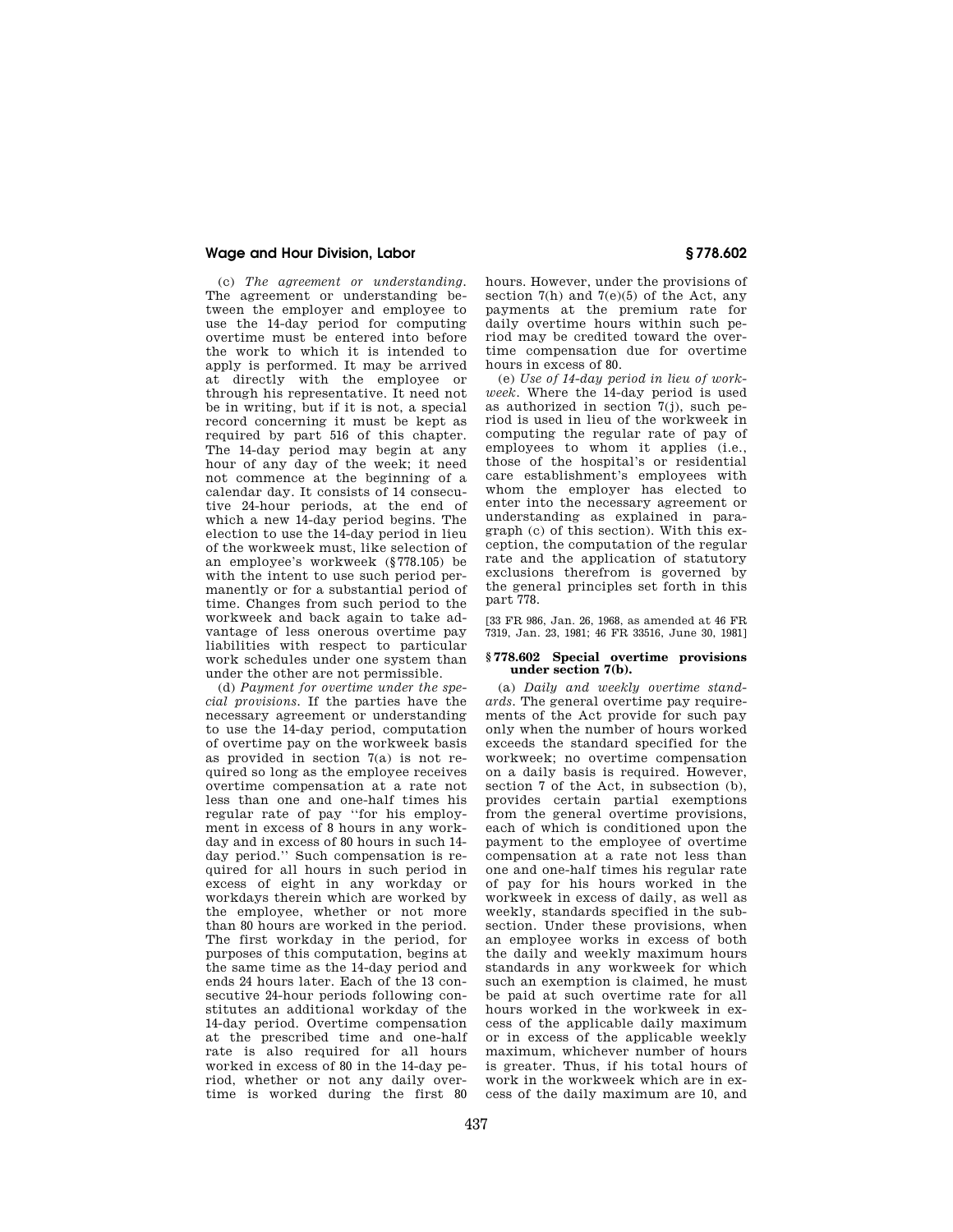(c) *The agreement or understanding.*  The agreement or understanding between the employer and employee to use the 14-day period for computing overtime must be entered into before the work to which it is intended to apply is performed. It may be arrived at directly with the employee or through his representative. It need not be in writing, but if it is not, a special record concerning it must be kept as required by part 516 of this chapter. The 14-day period may begin at any hour of any day of the week; it need not commence at the beginning of a calendar day. It consists of 14 consecutive 24-hour periods, at the end of which a new 14-day period begins. The election to use the 14-day period in lieu of the workweek must, like selection of an employee's workweek (§778.105) be with the intent to use such period permanently or for a substantial period of time. Changes from such period to the workweek and back again to take advantage of less onerous overtime pay liabilities with respect to particular work schedules under one system than under the other are not permissible.

(d) *Payment for overtime under the special provisions.* If the parties have the necessary agreement or understanding to use the 14-day period, computation of overtime pay on the workweek basis as provided in section 7(a) is not required so long as the employee receives overtime compensation at a rate not less than one and one-half times his regular rate of pay ''for his employment in excess of 8 hours in any workday and in excess of 80 hours in such 14 day period.'' Such compensation is required for all hours in such period in excess of eight in any workday or workdays therein which are worked by the employee, whether or not more than 80 hours are worked in the period. The first workday in the period, for purposes of this computation, begins at the same time as the 14-day period and ends 24 hours later. Each of the 13 consecutive 24-hour periods following constitutes an additional workday of the 14-day period. Overtime compensation at the prescribed time and one-half rate is also required for all hours worked in excess of 80 in the 14-day period, whether or not any daily overtime is worked during the first 80

hours. However, under the provisions of section  $7(h)$  and  $7(e)(5)$  of the Act, any payments at the premium rate for daily overtime hours within such period may be credited toward the overtime compensation due for overtime hours in excess of 80.

(e) *Use of 14-day period in lieu of workweek.* Where the 14-day period is used as authorized in section 7(j), such period is used in lieu of the workweek in computing the regular rate of pay of employees to whom it applies (i.e., those of the hospital's or residential care establishment's employees with whom the employer has elected to enter into the necessary agreement or understanding as explained in paragraph (c) of this section). With this exception, the computation of the regular rate and the application of statutory exclusions therefrom is governed by the general principles set forth in this part 778.

[33 FR 986, Jan. 26, 1968, as amended at 46 FR 7319, Jan. 23, 1981; 46 FR 33516, June 30, 1981]

#### **§ 778.602 Special overtime provisions under section 7(b).**

(a) *Daily and weekly overtime standards.* The general overtime pay requirements of the Act provide for such pay only when the number of hours worked exceeds the standard specified for the workweek; no overtime compensation on a daily basis is required. However, section 7 of the Act, in subsection (b). provides certain partial exemptions from the general overtime provisions, each of which is conditioned upon the payment to the employee of overtime compensation at a rate not less than one and one-half times his regular rate of pay for his hours worked in the workweek in excess of daily, as well as weekly, standards specified in the subsection. Under these provisions, when an employee works in excess of both the daily and weekly maximum hours standards in any workweek for which such an exemption is claimed, he must be paid at such overtime rate for all hours worked in the workweek in excess of the applicable daily maximum or in excess of the applicable weekly maximum, whichever number of hours is greater. Thus, if his total hours of work in the workweek which are in excess of the daily maximum are 10, and